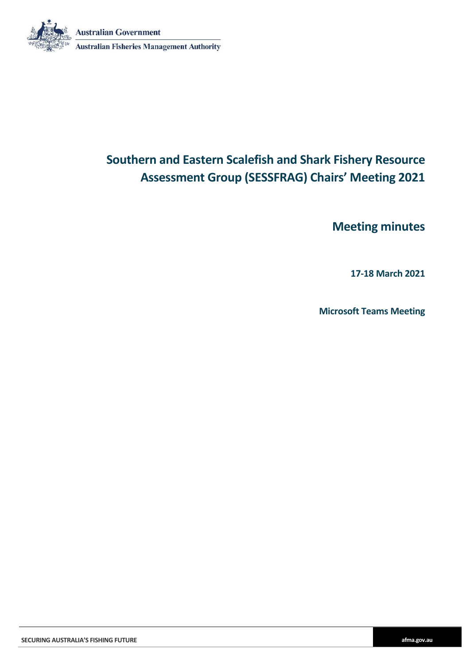**Australian Government** 



**Australian Fisheries Management Authority** 

# **Southern and Eastern Scalefish and Shark Fishery Resource Assessment Group (SESSFRAG) Chairs' Meeting 2021**

**Meeting minutes**

**17-18 March 2021**

**Microsoft Teams Meeting**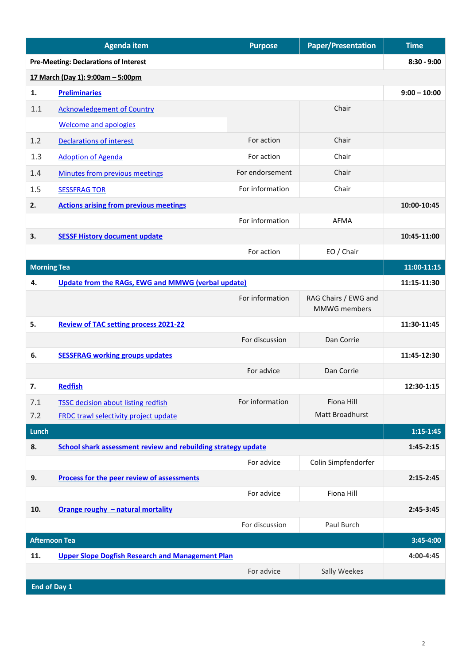| <b>Pre-Meeting: Declarations of Interest</b><br>17 March (Day 1): 9:00am - 5:00pm<br><b>Preliminaries</b><br>1.<br>Chair<br><b>Acknowledgement of Country</b><br>1.1<br><b>Welcome and apologies</b><br>Chair<br>1.2<br>For action<br><b>Declarations of interest</b><br>For action<br>Chair<br>1.3<br><b>Adoption of Agenda</b><br>1.4<br>For endorsement<br>Chair<br>Minutes from previous meetings<br>For information<br>Chair<br>1.5<br><b>SESSFRAG TOR</b><br><b>Actions arising from previous meetings</b><br>10:00-10:45<br>2.<br>For information<br><b>AFMA</b><br><b>SESSF History document update</b><br>3.<br>10:45-11:00<br>For action<br>EO / Chair<br><b>Morning Tea</b><br>11:00-11:15<br><b>Update from the RAGs, EWG and MMWG (verbal update)</b><br>11:15-11:30<br>4.<br>For information<br>RAG Chairs / EWG and<br>MMWG members<br>5.<br><b>Review of TAC setting process 2021-22</b><br>11:30-11:45<br>For discussion<br>Dan Corrie<br><b>SESSFRAG working groups updates</b><br>6.<br>11:45-12:30<br>For advice<br>Dan Corrie<br>7.<br><b>Redfish</b><br>12:30-1:15<br>For information<br>Fiona Hill<br>7.1<br><b>TSSC decision about listing redfish</b><br>Matt Broadhurst<br>7.2<br><b>FRDC trawl selectivity project update</b><br><b>Lunch</b><br>School shark assessment review and rebuilding strategy update<br>8.<br>$1:45-2:15$<br>For advice<br>Colin Simpfendorfer<br>Process for the peer review of assessments<br>9.<br>$2:15-2:45$<br>For advice<br>Fiona Hill<br>Orange roughy - natural mortality<br>10.<br>2:45-3:45<br>For discussion<br>Paul Burch |  | <b>Agenda item</b> | <b>Purpose</b> | <b>Paper/Presentation</b> | <b>Time</b>    |
|---------------------------------------------------------------------------------------------------------------------------------------------------------------------------------------------------------------------------------------------------------------------------------------------------------------------------------------------------------------------------------------------------------------------------------------------------------------------------------------------------------------------------------------------------------------------------------------------------------------------------------------------------------------------------------------------------------------------------------------------------------------------------------------------------------------------------------------------------------------------------------------------------------------------------------------------------------------------------------------------------------------------------------------------------------------------------------------------------------------------------------------------------------------------------------------------------------------------------------------------------------------------------------------------------------------------------------------------------------------------------------------------------------------------------------------------------------------------------------------------------------------------------------------------------------------------------------------------|--|--------------------|----------------|---------------------------|----------------|
|                                                                                                                                                                                                                                                                                                                                                                                                                                                                                                                                                                                                                                                                                                                                                                                                                                                                                                                                                                                                                                                                                                                                                                                                                                                                                                                                                                                                                                                                                                                                                                                             |  |                    |                |                           | $8:30 - 9:00$  |
|                                                                                                                                                                                                                                                                                                                                                                                                                                                                                                                                                                                                                                                                                                                                                                                                                                                                                                                                                                                                                                                                                                                                                                                                                                                                                                                                                                                                                                                                                                                                                                                             |  |                    |                |                           |                |
|                                                                                                                                                                                                                                                                                                                                                                                                                                                                                                                                                                                                                                                                                                                                                                                                                                                                                                                                                                                                                                                                                                                                                                                                                                                                                                                                                                                                                                                                                                                                                                                             |  |                    |                |                           | $9:00 - 10:00$ |
|                                                                                                                                                                                                                                                                                                                                                                                                                                                                                                                                                                                                                                                                                                                                                                                                                                                                                                                                                                                                                                                                                                                                                                                                                                                                                                                                                                                                                                                                                                                                                                                             |  |                    |                |                           |                |
|                                                                                                                                                                                                                                                                                                                                                                                                                                                                                                                                                                                                                                                                                                                                                                                                                                                                                                                                                                                                                                                                                                                                                                                                                                                                                                                                                                                                                                                                                                                                                                                             |  |                    |                |                           |                |
|                                                                                                                                                                                                                                                                                                                                                                                                                                                                                                                                                                                                                                                                                                                                                                                                                                                                                                                                                                                                                                                                                                                                                                                                                                                                                                                                                                                                                                                                                                                                                                                             |  |                    |                |                           |                |
|                                                                                                                                                                                                                                                                                                                                                                                                                                                                                                                                                                                                                                                                                                                                                                                                                                                                                                                                                                                                                                                                                                                                                                                                                                                                                                                                                                                                                                                                                                                                                                                             |  |                    |                |                           |                |
|                                                                                                                                                                                                                                                                                                                                                                                                                                                                                                                                                                                                                                                                                                                                                                                                                                                                                                                                                                                                                                                                                                                                                                                                                                                                                                                                                                                                                                                                                                                                                                                             |  |                    |                |                           |                |
|                                                                                                                                                                                                                                                                                                                                                                                                                                                                                                                                                                                                                                                                                                                                                                                                                                                                                                                                                                                                                                                                                                                                                                                                                                                                                                                                                                                                                                                                                                                                                                                             |  |                    |                |                           |                |
|                                                                                                                                                                                                                                                                                                                                                                                                                                                                                                                                                                                                                                                                                                                                                                                                                                                                                                                                                                                                                                                                                                                                                                                                                                                                                                                                                                                                                                                                                                                                                                                             |  |                    |                |                           |                |
|                                                                                                                                                                                                                                                                                                                                                                                                                                                                                                                                                                                                                                                                                                                                                                                                                                                                                                                                                                                                                                                                                                                                                                                                                                                                                                                                                                                                                                                                                                                                                                                             |  |                    |                |                           |                |
|                                                                                                                                                                                                                                                                                                                                                                                                                                                                                                                                                                                                                                                                                                                                                                                                                                                                                                                                                                                                                                                                                                                                                                                                                                                                                                                                                                                                                                                                                                                                                                                             |  |                    |                |                           |                |
|                                                                                                                                                                                                                                                                                                                                                                                                                                                                                                                                                                                                                                                                                                                                                                                                                                                                                                                                                                                                                                                                                                                                                                                                                                                                                                                                                                                                                                                                                                                                                                                             |  |                    |                |                           |                |
|                                                                                                                                                                                                                                                                                                                                                                                                                                                                                                                                                                                                                                                                                                                                                                                                                                                                                                                                                                                                                                                                                                                                                                                                                                                                                                                                                                                                                                                                                                                                                                                             |  |                    |                |                           |                |
|                                                                                                                                                                                                                                                                                                                                                                                                                                                                                                                                                                                                                                                                                                                                                                                                                                                                                                                                                                                                                                                                                                                                                                                                                                                                                                                                                                                                                                                                                                                                                                                             |  |                    |                |                           |                |
|                                                                                                                                                                                                                                                                                                                                                                                                                                                                                                                                                                                                                                                                                                                                                                                                                                                                                                                                                                                                                                                                                                                                                                                                                                                                                                                                                                                                                                                                                                                                                                                             |  |                    |                |                           |                |
|                                                                                                                                                                                                                                                                                                                                                                                                                                                                                                                                                                                                                                                                                                                                                                                                                                                                                                                                                                                                                                                                                                                                                                                                                                                                                                                                                                                                                                                                                                                                                                                             |  |                    |                |                           |                |
|                                                                                                                                                                                                                                                                                                                                                                                                                                                                                                                                                                                                                                                                                                                                                                                                                                                                                                                                                                                                                                                                                                                                                                                                                                                                                                                                                                                                                                                                                                                                                                                             |  |                    |                |                           |                |
|                                                                                                                                                                                                                                                                                                                                                                                                                                                                                                                                                                                                                                                                                                                                                                                                                                                                                                                                                                                                                                                                                                                                                                                                                                                                                                                                                                                                                                                                                                                                                                                             |  |                    |                |                           |                |
|                                                                                                                                                                                                                                                                                                                                                                                                                                                                                                                                                                                                                                                                                                                                                                                                                                                                                                                                                                                                                                                                                                                                                                                                                                                                                                                                                                                                                                                                                                                                                                                             |  |                    |                |                           |                |
|                                                                                                                                                                                                                                                                                                                                                                                                                                                                                                                                                                                                                                                                                                                                                                                                                                                                                                                                                                                                                                                                                                                                                                                                                                                                                                                                                                                                                                                                                                                                                                                             |  |                    |                |                           |                |
|                                                                                                                                                                                                                                                                                                                                                                                                                                                                                                                                                                                                                                                                                                                                                                                                                                                                                                                                                                                                                                                                                                                                                                                                                                                                                                                                                                                                                                                                                                                                                                                             |  |                    |                |                           |                |
|                                                                                                                                                                                                                                                                                                                                                                                                                                                                                                                                                                                                                                                                                                                                                                                                                                                                                                                                                                                                                                                                                                                                                                                                                                                                                                                                                                                                                                                                                                                                                                                             |  |                    |                |                           |                |
|                                                                                                                                                                                                                                                                                                                                                                                                                                                                                                                                                                                                                                                                                                                                                                                                                                                                                                                                                                                                                                                                                                                                                                                                                                                                                                                                                                                                                                                                                                                                                                                             |  |                    |                |                           | $1:15-1:45$    |
|                                                                                                                                                                                                                                                                                                                                                                                                                                                                                                                                                                                                                                                                                                                                                                                                                                                                                                                                                                                                                                                                                                                                                                                                                                                                                                                                                                                                                                                                                                                                                                                             |  |                    |                |                           |                |
|                                                                                                                                                                                                                                                                                                                                                                                                                                                                                                                                                                                                                                                                                                                                                                                                                                                                                                                                                                                                                                                                                                                                                                                                                                                                                                                                                                                                                                                                                                                                                                                             |  |                    |                |                           |                |
|                                                                                                                                                                                                                                                                                                                                                                                                                                                                                                                                                                                                                                                                                                                                                                                                                                                                                                                                                                                                                                                                                                                                                                                                                                                                                                                                                                                                                                                                                                                                                                                             |  |                    |                |                           |                |
|                                                                                                                                                                                                                                                                                                                                                                                                                                                                                                                                                                                                                                                                                                                                                                                                                                                                                                                                                                                                                                                                                                                                                                                                                                                                                                                                                                                                                                                                                                                                                                                             |  |                    |                |                           |                |
|                                                                                                                                                                                                                                                                                                                                                                                                                                                                                                                                                                                                                                                                                                                                                                                                                                                                                                                                                                                                                                                                                                                                                                                                                                                                                                                                                                                                                                                                                                                                                                                             |  |                    |                |                           |                |
|                                                                                                                                                                                                                                                                                                                                                                                                                                                                                                                                                                                                                                                                                                                                                                                                                                                                                                                                                                                                                                                                                                                                                                                                                                                                                                                                                                                                                                                                                                                                                                                             |  |                    |                |                           |                |
| <b>Afternoon Tea</b>                                                                                                                                                                                                                                                                                                                                                                                                                                                                                                                                                                                                                                                                                                                                                                                                                                                                                                                                                                                                                                                                                                                                                                                                                                                                                                                                                                                                                                                                                                                                                                        |  |                    |                |                           | 3:45-4:00      |
| <b>Upper Slope Dogfish Research and Management Plan</b><br>11.<br>4:00-4:45                                                                                                                                                                                                                                                                                                                                                                                                                                                                                                                                                                                                                                                                                                                                                                                                                                                                                                                                                                                                                                                                                                                                                                                                                                                                                                                                                                                                                                                                                                                 |  |                    |                |                           |                |
| For advice<br>Sally Weekes<br><b>End of Day 1</b>                                                                                                                                                                                                                                                                                                                                                                                                                                                                                                                                                                                                                                                                                                                                                                                                                                                                                                                                                                                                                                                                                                                                                                                                                                                                                                                                                                                                                                                                                                                                           |  |                    |                |                           |                |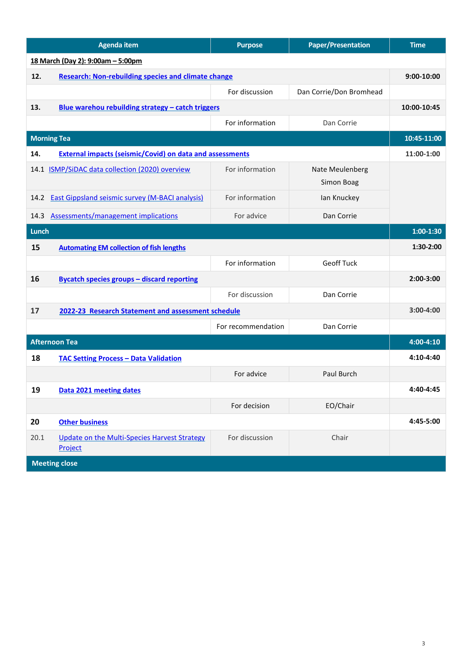| <b>Agenda item</b>   |                                                                 | <b>Purpose</b>     | <b>Paper/Presentation</b> | <b>Time</b> |
|----------------------|-----------------------------------------------------------------|--------------------|---------------------------|-------------|
|                      | 18 March (Day 2): 9:00am - 5:00pm                               |                    |                           |             |
| 12.                  | <b>Research: Non-rebuilding species and climate change</b>      |                    |                           | 9:00-10:00  |
|                      |                                                                 | For discussion     | Dan Corrie/Don Bromhead   |             |
| 13.                  | Blue warehou rebuilding strategy - catch triggers               |                    |                           | 10:00-10:45 |
|                      |                                                                 | For information    | Dan Corrie                |             |
|                      | <b>Morning Tea</b>                                              |                    |                           | 10:45-11:00 |
| 14.                  | <b>External impacts (seismic/Covid) on data and assessments</b> |                    |                           | 11:00-1:00  |
|                      | 14.1 ISMP/SiDAC data collection (2020) overview                 | For information    | Nate Meulenberg           |             |
|                      |                                                                 |                    | Simon Boag                |             |
| 14.2                 | <b>East Gippsland seismic survey (M-BACI analysis)</b>          | For information    | lan Knuckey               |             |
|                      | 14.3 Assessments/management implications                        | For advice         | Dan Corrie                |             |
| Lunch                |                                                                 |                    |                           |             |
| 15                   | <b>Automating EM collection of fish lengths</b>                 |                    |                           | 1:30-2:00   |
|                      |                                                                 | For information    | <b>Geoff Tuck</b>         |             |
| 16                   | <b>Bycatch species groups - discard reporting</b>               |                    |                           | 2:00-3:00   |
|                      |                                                                 | For discussion     | Dan Corrie                |             |
| 17                   | 2022-23 Research Statement and assessment schedule              |                    |                           | 3:00-4:00   |
|                      |                                                                 | For recommendation | Dan Corrie                |             |
| <b>Afternoon Tea</b> |                                                                 |                    | 4:00-4:10                 |             |
| 18                   | <b>TAC Setting Process - Data Validation</b>                    |                    |                           | 4:10-4:40   |
|                      |                                                                 | For advice         | Paul Burch                |             |
| 19                   | Data 2021 meeting dates                                         |                    |                           | 4:40-4:45   |
|                      |                                                                 | For decision       | EO/Chair                  |             |
| 20                   | <b>Other business</b>                                           |                    |                           | 4:45-5:00   |
| 20.1                 | Update on the Multi-Species Harvest Strategy<br>Project         | For discussion     | Chair                     |             |
| <b>Meeting close</b> |                                                                 |                    |                           |             |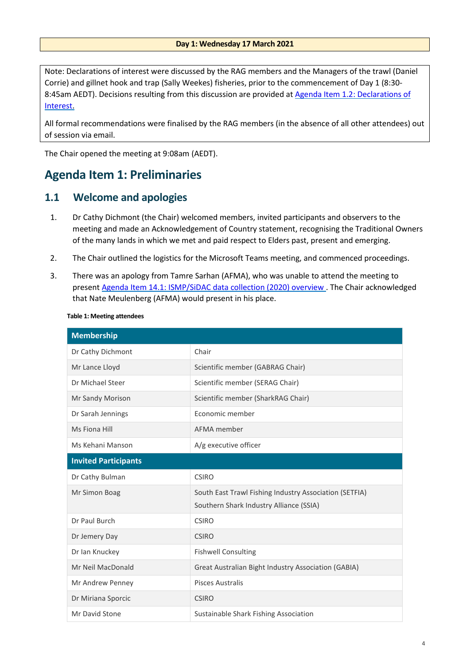Note: Declarations of interest were discussed by the RAG members and the Managers of the trawl (Daniel Corrie) and gillnet hook and trap (Sally Weekes) fisheries, prior to the commencement of Day 1 (8:30- 8:45am AEDT). Decisions resulting from this discussion are provided at [Agenda Item 1.2: Declarations of](#page-4-0)  [Interest.](#page-4-0)

All formal recommendations were finalised by the RAG members (in the absence of all other attendees) out of session via email.

The Chair opened the meeting at 9:08am (AEDT).

# <span id="page-3-0"></span>**Agenda Item 1: Preliminaries**

# <span id="page-3-1"></span>**1.1 Welcome and apologies**

- 1. Dr Cathy Dichmont (the Chair) welcomed members, invited participants and observers to the meeting and made an Acknowledgement of Country statement, recognising the Traditional Owners of the many lands in which we met and paid respect to Elders past, present and emerging.
- 2. The Chair outlined the logistics for the Microsoft Teams meeting, and commenced proceedings.
- 3. There was an apology from Tamre Sarhan (AFMA), who was unable to attend the meeting to present [Agenda Item 14.1: ISMP/SiDAC data collection \(2020\) overview](#page-38-1) . The Chair acknowledged that Nate Meulenberg (AFMA) would present in his place.

| <b>Membership</b>           |                                                        |  |
|-----------------------------|--------------------------------------------------------|--|
| Dr Cathy Dichmont           | Chair                                                  |  |
| Mr Lance Lloyd              | Scientific member (GABRAG Chair)                       |  |
| Dr Michael Steer            | Scientific member (SERAG Chair)                        |  |
| Mr Sandy Morison            | Scientific member (SharkRAG Chair)                     |  |
| Dr Sarah Jennings           | Economic member                                        |  |
| Ms Fiona Hill               | AFMA member                                            |  |
| Ms Kehani Manson            | A/g executive officer                                  |  |
| <b>Invited Participants</b> |                                                        |  |
| Dr Cathy Bulman             | <b>CSIRO</b>                                           |  |
| Mr Simon Boag               | South East Trawl Fishing Industry Association (SETFIA) |  |
|                             | Southern Shark Industry Alliance (SSIA)                |  |
| Dr Paul Burch               | <b>CSIRO</b>                                           |  |
| Dr Jemery Day               | <b>CSIRO</b>                                           |  |
| Dr Ian Knuckey              | <b>Fishwell Consulting</b>                             |  |
| Mr Neil MacDonald           | Great Australian Bight Industry Association (GABIA)    |  |
| Mr Andrew Penney            | <b>Pisces Australis</b>                                |  |
| Dr Miriana Sporcic          | <b>CSIRO</b>                                           |  |
| Mr David Stone              | Sustainable Shark Fishing Association                  |  |

#### **Table 1: Meeting attendees**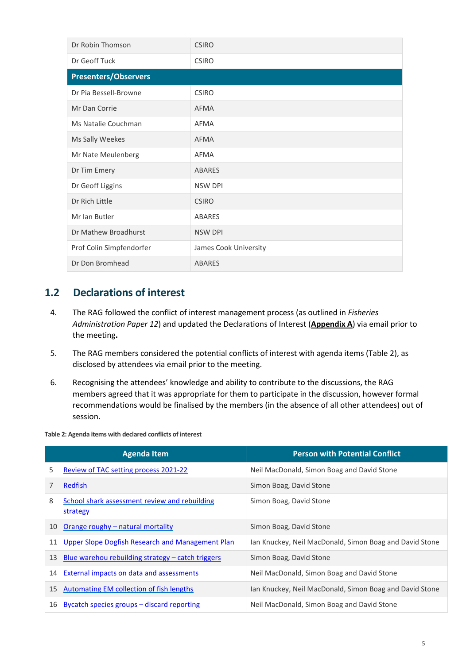| Dr Robin Thomson            | <b>CSIRO</b>          |
|-----------------------------|-----------------------|
| Dr Geoff Tuck               | <b>CSIRO</b>          |
| <b>Presenters/Observers</b> |                       |
| Dr Pia Bessell-Browne       | <b>CSIRO</b>          |
| Mr Dan Corrie               | <b>AFMA</b>           |
| Ms Natalie Couchman         | <b>AFMA</b>           |
| Ms Sally Weekes             | <b>AFMA</b>           |
| Mr Nate Meulenberg          | <b>AFMA</b>           |
| Dr Tim Emery                | <b>ABARES</b>         |
| Dr Geoff Liggins            | <b>NSW DPI</b>        |
| Dr Rich Little              | <b>CSIRO</b>          |
| Mr Ian Butler               | <b>ABARES</b>         |
| Dr Mathew Broadhurst        | <b>NSW DPI</b>        |
| Prof Colin Simpfendorfer    | James Cook University |
| Dr Don Bromhead             | <b>ABARES</b>         |

# <span id="page-4-0"></span>**1.2 Declarations of interest**

- 4. The RAG followed the conflict of interest management process (as outlined in *Fisheries Administration Paper 12*) and updated the Declarations of Interest (**Appendix A**) via email prior to the meeting**.**
- 5. The RAG members considered the potential conflicts of interest with agenda items (Table 2), as disclosed by attendees via email prior to the meeting.
- 6. Recognising the attendees' knowledge and ability to contribute to the discussions, the RAG members agreed that it was appropriate for them to participate in the discussion, however formal recommendations would be finalised by the members (in the absence of all other attendees) out of session.

|    | <b>Agenda Item</b>                                        | <b>Person with Potential Conflict</b>                   |
|----|-----------------------------------------------------------|---------------------------------------------------------|
| 5. | Review of TAC setting process 2021-22                     | Neil MacDonald, Simon Boag and David Stone              |
|    | Redfish                                                   | Simon Boag, David Stone                                 |
| 8  | School shark assessment review and rebuilding<br>strategy | Simon Boag, David Stone                                 |
| 10 | Orange roughy - natural mortality                         | Simon Boag, David Stone                                 |
| 11 | Upper Slope Dogfish Research and Management Plan          | Ian Knuckey, Neil MacDonald, Simon Boag and David Stone |
| 13 | Blue warehou rebuilding strategy – catch triggers         | Simon Boag, David Stone                                 |
| 14 | External impacts on data and assessments                  | Neil MacDonald, Simon Boag and David Stone              |
| 15 | Automating EM collection of fish lengths                  | Ian Knuckey, Neil MacDonald, Simon Boag and David Stone |
| 16 | Bycatch species groups – discard reporting                | Neil MacDonald, Simon Boag and David Stone              |

**Table 2: Agenda items with declared conflicts of interest**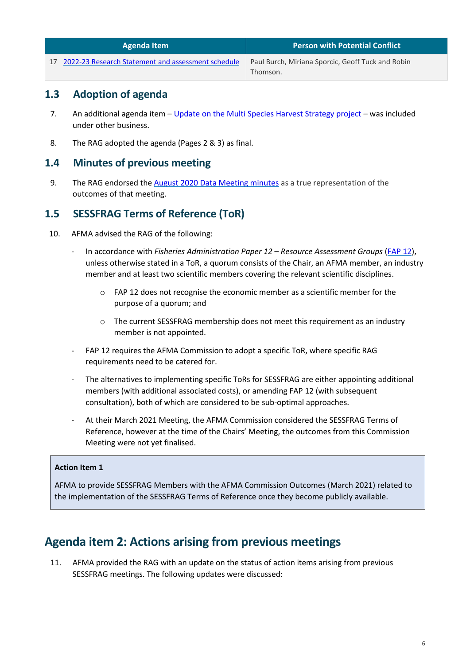| Agenda Item                                           | Person with Potential Conflict                    |
|-------------------------------------------------------|---------------------------------------------------|
| 17 2022-23 Research Statement and assessment schedule | Paul Burch, Miriana Sporcic, Geoff Tuck and Robin |
|                                                       | Thomson.                                          |

# <span id="page-5-0"></span>**1.3 Adoption of agenda**

- 7. An additional agenda item [Update on the Multi Species Harvest Strategy project](#page-52-2) was included under other business.
- 8. The RAG adopted the agenda (Pages 2 & 3) as final.

# <span id="page-5-1"></span>**1.4 Minutes of previous meeting**

9. The RAG endorsed the [August 2020 Data Meeting minutes](https://www.afma.gov.au/sites/default/files/sessfrag_data_meeting_2020_-_final_meeting_minutes.pdf) as a true representation of the outcomes of that meeting.

# <span id="page-5-2"></span>**1.5 SESSFRAG Terms of Reference (ToR)**

- 10. AFMA advised the RAG of the following:
	- In accordance with *Fisheries Administration Paper 12 – Resource Assessment Groups* [\(FAP 12\)](https://www.afma.gov.au/sites/default/files/fisheries_administration_paper_12_-_final_draft.pdf), unless otherwise stated in a ToR, a quorum consists of the Chair, an AFMA member, an industry member and at least two scientific members covering the relevant scientific disciplines.
		- $\circ$  FAP 12 does not recognise the economic member as a scientific member for the purpose of a quorum; and
		- o The current SESSFRAG membership does not meet this requirement as an industry member is not appointed.
	- FAP 12 requires the AFMA Commission to adopt a specific ToR, where specific RAG requirements need to be catered for.
	- The alternatives to implementing specific ToRs for SESSFRAG are either appointing additional members (with additional associated costs), or amending FAP 12 (with subsequent consultation), both of which are considered to be sub-optimal approaches.
	- At their March 2021 Meeting, the AFMA Commission considered the SESSFRAG Terms of Reference, however at the time of the Chairs' Meeting, the outcomes from this Commission Meeting were not yet finalised.

# **Action Item 1**

AFMA to provide SESSFRAG Members with the AFMA Commission Outcomes (March 2021) related to the implementation of the SESSFRAG Terms of Reference once they become publicly available.

# <span id="page-5-3"></span>**Agenda item 2: Actions arising from previous meetings**

11. AFMA provided the RAG with an update on the status of action items arising from previous SESSFRAG meetings. The following updates were discussed: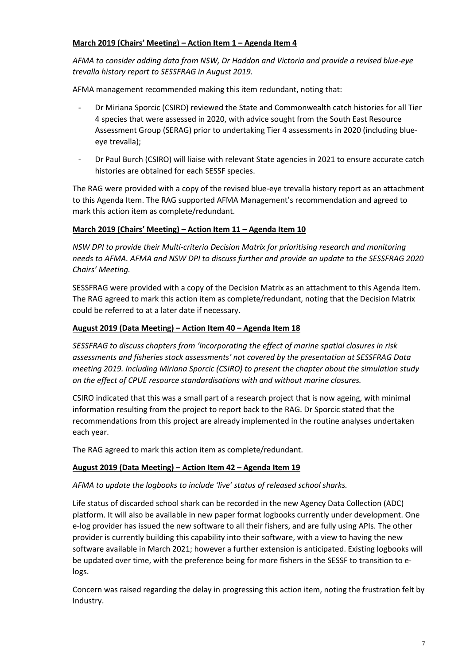## **March 2019 (Chairs' Meeting) – Action Item 1 – Agenda Item 4**

*AFMA to consider adding data from NSW, Dr Haddon and Victoria and provide a revised blue-eye trevalla history report to SESSFRAG in August 2019.*

AFMA management recommended making this item redundant, noting that:

- Dr Miriana Sporcic (CSIRO) reviewed the State and Commonwealth catch histories for all Tier 4 species that were assessed in 2020, with advice sought from the South East Resource Assessment Group (SERAG) prior to undertaking Tier 4 assessments in 2020 (including blueeye trevalla);
- Dr Paul Burch (CSIRO) will liaise with relevant State agencies in 2021 to ensure accurate catch histories are obtained for each SESSF species.

The RAG were provided with a copy of the revised blue-eye trevalla history report as an attachment to this Agenda Item. The RAG supported AFMA Management's recommendation and agreed to mark this action item as complete/redundant.

# **March 2019 (Chairs' Meeting) – Action Item 11 – Agenda Item 10**

*NSW DPI to provide their Multi-criteria Decision Matrix for prioritising research and monitoring needs to AFMA. AFMA and NSW DPI to discuss further and provide an update to the SESSFRAG 2020 Chairs' Meeting.*

SESSFRAG were provided with a copy of the Decision Matrix as an attachment to this Agenda Item. The RAG agreed to mark this action item as complete/redundant, noting that the Decision Matrix could be referred to at a later date if necessary.

## **August 2019 (Data Meeting) – Action Item 40 – Agenda Item 18**

*SESSFRAG to discuss chapters from 'Incorporating the effect of marine spatial closures in risk assessments and fisheries stock assessments' not covered by the presentation at SESSFRAG Data meeting 2019. Including Miriana Sporcic (CSIRO) to present the chapter about the simulation study on the effect of CPUE resource standardisations with and without marine closures.* 

CSIRO indicated that this was a small part of a research project that is now ageing, with minimal information resulting from the project to report back to the RAG. Dr Sporcic stated that the recommendations from this project are already implemented in the routine analyses undertaken each year.

The RAG agreed to mark this action item as complete/redundant.

### **August 2019 (Data Meeting) – Action Item 42 – Agenda Item 19**

# *AFMA to update the logbooks to include 'live' status of released school sharks.*

Life status of discarded school shark can be recorded in the new Agency Data Collection (ADC) platform. It will also be available in new paper format logbooks currently under development. One e-log provider has issued the new software to all their fishers, and are fully using APIs. The other provider is currently building this capability into their software, with a view to having the new software available in March 2021; however a further extension is anticipated. Existing logbooks will be updated over time, with the preference being for more fishers in the SESSF to transition to elogs.

Concern was raised regarding the delay in progressing this action item, noting the frustration felt by Industry.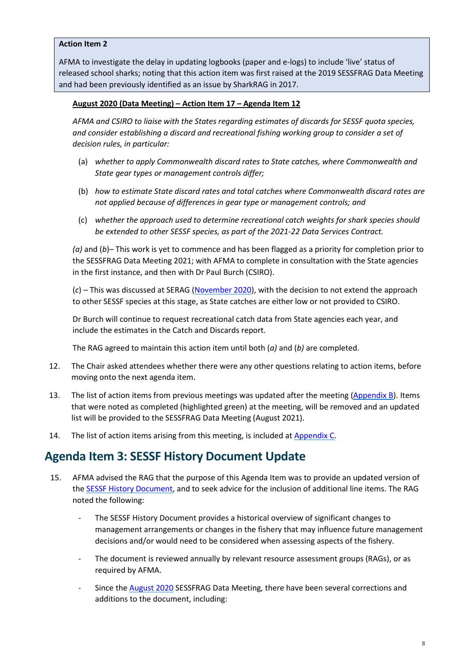#### **Action Item 2**

AFMA to investigate the delay in updating logbooks (paper and e-logs) to include 'live' status of released school sharks; noting that this action item was first raised at the 2019 SESSFRAG Data Meeting and had been previously identified as an issue by SharkRAG in 2017.

#### **August 2020 (Data Meeting) – Action Item 17 – Agenda Item 12**

*AFMA and CSIRO to liaise with the States regarding estimates of discards for SESSF quota species, and consider establishing a discard and recreational fishing working group to consider a set of decision rules, in particular:*

- (a) *whether to apply Commonwealth discard rates to State catches, where Commonwealth and State gear types or management controls differ;*
- (b) *how to estimate State discard rates and total catches where Commonwealth discard rates are not applied because of differences in gear type or management controls; and*
- (c) *whether the approach used to determine recreational catch weights for shark species should be extended to other SESSF species, as part of the 2021-22 Data Services Contract.*

*(a)* and (*b*)– This work is yet to commence and has been flagged as a priority for completion prior to the SESSFRAG Data Meeting 2021; with AFMA to complete in consultation with the State agencies in the first instance, and then with Dr Paul Burch (CSIRO).

(*c*) *–* This was discussed at SERAG [\(November 2020\)](https://www.afma.gov.au/sites/default/files/serag_2.1_nov_2020_minutes_final.pdf), with the decision to not extend the approach to other SESSF species at this stage, as State catches are either low or not provided to CSIRO.

Dr Burch will continue to request recreational catch data from State agencies each year, and include the estimates in the Catch and Discards report.

The RAG agreed to maintain this action item until both (*a)* and (*b)* are completed.

- 12. The Chair asked attendees whether there were any other questions relating to action items, before moving onto the next agenda item.
- 13. The list of action items from previous meetings was updated after the meeting [\(Appendix B\)](#page-62-0). Items that were noted as completed (highlighted green) at the meeting, will be removed and an updated list will be provided to the SESSFRAG Data Meeting (August 2021).
- 14. The list of action items arising from this meeting, is included at [Appendix C.](#page-78-0)

# <span id="page-7-0"></span>**Agenda Item 3: SESSF History Document Update**

- 15. AFMA advised the RAG that the purpose of this Agenda Item was to provide an updated version of the **SESSF History Document**, and to seek advice for the inclusion of additional line items. The RAG noted the following:
	- The SESSF History Document provides a historical overview of significant changes to management arrangements or changes in the fishery that may influence future management decisions and/or would need to be considered when assessing aspects of the fishery.
	- The document is reviewed annually by relevant resource assessment groups (RAGs), or as required by AFMA.
	- Since the [August 2020](https://www.afma.gov.au/sites/default/files/sessfrag_data_meeting_2020_-_final_meeting_minutes.pdf) SESSFRAG Data Meeting, there have been several corrections and additions to the document, including: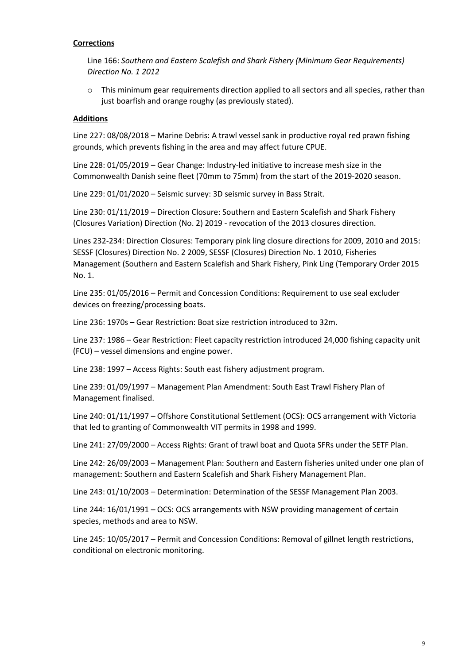#### **Corrections**

Line 166: *Southern and Eastern Scalefish and Shark Fishery (Minimum Gear Requirements) Direction No. 1 2012*

 $\circ$  This minimum gear requirements direction applied to all sectors and all species, rather than just boarfish and orange roughy (as previously stated).

#### **Additions**

Line 227: 08/08/2018 – Marine Debris: A trawl vessel sank in productive royal red prawn fishing grounds, which prevents fishing in the area and may affect future CPUE.

Line 228: 01/05/2019 – Gear Change: Industry-led initiative to increase mesh size in the Commonwealth Danish seine fleet (70mm to 75mm) from the start of the 2019-2020 season.

Line 229: 01/01/2020 – Seismic survey: 3D seismic survey in Bass Strait.

Line 230: 01/11/2019 – Direction Closure: Southern and Eastern Scalefish and Shark Fishery (Closures Variation) Direction (No. 2) 2019 - revocation of the 2013 closures direction.

Lines 232-234: Direction Closures: Temporary pink ling closure directions for 2009, 2010 and 2015: SESSF (Closures) Direction No. 2 2009, SESSF (Closures) Direction No. 1 2010, Fisheries Management (Southern and Eastern Scalefish and Shark Fishery, Pink Ling (Temporary Order 2015 No. 1.

Line 235: 01/05/2016 – Permit and Concession Conditions: Requirement to use seal excluder devices on freezing/processing boats.

Line 236: 1970s – Gear Restriction: Boat size restriction introduced to 32m.

Line 237: 1986 – Gear Restriction: Fleet capacity restriction introduced 24,000 fishing capacity unit (FCU) – vessel dimensions and engine power.

Line 238: 1997 – Access Rights: South east fishery adjustment program.

Line 239: 01/09/1997 – Management Plan Amendment: South East Trawl Fishery Plan of Management finalised.

Line 240: 01/11/1997 – Offshore Constitutional Settlement (OCS): OCS arrangement with Victoria that led to granting of Commonwealth VIT permits in 1998 and 1999.

Line 241: 27/09/2000 – Access Rights: Grant of trawl boat and Quota SFRs under the SETF Plan.

Line 242: 26/09/2003 – Management Plan: Southern and Eastern fisheries united under one plan of management: Southern and Eastern Scalefish and Shark Fishery Management Plan.

Line 243: 01/10/2003 – Determination: Determination of the SESSF Management Plan 2003.

Line 244: 16/01/1991 – OCS: OCS arrangements with NSW providing management of certain species, methods and area to NSW.

Line 245: 10/05/2017 – Permit and Concession Conditions: Removal of gillnet length restrictions, conditional on electronic monitoring.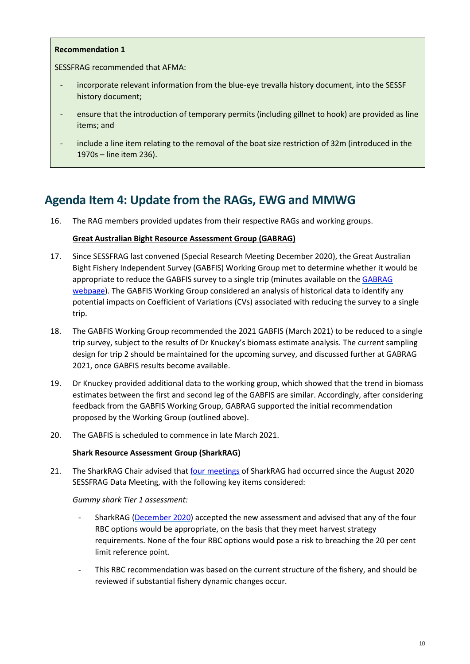#### **Recommendation 1**

SESSFRAG recommended that AFMA:

- incorporate relevant information from the blue-eye trevalla history document, into the SESSF history document;
- ensure that the introduction of temporary permits (including gillnet to hook) are provided as line items; and
- include a line item relating to the removal of the boat size restriction of 32m (introduced in the 1970s – line item 236).

# <span id="page-9-0"></span>**Agenda Item 4: Update from the RAGs, EWG and MMWG**

16. The RAG members provided updates from their respective RAGs and working groups.

#### **Great Australian Bight Resource Assessment Group (GABRAG)**

- 17. Since SESSFRAG last convened (Special Research Meeting December 2020), the Great Australian Bight Fishery Independent Survey (GABFIS) Working Group met to determine whether it would be appropriate to reduce the GABFIS survey to a single trip (minutes available on the GABRAG [webpage\)](https://www.afma.gov.au/sites/default/files/gabfis_wg_minutes_-_final.pdf). The GABFIS Working Group considered an analysis of historical data to identify any potential impacts on Coefficient of Variations (CVs) associated with reducing the survey to a single trip.
- 18. The GABFIS Working Group recommended the 2021 GABFIS (March 2021) to be reduced to a single trip survey, subject to the results of Dr Knuckey's biomass estimate analysis. The current sampling design for trip 2 should be maintained for the upcoming survey, and discussed further at GABRAG 2021, once GABFIS results become available.
- 19. Dr Knuckey provided additional data to the working group, which showed that the trend in biomass estimates between the first and second leg of the GABFIS are similar. Accordingly, after considering feedback from the GABFIS Working Group, GABRAG supported the initial recommendation proposed by the Working Group (outlined above).
- 20. The GABFIS is scheduled to commence in late March 2021.

#### **Shark Resource Assessment Group (SharkRAG)**

21. The SharkRAG Chair advised that [four meetings](https://www.afma.gov.au/fisheries/committees/shark-resource-assessment-group/shark-resource-assessment-group-past-meetings) of SharkRAG had occurred since the August 2020 SESSFRAG Data Meeting, with the following key items considered:

*Gummy shark Tier 1 assessment:*

- SharkRAG [\(December 2020\)](https://www.afma.gov.au/sites/default/files/sharkrag9_minutes_final.pdf) accepted the new assessment and advised that any of the four RBC options would be appropriate, on the basis that they meet harvest strategy requirements. None of the four RBC options would pose a risk to breaching the 20 per cent limit reference point.
- This RBC recommendation was based on the current structure of the fishery, and should be reviewed if substantial fishery dynamic changes occur.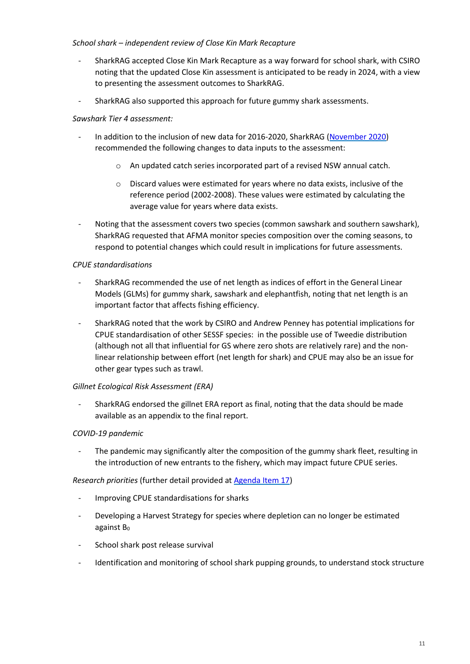### *School shark – independent review of Close Kin Mark Recapture*

- SharkRAG accepted Close Kin Mark Recapture as a way forward for school shark, with CSIRO noting that the updated Close Kin assessment is anticipated to be ready in 2024, with a view to presenting the assessment outcomes to SharkRAG.
- SharkRAG also supported this approach for future gummy shark assessments.

### *Sawshark Tier 4 assessment:*

- In addition to the inclusion of new data for 2016-2020, SharkRAG [\(November 2020\)](https://www.afma.gov.au/sites/default/files/sharkrag_8_minutes_final.pdf) recommended the following changes to data inputs to the assessment:
	- o An updated catch series incorporated part of a revised NSW annual catch.
	- o Discard values were estimated for years where no data exists, inclusive of the reference period (2002-2008). These values were estimated by calculating the average value for years where data exists.
- Noting that the assessment covers two species (common sawshark and southern sawshark), SharkRAG requested that AFMA monitor species composition over the coming seasons, to respond to potential changes which could result in implications for future assessments.

#### *CPUE standardisations*

- SharkRAG recommended the use of net length as indices of effort in the General Linear Models (GLMs) for gummy shark, sawshark and elephantfish, noting that net length is an important factor that affects fishing efficiency.
- SharkRAG noted that the work by CSIRO and Andrew Penney has potential implications for CPUE standardisation of other SESSF species: in the possible use of Tweedie distribution (although not all that influential for GS where zero shots are relatively rare) and the nonlinear relationship between effort (net length for shark) and CPUE may also be an issue for other gear types such as trawl.

#### *Gillnet Ecological Risk Assessment (ERA)*

- SharkRAG endorsed the gillnet ERA report as final, noting that the data should be made available as an appendix to the final report.

### *COVID-19 pandemic*

The pandemic may significantly alter the composition of the gummy shark fleet, resulting in the introduction of new entrants to the fishery, which may impact future CPUE series.

#### *Research priorities* (further detail provided at [Agenda Item 17\)](#page-47-0)

- Improving CPUE standardisations for sharks
- Developing a Harvest Strategy for species where depletion can no longer be estimated against  $B_0$
- School shark post release survival
- Identification and monitoring of school shark pupping grounds, to understand stock structure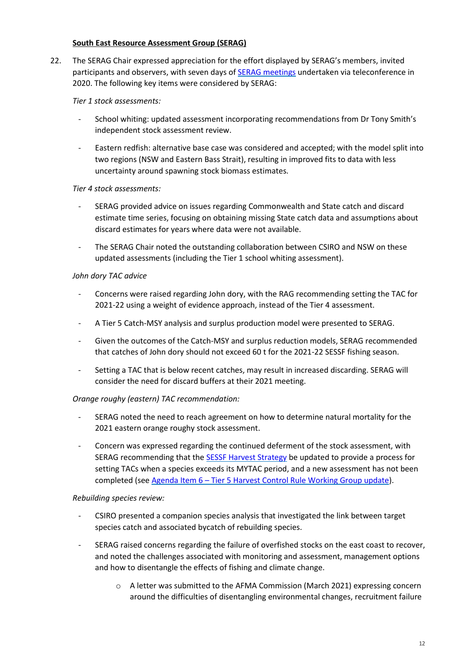#### **South East Resource Assessment Group (SERAG)**

22. The SERAG Chair expressed appreciation for the effort displayed by SERAG's members, invited participants and observers, with seven days of **SERAG** meetings undertaken via teleconference in 2020. The following key items were considered by SERAG:

#### *Tier 1 stock assessments:*

- School whiting: updated assessment incorporating recommendations from Dr Tony Smith's independent stock assessment review.
- Eastern redfish: alternative base case was considered and accepted; with the model split into two regions (NSW and Eastern Bass Strait), resulting in improved fits to data with less uncertainty around spawning stock biomass estimates.

#### *Tier 4 stock assessments:*

- SERAG provided advice on issues regarding Commonwealth and State catch and discard estimate time series, focusing on obtaining missing State catch data and assumptions about discard estimates for years where data were not available.
- The SERAG Chair noted the outstanding collaboration between CSIRO and NSW on these updated assessments (including the Tier 1 school whiting assessment).

#### *John dory TAC advice*

- Concerns were raised regarding John dory, with the RAG recommending setting the TAC for 2021-22 using a weight of evidence approach, instead of the Tier 4 assessment.
- A Tier 5 Catch-MSY analysis and surplus production model were presented to SERAG.
- Given the outcomes of the Catch-MSY and surplus reduction models, SERAG recommended that catches of John dory should not exceed 60 t for the 2021-22 SESSF fishing season.
- Setting a TAC that is below recent catches, may result in increased discarding. SERAG will consider the need for discard buffers at their 2021 meeting.

### *Orange roughy (eastern) TAC recommendation:*

- SERAG noted the need to reach agreement on how to determine natural mortality for the 2021 eastern orange roughy stock assessment.
- Concern was expressed regarding the continued deferment of the stock assessment, with SERAG recommending that the [SESSF Harvest Strategy](https://www.afma.gov.au/sites/default/files/sessf_harvest_strategy_amended_2020.pdf) be updated to provide a process for setting TACs when a species exceeds its MYTAC period, and a new assessment has not been completed (see Agenda Item 6 – [Tier 5 Harvest Control Rule Working Group update\)](#page-13-0).

#### *Rebuilding species review:*

- CSIRO presented a companion species analysis that investigated the link between target species catch and associated bycatch of rebuilding species.
- SERAG raised concerns regarding the failure of overfished stocks on the east coast to recover, and noted the challenges associated with monitoring and assessment, management options and how to disentangle the effects of fishing and climate change.
	- o A letter was submitted to the AFMA Commission (March 2021) expressing concern around the difficulties of disentangling environmental changes, recruitment failure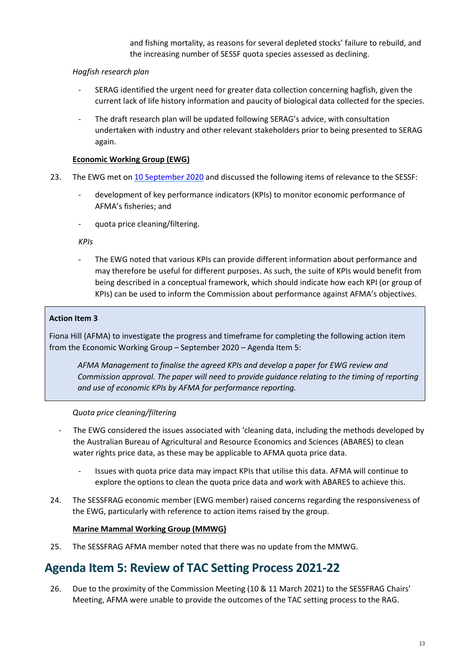and fishing mortality, as reasons for several depleted stocks' failure to rebuild, and the increasing number of SESSF quota species assessed as declining.

## *Hagfish research plan*

- SERAG identified the urgent need for greater data collection concerning hagfish, given the current lack of life history information and paucity of biological data collected for the species.
- The draft research plan will be updated following SERAG's advice, with consultation undertaken with industry and other relevant stakeholders prior to being presented to SERAG again.

## **Economic Working Group (EWG)**

- 23. The EWG met on [10 September 2020](https://www.afma.gov.au/sites/default/files/10_sep_2020_-_economic_working_group_meeting_minutes.pdf) and discussed the following items of relevance to the SESSF:
	- development of key performance indicators (KPIs) to monitor economic performance of AFMA's fisheries; and
	- quota price cleaning/filtering.

*KPIs*

The EWG noted that various KPIs can provide different information about performance and may therefore be useful for different purposes. As such, the suite of KPIs would benefit from being described in a conceptual framework, which should indicate how each KPI (or group of KPIs) can be used to inform the Commission about performance against AFMA's objectives.

# **Action Item 3**

Fiona Hill (AFMA) to investigate the progress and timeframe for completing the following action item from the Economic Working Group – September 2020 – Agenda Item 5:

*AFMA Management to finalise the agreed KPIs and develop a paper for EWG review and Commission approval. The paper will need to provide guidance relating to the timing of reporting and use of economic KPIs by AFMA for performance reporting.*

### *Quota price cleaning/filtering*

- The EWG considered the issues associated with 'cleaning data, including the methods developed by the Australian Bureau of Agricultural and Resource Economics and Sciences (ABARES) to clean water rights price data, as these may be applicable to AFMA quota price data.
	- Issues with quota price data may impact KPIs that utilise this data. AFMA will continue to explore the options to clean the quota price data and work with ABARES to achieve this.
- 24. The SESSFRAG economic member (EWG member) raised concerns regarding the responsiveness of the EWG, particularly with reference to action items raised by the group.

### **Marine Mammal Working Group (MMWG)**

25. The SESSFRAG AFMA member noted that there was no update from the MMWG.

# <span id="page-12-0"></span>**Agenda Item 5: Review of TAC Setting Process 2021-22**

26. Due to the proximity of the Commission Meeting (10 & 11 March 2021) to the SESSFRAG Chairs' Meeting, AFMA were unable to provide the outcomes of the TAC setting process to the RAG.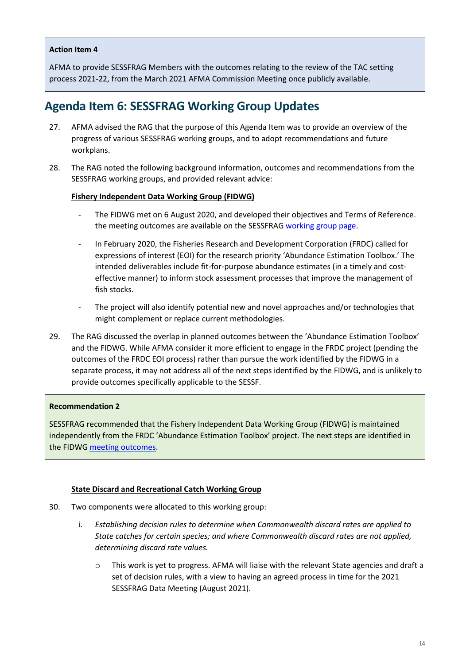### <span id="page-13-0"></span>**Action Item 4**

AFMA to provide SESSFRAG Members with the outcomes relating to the review of the TAC setting process 2021-22, from the March 2021 AFMA Commission Meeting once publicly available.

# **Agenda Item 6: SESSFRAG Working Group Updates**

- 27. AFMA advised the RAG that the purpose of this Agenda Item was to provide an overview of the progress of various SESSFRAG working groups, and to adopt recommendations and future workplans.
- 28. The RAG noted the following background information, outcomes and recommendations from the SESSFRAG working groups, and provided relevant advice:

#### **Fishery Independent Data Working Group (FIDWG)**

- The FIDWG met on 6 August 2020, and developed their objectives and Terms of Reference. the meeting outcomes are available on the SESSFRAG [working group page.](https://www.afma.gov.au/sites/default/files/fid_working_group_-_august_2020_meeting_outcomes.pdf)
- In February 2020, the Fisheries Research and Development Corporation (FRDC) called for expressions of interest (EOI) for the research priority 'Abundance Estimation Toolbox.' The intended deliverables include fit-for-purpose abundance estimates (in a timely and costeffective manner) to inform stock assessment processes that improve the management of fish stocks.
- The project will also identify potential new and novel approaches and/or technologies that might complement or replace current methodologies.
- 29. The RAG discussed the overlap in planned outcomes between the 'Abundance Estimation Toolbox' and the FIDWG. While AFMA consider it more efficient to engage in the FRDC project (pending the outcomes of the FRDC EOI process) rather than pursue the work identified by the FIDWG in a separate process, it may not address all of the next steps identified by the FIDWG, and is unlikely to provide outcomes specifically applicable to the SESSF.

#### **Recommendation 2**

SESSFRAG recommended that the Fishery Independent Data Working Group (FIDWG) is maintained independently from the FRDC 'Abundance Estimation Toolbox' project. The next steps are identified in the FIDW[G meeting outcomes.](https://www.afma.gov.au/sites/default/files/fid_working_group_-_august_2020_meeting_outcomes.pdf)

#### **State Discard and Recreational Catch Working Group**

- 30. Two components were allocated to this working group:
	- i. *Establishing decision rules to determine when Commonwealth discard rates are applied to State catches for certain species; and where Commonwealth discard rates are not applied, determining discard rate values.*
		- o This work is yet to progress. AFMA will liaise with the relevant State agencies and draft a set of decision rules, with a view to having an agreed process in time for the 2021 SESSFRAG Data Meeting (August 2021).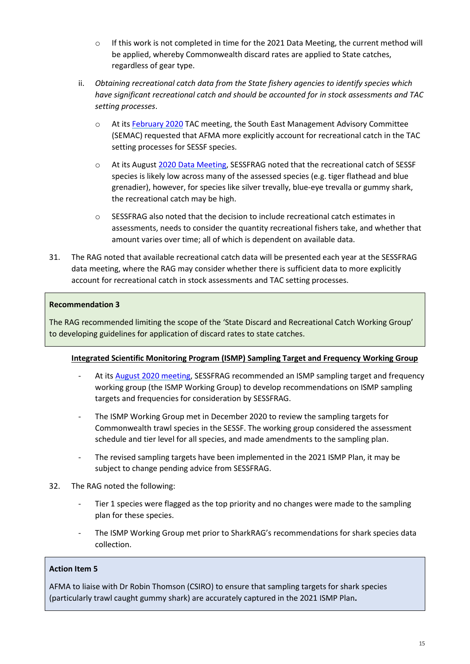- $\circ$  If this work is not completed in time for the 2021 Data Meeting, the current method will be applied, whereby Commonwealth discard rates are applied to State catches, regardless of gear type.
- ii. *Obtaining recreational catch data from the State fishery agencies to identify species which have significant recreational catch and should be accounted for in stock assessments and TAC setting processes*.
	- o At its [February 2020](https://www.afma.gov.au/sites/default/files/semac_42_-_minutes_-_cleared_10032021.pdf) TAC meeting, the South East Management Advisory Committee (SEMAC) requested that AFMA more explicitly account for recreational catch in the TAC setting processes for SESSF species.
	- o At its August [2020 Data Meeting,](https://www.afma.gov.au/sites/default/files/sessfrag_data_meeting_2020_-_final_meeting_minutes.pdf) SESSFRAG noted that the recreational catch of SESSF species is likely low across many of the assessed species (e.g. tiger flathead and blue grenadier), however, for species like silver trevally, blue-eye trevalla or gummy shark, the recreational catch may be high.
	- $\circ$  SESSFRAG also noted that the decision to include recreational catch estimates in assessments, needs to consider the quantity recreational fishers take, and whether that amount varies over time; all of which is dependent on available data.
- 31. The RAG noted that available recreational catch data will be presented each year at the SESSFRAG data meeting, where the RAG may consider whether there is sufficient data to more explicitly account for recreational catch in stock assessments and TAC setting processes.

### **Recommendation 3**

The RAG recommended limiting the scope of the 'State Discard and Recreational Catch Working Group' to developing guidelines for application of discard rates to state catches.

### **Integrated Scientific Monitoring Program (ISMP) Sampling Target and Frequency Working Group**

- At its [August 2020 meeting,](https://www.afma.gov.au/sites/default/files/sessfrag_data_meeting_2020_-_final_meeting_minutes.pdf) SESSFRAG recommended an ISMP sampling target and frequency working group (the ISMP Working Group) to develop recommendations on ISMP sampling targets and frequencies for consideration by SESSFRAG.
- The ISMP Working Group met in December 2020 to review the sampling targets for Commonwealth trawl species in the SESSF. The working group considered the assessment schedule and tier level for all species, and made amendments to the sampling plan.
- The revised sampling targets have been implemented in the 2021 ISMP Plan, it may be subject to change pending advice from SESSFRAG.
- 32. The RAG noted the following:
	- Tier 1 species were flagged as the top priority and no changes were made to the sampling plan for these species.
	- The ISMP Working Group met prior to SharkRAG's recommendations for shark species data collection.

### **Action Item 5**

AFMA to liaise with Dr Robin Thomson (CSIRO) to ensure that sampling targets for shark species (particularly trawl caught gummy shark) are accurately captured in the 2021 ISMP Plan**.**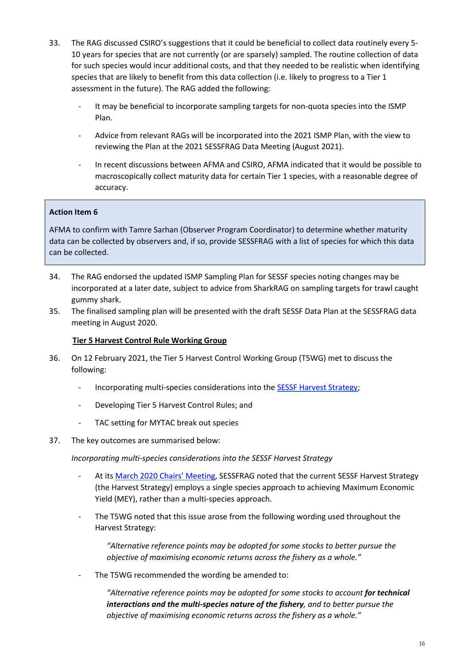- 33. The RAG discussed CSIRO's suggestions that it could be beneficial to collect data routinely every 5- 10 years for species that are not currently (or are sparsely) sampled. The routine collection of data for such species would incur additional costs, and that they needed to be realistic when identifying species that are likely to benefit from this data collection (i.e. likely to progress to a Tier 1 assessment in the future). The RAG added the following:
	- It may be beneficial to incorporate sampling targets for non-quota species into the ISMP Plan.
	- Advice from relevant RAGs will be incorporated into the 2021 ISMP Plan, with the view to reviewing the Plan at the 2021 SESSFRAG Data Meeting (August 2021).
	- In recent discussions between AFMA and CSIRO, AFMA indicated that it would be possible to macroscopically collect maturity data for certain Tier 1 species, with a reasonable degree of accuracy.

### **Action Item 6**

AFMA to confirm with Tamre Sarhan (Observer Program Coordinator) to determine whether maturity data can be collected by observers and, if so, provide SESSFRAG with a list of species for which this data can be collected.

- 34. The RAG endorsed the updated ISMP Sampling Plan for SESSF species noting changes may be incorporated at a later date, subject to advice from SharkRAG on sampling targets for trawl caught gummy shark.
- 35. The finalised sampling plan will be presented with the draft SESSF Data Plan at the SESSFRAG data meeting in August 2020.

### **Tier 5 Harvest Control Rule Working Group**

- 36. On 12 February 2021, the Tier 5 Harvest Control Working Group (T5WG) met to discuss the following:
	- Incorporating multi-species considerations into the [SESSF Harvest Strategy;](https://www.afma.gov.au/sites/default/files/sessf_harvest_strategy_amended_2020.pdf)
	- Developing Tier 5 Harvest Control Rules; and
	- TAC setting for MYTAC break out species
- 37. The key outcomes are summarised below:

#### *Incorporating multi-species considerations into the SESSF Harvest Strategy*

- At its [March 2020 Chairs' Meeting,](https://www.afma.gov.au/sites/default/files/sessfrag_chairs_meeting_minutes_27_march_2020.pdf) SESSFRAG noted that the current SESSF Harvest Strategy (the Harvest Strategy) employs a single species approach to achieving Maximum Economic Yield (MEY), rather than a multi-species approach.
- The T5WG noted that this issue arose from the following wording used throughout the Harvest Strategy:

*"Alternative reference points may be adopted for some stocks to better pursue the objective of maximising economic returns across the fishery as a whole."*

The T5WG recommended the wording be amended to:

"Alternative reference points may be adopted for some stocks to account for technical *interactions and the multi-species nature of the fishery, and to better pursue the objective of maximising economic returns across the fishery as a whole."*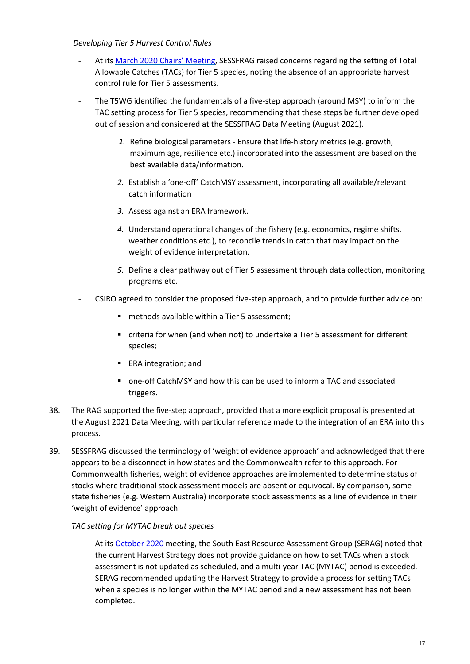### *Developing Tier 5 Harvest Control Rules*

- At its [March 2020 Chairs' Meeting,](https://www.afma.gov.au/sites/default/files/sessfrag_chairs_meeting_minutes_27_march_2020.pdf) SESSFRAG raised concerns regarding the setting of Total Allowable Catches (TACs) for Tier 5 species, noting the absence of an appropriate harvest control rule for Tier 5 assessments.
- The T5WG identified the fundamentals of a five-step approach (around MSY) to inform the TAC setting process for Tier 5 species, recommending that these steps be further developed out of session and considered at the SESSFRAG Data Meeting (August 2021).
	- *1.* Refine biological parameters Ensure that life-history metrics (e.g. growth, maximum age, resilience etc.) incorporated into the assessment are based on the best available data/information.
	- *2.* Establish a 'one-off' CatchMSY assessment, incorporating all available/relevant catch information
	- *3.* Assess against an ERA framework.
	- *4.* Understand operational changes of the fishery (e.g. economics, regime shifts, weather conditions etc.), to reconcile trends in catch that may impact on the weight of evidence interpretation.
	- *5.* Define a clear pathway out of Tier 5 assessment through data collection, monitoring programs etc.
- CSIRO agreed to consider the proposed five-step approach, and to provide further advice on:
	- methods available within a Tier 5 assessment:
	- criteria for when (and when not) to undertake a Tier 5 assessment for different species;
	- **ERA** integration; and
	- one-off CatchMSY and how this can be used to inform a TAC and associated triggers.
- 38. The RAG supported the five-step approach, provided that a more explicit proposal is presented at the August 2021 Data Meeting, with particular reference made to the integration of an ERA into this process.
- 39. SESSFRAG discussed the terminology of 'weight of evidence approach' and acknowledged that there appears to be a disconnect in how states and the Commonwealth refer to this approach. For Commonwealth fisheries, weight of evidence approaches are implemented to determine status of stocks where traditional stock assessment models are absent or equivocal. By comparison, some state fisheries (e.g. Western Australia) incorporate stock assessments as a line of evidence in their 'weight of evidence' approach.

#### *TAC setting for MYTAC break out species*

At its [October 2020](https://www.afma.gov.au/sites/default/files/serag_1_oct_2020_minutes_final.pdf) meeting, the South East Resource Assessment Group (SERAG) noted that the current Harvest Strategy does not provide guidance on how to set TACs when a stock assessment is not updated as scheduled, and a multi-year TAC (MYTAC) period is exceeded. SERAG recommended updating the Harvest Strategy to provide a process for setting TACs when a species is no longer within the MYTAC period and a new assessment has not been completed.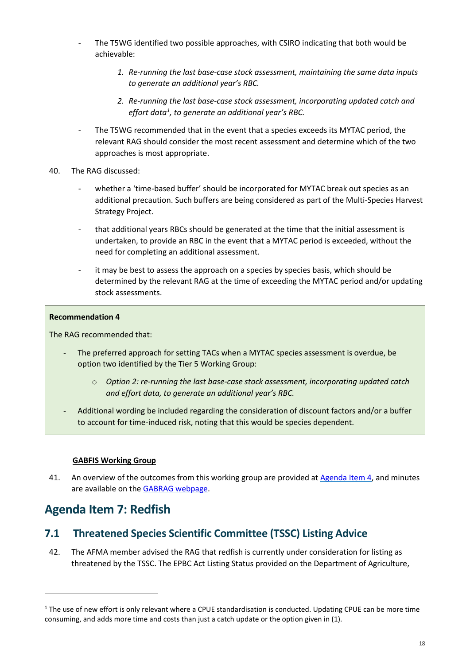- The T5WG identified two possible approaches, with CSIRO indicating that both would be achievable:
	- *1. Re-running the last base-case stock assessment, maintaining the same data inputs to generate an additional year's RBC.*
	- *2. Re-running the last base-case stock assessment, incorporating updated catch and effort data[1](#page-17-2) , to generate an additional year's RBC.*
- The T5WG recommended that in the event that a species exceeds its MYTAC period, the relevant RAG should consider the most recent assessment and determine which of the two approaches is most appropriate.
- 40. The RAG discussed:
	- whether a 'time-based buffer' should be incorporated for MYTAC break out species as an additional precaution. Such buffers are being considered as part of the Multi-Species Harvest Strategy Project.
	- that additional years RBCs should be generated at the time that the initial assessment is undertaken, to provide an RBC in the event that a MYTAC period is exceeded, without the need for completing an additional assessment.
	- it may be best to assess the approach on a species by species basis, which should be determined by the relevant RAG at the time of exceeding the MYTAC period and/or updating stock assessments.

#### **Recommendation 4**

The RAG recommended that:

- The preferred approach for setting TACs when a MYTAC species assessment is overdue, be option two identified by the Tier 5 Working Group:
	- o *Option 2: re-running the last base-case stock assessment, incorporating updated catch and effort data, to generate an additional year's RBC.*
- Additional wording be included regarding the consideration of discount factors and/or a buffer to account for time-induced risk, noting that this would be species dependent.

#### **GABFIS Working Group**

41. An overview of the outcomes from this working group are provided at [Agenda Item 4,](#page-9-0) and minutes are available on the [GABRAG webpage.](https://www.afma.gov.au/sites/default/files/gabfis_wg_minutes_-_final.pdf)

# <span id="page-17-0"></span>**Agenda Item 7: Redfish**

 $\overline{a}$ 

# <span id="page-17-1"></span>**7.1 Threatened Species Scientific Committee (TSSC) Listing Advice**

42. The AFMA member advised the RAG that redfish is currently under consideration for listing as threatened by the TSSC. The EPBC Act Listing Status provided on the Department of Agriculture,

<span id="page-17-2"></span> $1$  The use of new effort is only relevant where a CPUE standardisation is conducted. Updating CPUE can be more time consuming, and adds more time and costs than just a catch update or the option given in (1).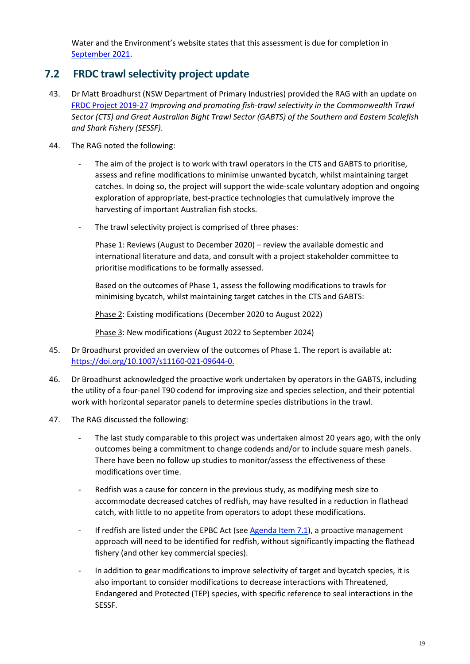Water and the Environment's website states that this assessment is due for completion in [September 2021.](https://www.environment.gov.au/sprat-public/action/fpal-submit;jsessionid=2F90DCC5C8EEB1BEF36A1915B4A43F12)

# <span id="page-18-0"></span>**7.2 FRDC trawl selectivity project update**

- 43. Dr Matt Broadhurst (NSW Department of Primary Industries) provided the RAG with an update on [FRDC Project 2019-27](https://www.frdc.com.au/project/2019-027) *Improving and promoting fish-trawl selectivity in the Commonwealth Trawl Sector (CTS) and Great Australian Bight Trawl Sector (GABTS) of the Southern and Eastern Scalefish and Shark Fishery (SESSF)*.
- 44. The RAG noted the following:
	- The aim of the project is to work with trawl operators in the CTS and GABTS to prioritise, assess and refine modifications to minimise unwanted bycatch, whilst maintaining target catches. In doing so, the project will support the wide-scale voluntary adoption and ongoing exploration of appropriate, best-practice technologies that cumulatively improve the harvesting of important Australian fish stocks.
	- The trawl selectivity project is comprised of three phases:

Phase 1: Reviews (August to December 2020) – review the available domestic and international literature and data, and consult with a project stakeholder committee to prioritise modifications to be formally assessed.

Based on the outcomes of Phase 1, assess the following modifications to trawls for minimising bycatch, whilst maintaining target catches in the CTS and GABTS:

Phase 2: Existing modifications (December 2020 to August 2022)

Phase 3: New modifications (August 2022 to September 2024)

- 45. Dr Broadhurst provided an overview of the outcomes of Phase 1. The report is available at: [https://doi.org/10.1007/s11160-021-09644-0.](https://doi.org/10.1007/s11160-021-09644-0)
- 46. Dr Broadhurst acknowledged the proactive work undertaken by operators in the GABTS, including the utility of a four-panel T90 codend for improving size and species selection, and their potential work with horizontal separator panels to determine species distributions in the trawl.
- 47. The RAG discussed the following:
	- The last study comparable to this project was undertaken almost 20 years ago, with the only outcomes being a commitment to change codends and/or to include square mesh panels. There have been no follow up studies to monitor/assess the effectiveness of these modifications over time.
	- Redfish was a cause for concern in the previous study, as modifying mesh size to accommodate decreased catches of redfish, may have resulted in a reduction in flathead catch, with little to no appetite from operators to adopt these modifications.
	- If redfish are listed under the EPBC Act (see  $A$ genda Item 7.1), a proactive management approach will need to be identified for redfish, without significantly impacting the flathead fishery (and other key commercial species).
	- In addition to gear modifications to improve selectivity of target and bycatch species, it is also important to consider modifications to decrease interactions with Threatened, Endangered and Protected (TEP) species, with specific reference to seal interactions in the SESSF.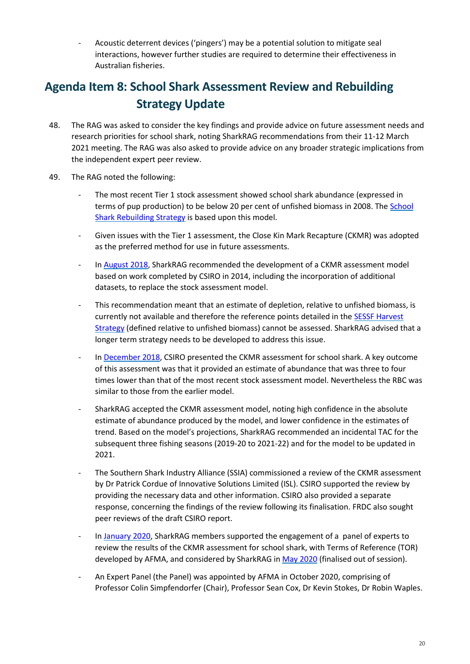- Acoustic deterrent devices ('pingers') may be a potential solution to mitigate seal interactions, however further studies are required to determine their effectiveness in Australian fisheries.

# <span id="page-19-0"></span>**Agenda Item 8: School Shark Assessment Review and Rebuilding Strategy Update**

- 48. The RAG was asked to consider the key findings and provide advice on future assessment needs and research priorities for school shark, noting SharkRAG recommendations from their 11-12 March 2021 meeting. The RAG was also asked to provide advice on any broader strategic implications from the independent expert peer review.
- 49. The RAG noted the following:
	- The most recent Tier 1 stock assessment showed school shark abundance (expressed in terms of pup production) to be below 20 per cent of unfished biomass in 2008. The [School](https://www.afma.gov.au/sites/default/files/uploads/2014/12/School-Shark-Rebuilding-Strategy.pdf)  [Shark Rebuilding Strategy](https://www.afma.gov.au/sites/default/files/uploads/2014/12/School-Shark-Rebuilding-Strategy.pdf) is based upon this model.
	- Given issues with the Tier 1 assessment, the Close Kin Mark Recapture (CKMR) was adopted as the preferred method for use in future assessments.
	- I[n August 2018,](https://www.afma.gov.au/sites/default/files/finalsharkrag_2_2018_minutes_signed.pdf) SharkRAG recommended the development of a CKMR assessment model based on work completed by CSIRO in 2014, including the incorporation of additional datasets, to replace the stock assessment model.
	- This recommendation meant that an estimate of depletion, relative to unfished biomass, is currently not available and therefore the reference points detailed in th[e SESSF Harvest](https://www.afma.gov.au/sites/default/files/sessf_harvest_strategy_amended_2020.pdf)  [Strategy](https://www.afma.gov.au/sites/default/files/sessf_harvest_strategy_amended_2020.pdf) (defined relative to unfished biomass) cannot be assessed. SharkRAG advised that a longer term strategy needs to be developed to address this issue.
	- I[n December 2018,](https://www.afma.gov.au/sites/default/files/sharkrag_4_2018_minutes_final_signed.pdf) CSIRO presented the CKMR assessment for school shark. A key outcome of this assessment was that it provided an estimate of abundance that was three to four times lower than that of the most recent stock assessment model. Nevertheless the RBC was similar to those from the earlier model.
	- SharkRAG accepted the CKMR assessment model, noting high confidence in the absolute estimate of abundance produced by the model, and lower confidence in the estimates of trend. Based on the model's projections, SharkRAG recommended an incidental TAC for the subsequent three fishing seasons (2019-20 to 2021-22) and for the model to be updated in 2021.
	- The Southern Shark Industry Alliance (SSIA) commissioned a review of the CKMR assessment by Dr Patrick Cordue of Innovative Solutions Limited (ISL). CSIRO supported the review by providing the necessary data and other information. CSIRO also provided a separate response, concerning the findings of the review following its finalisation. FRDC also sought peer reviews of the draft CSIRO report.
	- I[n January 2020,](https://www.afma.gov.au/sites/default/files/sharkrag_teleconference_minutes_final.pdf) SharkRAG members supported the engagement of a panel of experts to review the results of the CKMR assessment for school shark, with Terms of Reference (TOR) developed by AFMA, and considered by SharkRAG i[n May 2020](https://www.afma.gov.au/sites/default/files/sharkrag_6_teleconference_minutes_final.pdf) (finalised out of session).
	- An Expert Panel (the Panel) was appointed by AFMA in October 2020, comprising of Professor Colin Simpfendorfer (Chair), Professor Sean Cox, Dr Kevin Stokes, Dr Robin Waples.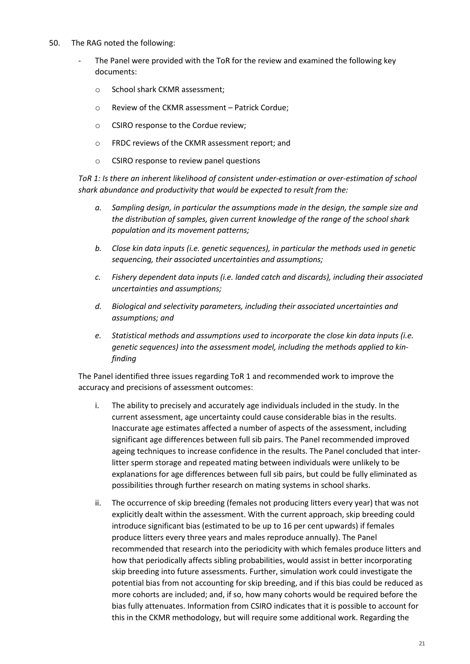- 50. The RAG noted the following:
	- The Panel were provided with the ToR for the review and examined the following key documents:
		- o School shark CKMR assessment;
		- o Review of the CKMR assessment Patrick Cordue;
		- o CSIRO response to the Cordue review;
		- o FRDC reviews of the CKMR assessment report; and
		- o CSIRO response to review panel questions

*ToR 1: Is there an inherent likelihood of consistent under-estimation or over-estimation of school shark abundance and productivity that would be expected to result from the:*

- *a. Sampling design, in particular the assumptions made in the design, the sample size and the distribution of samples, given current knowledge of the range of the school shark population and its movement patterns;*
- *b. Close kin data inputs (i.e. genetic sequences), in particular the methods used in genetic sequencing, their associated uncertainties and assumptions;*
- *c. Fishery dependent data inputs (i.e. landed catch and discards), including their associated uncertainties and assumptions;*
- *d. Biological and selectivity parameters, including their associated uncertainties and assumptions; and*
- *e. Statistical methods and assumptions used to incorporate the close kin data inputs (i.e. genetic sequences) into the assessment model, including the methods applied to kinfinding*

The Panel identified three issues regarding ToR 1 and recommended work to improve the accuracy and precisions of assessment outcomes:

- i. The ability to precisely and accurately age individuals included in the study. In the current assessment, age uncertainty could cause considerable bias in the results. Inaccurate age estimates affected a number of aspects of the assessment, including significant age differences between full sib pairs. The Panel recommended improved ageing techniques to increase confidence in the results. The Panel concluded that interlitter sperm storage and repeated mating between individuals were unlikely to be explanations for age differences between full sib pairs, but could be fully eliminated as possibilities through further research on mating systems in school sharks.
- ii. The occurrence of skip breeding (females not producing litters every year) that was not explicitly dealt within the assessment. With the current approach, skip breeding could introduce significant bias (estimated to be up to 16 per cent upwards) if females produce litters every three years and males reproduce annually). The Panel recommended that research into the periodicity with which females produce litters and how that periodically affects sibling probabilities, would assist in better incorporating skip breeding into future assessments. Further, simulation work could investigate the potential bias from not accounting for skip breeding, and if this bias could be reduced as more cohorts are included; and, if so, how many cohorts would be required before the bias fully attenuates. Information from CSIRO indicates that it is possible to account for this in the CKMR methodology, but will require some additional work. Regarding the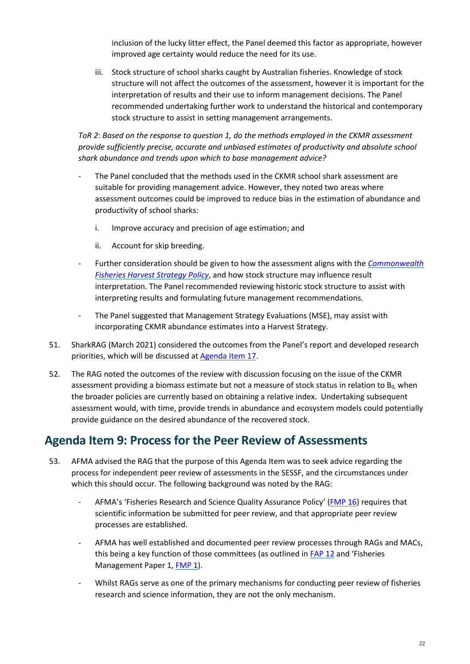inclusion of the lucky litter effect, the Panel deemed this factor as appropriate, however improved age certainty would reduce the need for its use.

iii. Stock structure of school sharks caught by Australian fisheries. Knowledge of stock structure will not affect the outcomes of the assessment, however it is important for the interpretation of results and their use to inform management decisions. The Panel recommended undertaking further work to understand the historical and contemporary stock structure to assist in setting management arrangements.

*ToR 2*: *Based on the response to question 1, do the methods employed in the CKMR assessment provide sufficiently precise, accurate and unbiased estimates of productivity and absolute school shark abundance and trends upon which to base management advice?*

- The Panel concluded that the methods used in the CKMR school shark assessment are suitable for providing management advice. However, they noted two areas where assessment outcomes could be improved to reduce bias in the estimation of abundance and productivity of school sharks:
	- i. Improve accuracy and precision of age estimation; and
	- ii. Account for skip breeding.
- Further consideration should be given to how the assessment aligns with the *[Commonwealth](https://www.agriculture.gov.au/sites/default/files/sitecollectiondocuments/fisheries/domestic/hsp.pdf)  [Fisheries Harvest Strategy Policy](https://www.agriculture.gov.au/sites/default/files/sitecollectiondocuments/fisheries/domestic/hsp.pdf)*, and how stock structure may influence result interpretation. The Panel recommended reviewing historic stock structure to assist with interpreting results and formulating future management recommendations.
- The Panel suggested that Management Strategy Evaluations (MSE), may assist with incorporating CKMR abundance estimates into a Harvest Strategy.
- 51. SharkRAG (March 2021) considered the outcomes from the Panel's report and developed research priorities, which will be discussed at [Agenda Item 17.](#page-47-0)
- 52. The RAG noted the outcomes of the review with discussion focusing on the issue of the CKMR assessment providing a biomass estimate but not a measure of stock status in relation to  $B_0$ , when the broader policies are currently based on obtaining a relative index. Undertaking subsequent assessment would, with time, provide trends in abundance and ecosystem models could potentially provide guidance on the desired abundance of the recovered stock.

# <span id="page-21-0"></span>**Agenda Item 9: Process for the Peer Review of Assessments**

- 53. AFMA advised the RAG that the purpose of this Agenda Item was to seek advice regarding the process for independent peer review of assessments in the SESSF, and the circumstances under which this should occur. The following background was noted by the RAG:
	- AFMA's 'Fisheries Research and Science Quality Assurance Policy' [\(FMP 16\)](https://www.afma.gov.au/sites/default/files/final_version_fap_16_-_october_18_-_fisheries_research_and_science_quality_assurance_policy.pdf?acsf_files_redirect) requires that scientific information be submitted for peer review, and that appropriate peer review processes are established.
	- AFMA has well established and documented peer review processes through RAGs and MACs, this being a key function of those committees (as outlined in [FAP 12](https://www.afma.gov.au/sites/default/files/fap12_to_reflect_legislative_changes_and_economic_advice_-_october_2018.pdf?acsf_files_redirect) and 'Fisheries Management Paper 1[, FMP 1\)](https://www.afma.gov.au/sites/default/files/fap12_to_reflect_legislative_changes_and_economic_advice_-_october_2018.pdf?acsf_files_redirect).
	- Whilst RAGs serve as one of the primary mechanisms for conducting peer review of fisheries research and science information, they are not the only mechanism.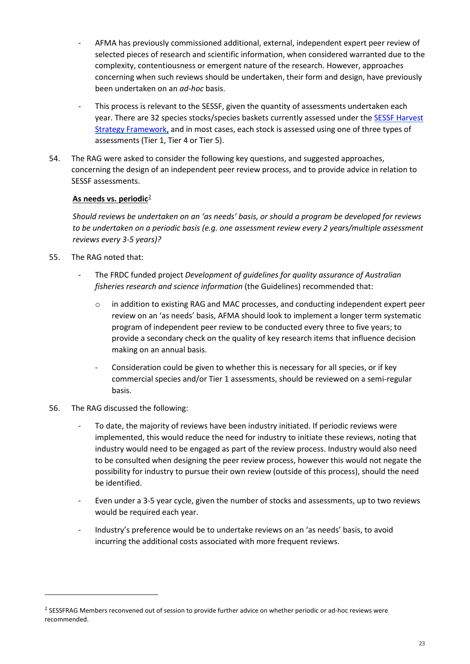- AFMA has previously commissioned additional, external, independent expert peer review of selected pieces of research and scientific information, when considered warranted due to the complexity, contentiousness or emergent nature of the research. However, approaches concerning when such reviews should be undertaken, their form and design, have previously been undertaken on an *ad-hoc* basis.
- This process is relevant to the SESSF, given the quantity of assessments undertaken each year. There are 32 species stocks/species baskets currently assessed under the [SESSF Harvest](https://www.afma.gov.au/sites/default/files/sessf_harvest_strategy_amended_2020.pdf)  [Strategy Framework,](https://www.afma.gov.au/sites/default/files/sessf_harvest_strategy_amended_2020.pdf) and in most cases, each stock is assessed using one of three types of assessments (Tier 1, Tier 4 or Tier 5).
- 54. The RAG were asked to consider the following key questions, and suggested approaches, concerning the design of an independent peer review process, and to provide advice in relation to SESSF assessments.

# **As needs vs. periodic**[2](#page-22-0)

*Should reviews be undertaken on an 'as needs' basis, or should a program be developed for reviews to be undertaken on a periodic basis (e.g. one assessment review every 2 years/multiple assessment reviews every 3-5 years)?*

- 55. The RAG noted that:
	- The FRDC funded project *Development of guidelines for quality assurance of Australian fisheries research and science information* (the Guidelines) recommended that:
		- o in addition to existing RAG and MAC processes, and conducting independent expert peer review on an 'as needs' basis, AFMA should look to implement a longer term systematic program of independent peer review to be conducted every three to five years; to provide a secondary check on the quality of key research items that influence decision making on an annual basis.
		- Consideration could be given to whether this is necessary for all species, or if key commercial species and/or Tier 1 assessments, should be reviewed on a semi-regular basis.
- 56. The RAG discussed the following:

 $\overline{a}$ 

- To date, the majority of reviews have been industry initiated. If periodic reviews were implemented, this would reduce the need for industry to initiate these reviews, noting that industry would need to be engaged as part of the review process. Industry would also need to be consulted when designing the peer review process, however this would not negate the possibility for industry to pursue their own review (outside of this process), should the need be identified.
- Even under a 3-5 year cycle, given the number of stocks and assessments, up to two reviews would be required each year.
- Industry's preference would be to undertake reviews on an 'as needs' basis, to avoid incurring the additional costs associated with more frequent reviews.

<span id="page-22-0"></span><sup>&</sup>lt;sup>2</sup> SESSFRAG Members reconvened out of session to provide further advice on whether periodic or ad-hoc reviews were recommended.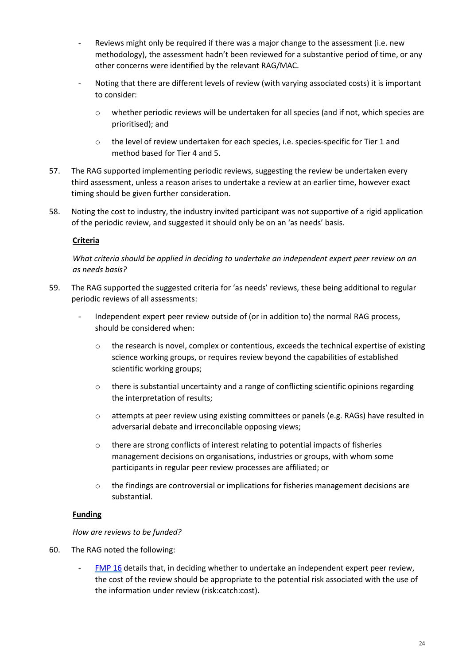- Reviews might only be required if there was a major change to the assessment (i.e. new methodology), the assessment hadn't been reviewed for a substantive period of time, or any other concerns were identified by the relevant RAG/MAC.
- Noting that there are different levels of review (with varying associated costs) it is important to consider:
	- $\circ$  whether periodic reviews will be undertaken for all species (and if not, which species are prioritised); and
	- o the level of review undertaken for each species, i.e. species-specific for Tier 1 and method based for Tier 4 and 5.
- 57. The RAG supported implementing periodic reviews, suggesting the review be undertaken every third assessment, unless a reason arises to undertake a review at an earlier time, however exact timing should be given further consideration.
- 58. Noting the cost to industry, the industry invited participant was not supportive of a rigid application of the periodic review, and suggested it should only be on an 'as needs' basis.

# **Criteria**

*What criteria should be applied in deciding to undertake an independent expert peer review on an as needs basis?*

- 59. The RAG supported the suggested criteria for 'as needs' reviews, these being additional to regular periodic reviews of all assessments:
	- Independent expert peer review outside of (or in addition to) the normal RAG process, should be considered when:
		- $\circ$  the research is novel, complex or contentious, exceeds the technical expertise of existing science working groups, or requires review beyond the capabilities of established scientific working groups;
		- $\circ$  there is substantial uncertainty and a range of conflicting scientific opinions regarding the interpretation of results;
		- o attempts at peer review using existing committees or panels (e.g. RAGs) have resulted in adversarial debate and irreconcilable opposing views;
		- $\circ$  there are strong conflicts of interest relating to potential impacts of fisheries management decisions on organisations, industries or groups, with whom some participants in regular peer review processes are affiliated; or
		- $\circ$  the findings are controversial or implications for fisheries management decisions are substantial.

### **Funding**

#### *How are reviews to be funded?*

- 60. The RAG noted the following:
	- [FMP 16](https://www.afma.gov.au/sites/default/files/final_version_fap_16_-_october_18_-_fisheries_research_and_science_quality_assurance_policy.pdf?acsf_files_redirect) details that, in deciding whether to undertake an independent expert peer review, the cost of the review should be appropriate to the potential risk associated with the use of the information under review (risk:catch:cost).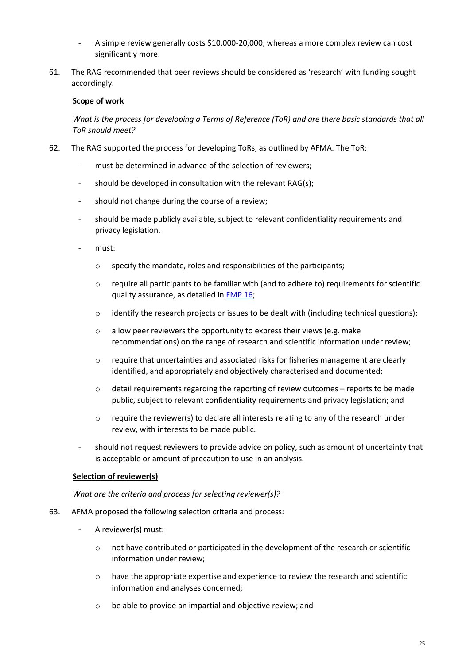- A simple review generally costs \$10,000-20,000, whereas a more complex review can cost significantly more.
- 61. The RAG recommended that peer reviews should be considered as 'research' with funding sought accordingly.

#### **Scope of work**

*What is the process for developing a Terms of Reference (ToR) and are there basic standards that all ToR should meet?*

- 62. The RAG supported the process for developing ToRs, as outlined by AFMA. The ToR:
	- must be determined in advance of the selection of reviewers;
	- should be developed in consultation with the relevant RAG(s);
	- should not change during the course of a review;
	- should be made publicly available, subject to relevant confidentiality requirements and privacy legislation.
	- must:
		- $\circ$  specify the mandate, roles and responsibilities of the participants;
		- o require all participants to be familiar with (and to adhere to) requirements for scientific quality assurance, as detailed i[n FMP 16;](https://www.afma.gov.au/sites/default/files/final_version_fap_16_-_october_18_-_fisheries_research_and_science_quality_assurance_policy.pdf?acsf_files_redirect)
		- $\circ$  identify the research projects or issues to be dealt with (including technical questions);
		- $\circ$  allow peer reviewers the opportunity to express their views (e.g. make recommendations) on the range of research and scientific information under review;
		- $\circ$  require that uncertainties and associated risks for fisheries management are clearly identified, and appropriately and objectively characterised and documented;
		- $\circ$  detail requirements regarding the reporting of review outcomes reports to be made public, subject to relevant confidentiality requirements and privacy legislation; and
		- $\circ$  require the reviewer(s) to declare all interests relating to any of the research under review, with interests to be made public.
	- should not request reviewers to provide advice on policy, such as amount of uncertainty that is acceptable or amount of precaution to use in an analysis.

### **Selection of reviewer(s)**

*What are the criteria and process for selecting reviewer(s)?*

- 63. AFMA proposed the following selection criteria and process:
	- A reviewer(s) must:
		- o not have contributed or participated in the development of the research or scientific information under review;
		- $\circ$  have the appropriate expertise and experience to review the research and scientific information and analyses concerned;
		- o be able to provide an impartial and objective review; and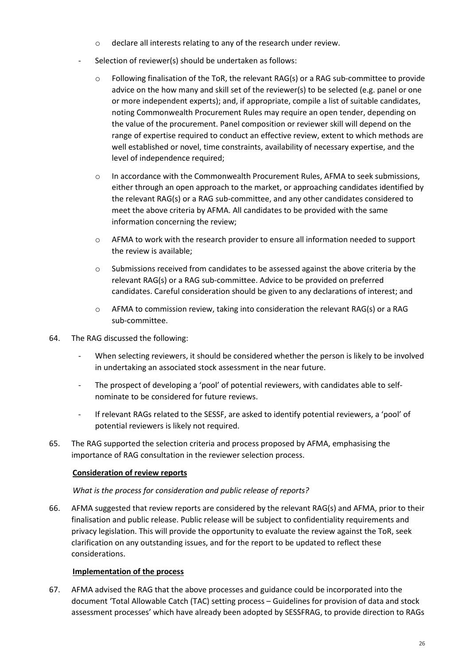- o declare all interests relating to any of the research under review.
- Selection of reviewer(s) should be undertaken as follows:
	- $\circ$  Following finalisation of the ToR, the relevant RAG(s) or a RAG sub-committee to provide advice on the how many and skill set of the reviewer(s) to be selected (e.g. panel or one or more independent experts); and, if appropriate, compile a list of suitable candidates, noting Commonwealth Procurement Rules may require an open tender, depending on the value of the procurement. Panel composition or reviewer skill will depend on the range of expertise required to conduct an effective review, extent to which methods are well established or novel, time constraints, availability of necessary expertise, and the level of independence required;
	- o In accordance with the Commonwealth Procurement Rules, AFMA to seek submissions, either through an open approach to the market, or approaching candidates identified by the relevant RAG(s) or a RAG sub-committee, and any other candidates considered to meet the above criteria by AFMA. All candidates to be provided with the same information concerning the review;
	- $\circ$  AFMA to work with the research provider to ensure all information needed to support the review is available;
	- $\circ$  Submissions received from candidates to be assessed against the above criteria by the relevant RAG(s) or a RAG sub-committee. Advice to be provided on preferred candidates. Careful consideration should be given to any declarations of interest; and
	- $\circ$  AFMA to commission review, taking into consideration the relevant RAG(s) or a RAG sub-committee.
- 64. The RAG discussed the following:
	- When selecting reviewers, it should be considered whether the person is likely to be involved in undertaking an associated stock assessment in the near future.
	- The prospect of developing a 'pool' of potential reviewers, with candidates able to selfnominate to be considered for future reviews.
	- If relevant RAGs related to the SESSF, are asked to identify potential reviewers, a 'pool' of potential reviewers is likely not required.
- 65. The RAG supported the selection criteria and process proposed by AFMA, emphasising the importance of RAG consultation in the reviewer selection process.

### **Consideration of review reports**

#### *What is the process for consideration and public release of reports?*

66. AFMA suggested that review reports are considered by the relevant RAG(s) and AFMA, prior to their finalisation and public release. Public release will be subject to confidentiality requirements and privacy legislation. This will provide the opportunity to evaluate the review against the ToR, seek clarification on any outstanding issues, and for the report to be updated to reflect these considerations.

#### **Implementation of the process**

67. AFMA advised the RAG that the above processes and guidance could be incorporated into the document 'Total Allowable Catch (TAC) setting process – Guidelines for provision of data and stock assessment processes' which have already been adopted by SESSFRAG, to provide direction to RAGs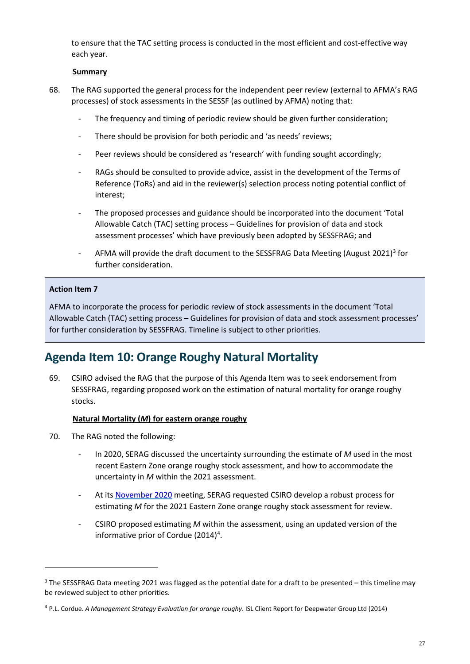to ensure that the TAC setting process is conducted in the most efficient and cost-effective way each year.

#### **Summary**

- 68. The RAG supported the general process for the independent peer review (external to AFMA's RAG processes) of stock assessments in the SESSF (as outlined by AFMA) noting that:
	- The frequency and timing of periodic review should be given further consideration;
	- There should be provision for both periodic and 'as needs' reviews;
	- Peer reviews should be considered as 'research' with funding sought accordingly;
	- RAGs should be consulted to provide advice, assist in the development of the Terms of Reference (ToRs) and aid in the reviewer(s) selection process noting potential conflict of interest;
	- The proposed processes and guidance should be incorporated into the document 'Total Allowable Catch (TAC) setting process – Guidelines for provision of data and stock assessment processes' which have previously been adopted by SESSFRAG; and
	- AFMA will provide the draft document to the SESSFRAG Data Meeting (August 2021)<sup>[3](#page-26-1)</sup> for further consideration.

#### **Action Item 7**

**.** 

AFMA to incorporate the process for periodic review of stock assessments in the document 'Total Allowable Catch (TAC) setting process – Guidelines for provision of data and stock assessment processes' for further consideration by SESSFRAG. Timeline is subject to other priorities.

# <span id="page-26-0"></span>**Agenda Item 10: Orange Roughy Natural Mortality**

69. CSIRO advised the RAG that the purpose of this Agenda Item was to seek endorsement from SESSFRAG, regarding proposed work on the estimation of natural mortality for orange roughy stocks.

#### **Natural Mortality (***M***) for eastern orange roughy**

- 70. The RAG noted the following:
	- In 2020, SERAG discussed the uncertainty surrounding the estimate of *M* used in the most recent Eastern Zone orange roughy stock assessment, and how to accommodate the uncertainty in *M* within the 2021 assessment.
	- At its [November 2020](https://www.afma.gov.au/sites/default/files/serag_2.1_nov_2020_minutes_final.pdf) meeting, SERAG requested CSIRO develop a robust process for estimating *M* for the 2021 Eastern Zone orange roughy stock assessment for review.
	- CSIRO proposed estimating *M* within the assessment, using an updated version of the informative prior of Cordue (2014)<sup>4</sup>.

<span id="page-26-1"></span><sup>3</sup> The SESSFRAG Data meeting 2021 was flagged as the potential date for a draft to be presented – this timeline may be reviewed subject to other priorities.

<span id="page-26-2"></span><sup>4</sup> P.L. Cordue. *A Management Strategy Evaluation for orange roughy*. ISL Client Report for Deepwater Group Ltd (2014)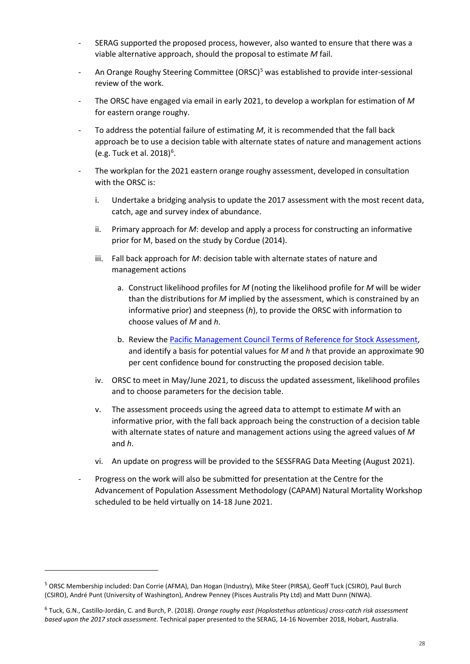- SERAG supported the proposed process, however, also wanted to ensure that there was a viable alternative approach, should the proposal to estimate *M* fail.
- An Orange Roughy Steering Committee (ORSC)<sup>[5](#page-27-0)</sup> was established to provide inter-sessional review of the work.
- The ORSC have engaged via email in early 2021, to develop a workplan for estimation of *M* for eastern orange roughy.
- To address the potential failure of estimating *M*, it is recommended that the fall back approach be to use a decision table with alternate states of nature and management actions (e.g. Tuck et al. 2018)<sup>[6](#page-27-1)</sup>.
- The workplan for the 2021 eastern orange roughy assessment, developed in consultation with the ORSC is:
	- i. Undertake a bridging analysis to update the 2017 assessment with the most recent data, catch, age and survey index of abundance.
	- ii. Primary approach for *M*: develop and apply a process for constructing an informative prior for M, based on the study by Cordue (2014).
	- iii. Fall back approach for *M*: decision table with alternate states of nature and management actions
		- a. Construct likelihood profiles for *M* (noting the likelihood profile for *M* will be wider than the distributions for *M* implied by the assessment, which is constrained by an informative prior) and steepness (*h*), to provide the ORSC with information to choose values of *M* and *h*.
		- b. Review the [Pacific Management Council Terms of Reference for Stock Assessment,](https://www.pcouncil.org/documents/2021/01/terms-of-reference-for-the-coastal-pelagic-species-stock-assessment-review-process-for-2021-2022-december-2020.pdf/) and identify a basis for potential values for *M* and *h* that provide an approximate 90 per cent confidence bound for constructing the proposed decision table.
	- iv. ORSC to meet in May/June 2021, to discuss the updated assessment, likelihood profiles and to choose parameters for the decision table.
	- v. The assessment proceeds using the agreed data to attempt to estimate *M* with an informative prior, with the fall back approach being the construction of a decision table with alternate states of nature and management actions using the agreed values of *M* and *h*.
	- vi. An update on progress will be provided to the SESSFRAG Data Meeting (August 2021).
- Progress on the work will also be submitted for presentation at the Centre for the Advancement of Population Assessment Methodology (CAPAM) Natural Mortality Workshop scheduled to be held virtually on 14-18 June 2021.

 $\overline{a}$ 

<span id="page-27-0"></span><sup>5</sup> ORSC Membership included: Dan Corrie (AFMA), Dan Hogan (Industry), Mike Steer (PIRSA), Geoff Tuck (CSIRO), Paul Burch (CSIRO), André Punt (University of Washington), Andrew Penney (Pisces Australis Pty Ltd) and Matt Dunn (NIWA).

<span id="page-27-1"></span><sup>6</sup> Tuck, G.N., Castillo-Jordán, C. and Burch, P. (2018). *Orange roughy east (Hoplostethus atlanticus) cross-catch risk assessment based upon the 2017 stock assessment*. Technical paper presented to the SERAG, 14-16 November 2018, Hobart, Australia.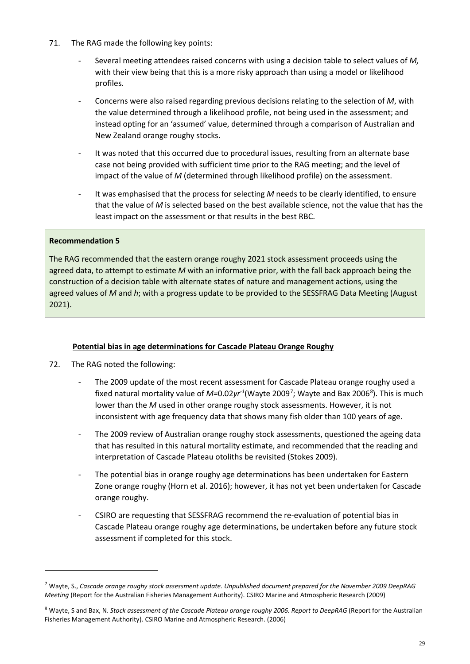- 71. The RAG made the following key points:
	- Several meeting attendees raised concerns with using a decision table to select values of *M,* with their view being that this is a more risky approach than using a model or likelihood profiles.
	- Concerns were also raised regarding previous decisions relating to the selection of *M*, with the value determined through a likelihood profile, not being used in the assessment; and instead opting for an 'assumed' value, determined through a comparison of Australian and New Zealand orange roughy stocks.
	- It was noted that this occurred due to procedural issues, resulting from an alternate base case not being provided with sufficient time prior to the RAG meeting; and the level of impact of the value of *M* (determined through likelihood profile) on the assessment.
	- It was emphasised that the process for selecting M needs to be clearly identified, to ensure that the value of *M* is selected based on the best available science, not the value that has the least impact on the assessment or that results in the best RBC.

### **Recommendation 5**

 $\overline{a}$ 

The RAG recommended that the eastern orange roughy 2021 stock assessment proceeds using the agreed data, to attempt to estimate *M* with an informative prior, with the fall back approach being the construction of a decision table with alternate states of nature and management actions, using the agreed values of *M* and *h*; with a progress update to be provided to the SESSFRAG Data Meeting (August 2021).

### **Potential bias in age determinations for Cascade Plateau Orange Roughy**

- 72. The RAG noted the following:
	- The 2009 update of the most recent assessment for Cascade Plateau orange roughy used a fixed natural mortality value of *M=*0.02yr<sup>-1</sup>(Wayte 2009<sup>[7](#page-28-0)</sup>; Wayte and Bax 2006<sup>[8](#page-28-1)</sup>). This is much lower than the *M* used in other orange roughy stock assessments. However, it is not inconsistent with age frequency data that shows many fish older than 100 years of age.
	- The 2009 review of Australian orange roughy stock assessments, questioned the ageing data that has resulted in this natural mortality estimate, and recommended that the reading and interpretation of Cascade Plateau otoliths be revisited (Stokes 2009).
	- The potential bias in orange roughy age determinations has been undertaken for Eastern Zone orange roughy (Horn et al. 2016); however, it has not yet been undertaken for Cascade orange roughy.
	- CSIRO are requesting that SESSFRAG recommend the re-evaluation of potential bias in Cascade Plateau orange roughy age determinations, be undertaken before any future stock assessment if completed for this stock.

<span id="page-28-0"></span><sup>7</sup> Wayte, S., *Cascade orange roughy stock assessment update. Unpublished document prepared for the November 2009 DeepRAG Meeting* (Report for the Australian Fisheries Management Authority). CSIRO Marine and Atmospheric Research (2009)

<span id="page-28-1"></span><sup>8</sup> Wayte, S and Bax, N. *Stock assessment of the Cascade Plateau orange roughy 2006. Report to DeepRAG* (Report for the Australian Fisheries Management Authority). CSIRO Marine and Atmospheric Research. (2006)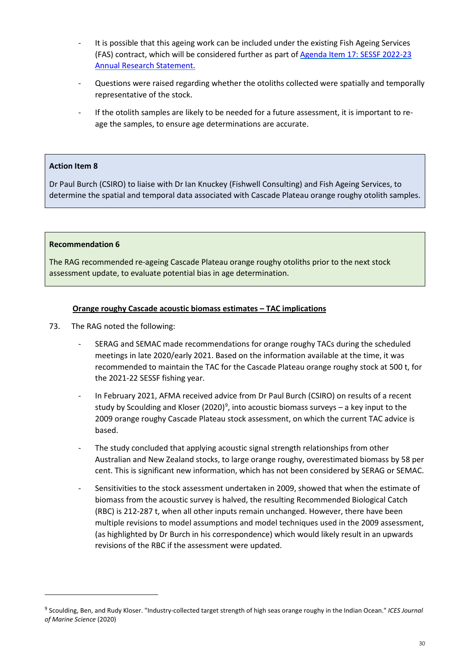- It is possible that this ageing work can be included under the existing Fish Ageing Services (FAS) contract, which will be considered further as part o[f Agenda Item 17: SESSF 2022-23](#page-17-0)  [Annual Research Statement.](#page-17-0)
- Questions were raised regarding whether the otoliths collected were spatially and temporally representative of the stock.
- If the otolith samples are likely to be needed for a future assessment, it is important to reage the samples, to ensure age determinations are accurate.

#### **Action Item 8**

Dr Paul Burch (CSIRO) to liaise with Dr Ian Knuckey (Fishwell Consulting) and Fish Ageing Services, to determine the spatial and temporal data associated with Cascade Plateau orange roughy otolith samples.

#### **Recommendation 6**

 $\overline{a}$ 

The RAG recommended re-ageing Cascade Plateau orange roughy otoliths prior to the next stock assessment update, to evaluate potential bias in age determination.

#### **Orange roughy Cascade acoustic biomass estimates – TAC implications**

- 73. The RAG noted the following:
	- SERAG and SEMAC made recommendations for orange roughy TACs during the scheduled meetings in late 2020/early 2021. Based on the information available at the time, it was recommended to maintain the TAC for the Cascade Plateau orange roughy stock at 500 t, for the 2021-22 SESSF fishing year.
	- In February 2021, AFMA received advice from Dr Paul Burch (CSIRO) on results of a recent study by Scoulding and Kloser (2020)<sup>[9](#page-29-0)</sup>, into acoustic biomass surveys – a key input to the 2009 orange roughy Cascade Plateau stock assessment, on which the current TAC advice is based.
	- The study concluded that applying acoustic signal strength relationships from other Australian and New Zealand stocks, to large orange roughy, overestimated biomass by 58 per cent. This is significant new information, which has not been considered by SERAG or SEMAC.
	- Sensitivities to the stock assessment undertaken in 2009, showed that when the estimate of biomass from the acoustic survey is halved, the resulting Recommended Biological Catch (RBC) is 212-287 t, when all other inputs remain unchanged. However, there have been multiple revisions to model assumptions and model techniques used in the 2009 assessment, (as highlighted by Dr Burch in his correspondence) which would likely result in an upwards revisions of the RBC if the assessment were updated.

<span id="page-29-0"></span><sup>9</sup> Scoulding, Ben, and Rudy Kloser. "Industry-collected target strength of high seas orange roughy in the Indian Ocean." *ICES Journal of Marine Science* (2020)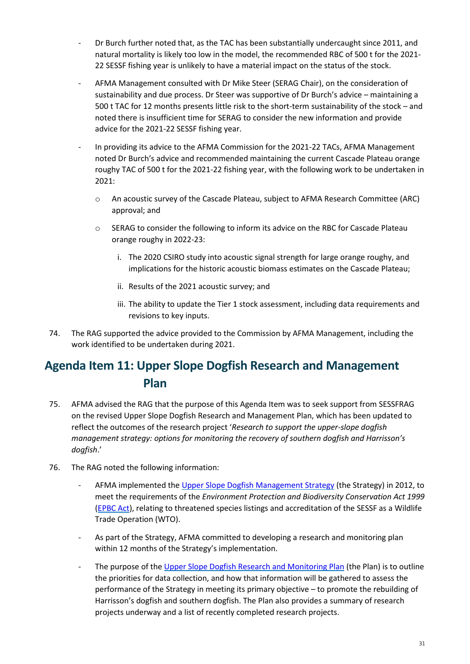- Dr Burch further noted that, as the TAC has been substantially undercaught since 2011, and natural mortality is likely too low in the model, the recommended RBC of 500 t for the 2021- 22 SESSF fishing year is unlikely to have a material impact on the status of the stock.
- AFMA Management consulted with Dr Mike Steer (SERAG Chair), on the consideration of sustainability and due process. Dr Steer was supportive of Dr Burch's advice – maintaining a 500 t TAC for 12 months presents little risk to the short-term sustainability of the stock – and noted there is insufficient time for SERAG to consider the new information and provide advice for the 2021-22 SESSF fishing year.
- In providing its advice to the AFMA Commission for the 2021-22 TACs, AFMA Management noted Dr Burch's advice and recommended maintaining the current Cascade Plateau orange roughy TAC of 500 t for the 2021-22 fishing year, with the following work to be undertaken in 2021:
	- o An acoustic survey of the Cascade Plateau, subject to AFMA Research Committee (ARC) approval; and
	- o SERAG to consider the following to inform its advice on the RBC for Cascade Plateau orange roughy in 2022-23:
		- i. The 2020 CSIRO study into acoustic signal strength for large orange roughy, and implications for the historic acoustic biomass estimates on the Cascade Plateau;
		- ii. Results of the 2021 acoustic survey; and
		- iii. The ability to update the Tier 1 stock assessment, including data requirements and revisions to key inputs.
- 74. The RAG supported the advice provided to the Commission by AFMA Management, including the work identified to be undertaken during 2021.

# <span id="page-30-0"></span>**Agenda Item 11: Upper Slope Dogfish Research and Management Plan**

- 75. AFMA advised the RAG that the purpose of this Agenda Item was to seek support from SESSFRAG on the revised Upper Slope Dogfish Research and Management Plan, which has been updated to reflect the outcomes of the research project '*Research to support the upper-slope dogfish management strategy: options for monitoring the recovery of southern dogfish and Harrisson's dogfish*.'
- 76. The RAG noted the following information:
	- AFMA implemented the [Upper Slope Dogfish Management Strategy](https://www.afma.gov.au/sites/default/files/uploads/2012/12/Upper-slope-Dogfish-Management-Strategy-14December-2012-FINAL.pdf) (the Strategy) in 2012, to meet the requirements of the *Environment Protection and Biodiversity Conservation Act 1999* [\(EPBC Act\)](https://www.legislation.gov.au/Details/C2021C00182), relating to threatened species listings and accreditation of the SESSF as a Wildlife Trade Operation (WTO).
	- As part of the Strategy, AFMA committed to developing a research and monitoring plan within 12 months of the Strategy's implementation.
	- The purpose of the [Upper Slope Dogfish Research and Monitoring Plan](https://www.afma.gov.au/sites/default/files/uploads/2014/12/Upper-Slope-Dogfish-Research-and-Monitoring-Workplan-2017-18.pdf) (the Plan) is to outline the priorities for data collection, and how that information will be gathered to assess the performance of the Strategy in meeting its primary objective – to promote the rebuilding of Harrisson's dogfish and southern dogfish. The Plan also provides a summary of research projects underway and a list of recently completed research projects.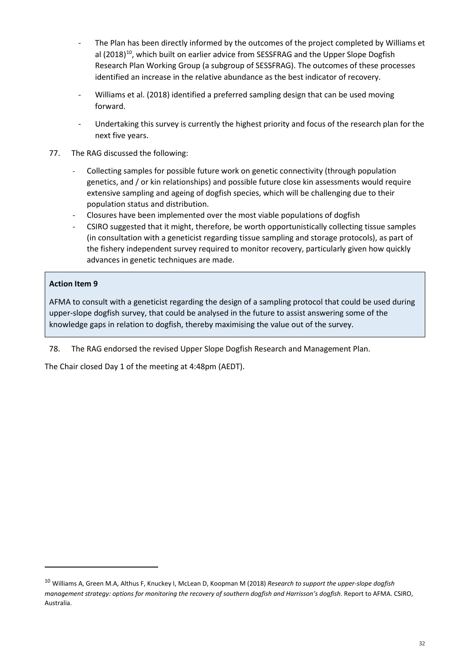- The Plan has been directly informed by the outcomes of the project completed by Williams et al (2018)<sup>[10](#page-31-0)</sup>, which built on earlier advice from SESSFRAG and the Upper Slope Dogfish Research Plan Working Group (a subgroup of SESSFRAG). The outcomes of these processes identified an increase in the relative abundance as the best indicator of recovery.
- Williams et al. (2018) identified a preferred sampling design that can be used moving forward.
- Undertaking this survey is currently the highest priority and focus of the research plan for the next five years.
- 77. The RAG discussed the following:
	- Collecting samples for possible future work on genetic connectivity (through population genetics, and / or kin relationships) and possible future close kin assessments would require extensive sampling and ageing of dogfish species, which will be challenging due to their population status and distribution.
	- Closures have been implemented over the most viable populations of dogfish
	- CSIRO suggested that it might, therefore, be worth opportunistically collecting tissue samples (in consultation with a geneticist regarding tissue sampling and storage protocols), as part of the fishery independent survey required to monitor recovery, particularly given how quickly advances in genetic techniques are made.

# **Action Item 9**

**.** 

AFMA to consult with a geneticist regarding the design of a sampling protocol that could be used during upper-slope dogfish survey, that could be analysed in the future to assist answering some of the knowledge gaps in relation to dogfish, thereby maximising the value out of the survey.

78. The RAG endorsed the revised Upper Slope Dogfish Research and Management Plan.

The Chair closed Day 1 of the meeting at 4:48pm (AEDT).

<span id="page-31-0"></span><sup>10</sup> Williams A, Green M.A, Althus F, Knuckey I, McLean D, Koopman M (2018) *Research to support the upper-slope dogfish management strategy: options for monitoring the recovery of southern dogfish and Harrisson's dogfish*. Report to AFMA. CSIRO, Australia.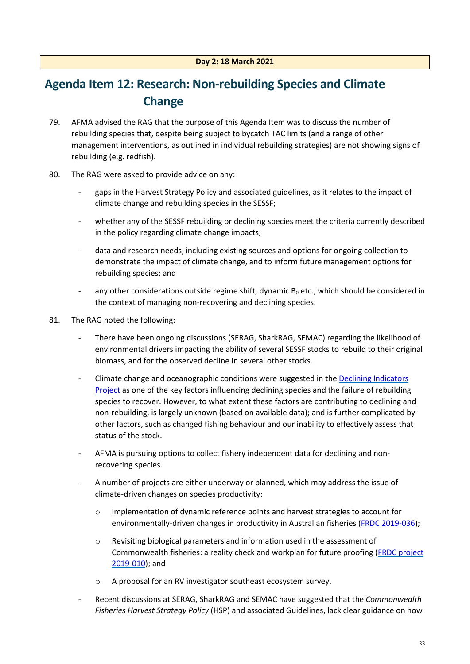# <span id="page-32-0"></span>**Agenda Item 12: Research: Non-rebuilding Species and Climate Change**

- 79. AFMA advised the RAG that the purpose of this Agenda Item was to discuss the number of rebuilding species that, despite being subject to bycatch TAC limits (and a range of other management interventions, as outlined in individual rebuilding strategies) are not showing signs of rebuilding (e.g. redfish).
- 80. The RAG were asked to provide advice on any:
	- gaps in the Harvest Strategy Policy and associated guidelines, as it relates to the impact of climate change and rebuilding species in the SESSF;
	- whether any of the SESSF rebuilding or declining species meet the criteria currently described in the policy regarding climate change impacts;
	- data and research needs, including existing sources and options for ongoing collection to demonstrate the impact of climate change, and to inform future management options for rebuilding species; and
	- any other considerations outside regime shift, dynamic  $B_0$  etc., which should be considered in the context of managing non-recovering and declining species.
- 81. The RAG noted the following:
	- There have been ongoing discussions (SERAG, SharkRAG, SEMAC) regarding the likelihood of environmental drivers impacting the ability of several SESSF stocks to rebuild to their original biomass, and for the observed decline in several other stocks.
	- Climate change and oceanographic conditions were suggested in the Declining Indicators [Project](https://www.frdc.com.au/Archived-Reports/FRDC%20Projects/2016-146-DLD.pdf) as one of the key factors influencing declining species and the failure of rebuilding species to recover. However, to what extent these factors are contributing to declining and non-rebuilding, is largely unknown (based on available data); and is further complicated by other factors, such as changed fishing behaviour and our inability to effectively assess that status of the stock.
	- AFMA is pursuing options to collect fishery independent data for declining and nonrecovering species.
	- A number of projects are either underway or planned, which may address the issue of climate-driven changes on species productivity:
		- o Implementation of dynamic reference points and harvest strategies to account for environmentally-driven changes in productivity in Australian fisheries [\(FRDC 2019-036\)](https://www.frdc.com.au/project/2019-036);
		- $\circ$  Revisiting biological parameters and information used in the assessment of Commonwealth fisheries: a reality check and workplan for future proofing [\(FRDC project](https://www.frdc.com.au/project/2019-010)  [2019-010\)](https://www.frdc.com.au/project/2019-010); and
		- o A proposal for an RV investigator southeast ecosystem survey.
	- Recent discussions at SERAG, SharkRAG and SEMAC have suggested that the *Commonwealth Fisheries Harvest Strategy Policy* (HSP) and associated Guidelines, lack clear guidance on how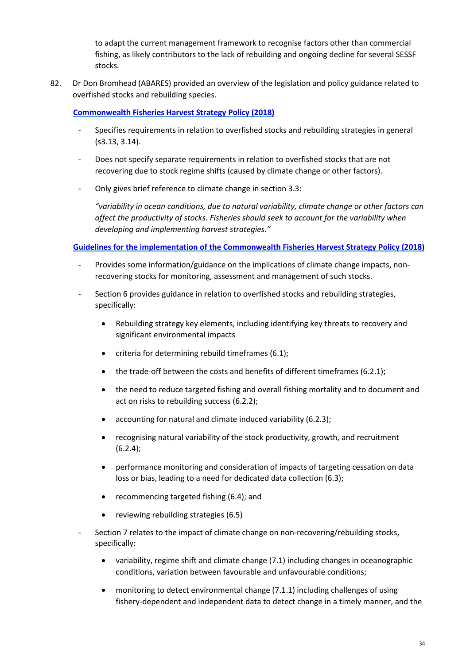to adapt the current management framework to recognise factors other than commercial fishing, as likely contributors to the lack of rebuilding and ongoing decline for several SESSF stocks.

82. Dr Don Bromhead (ABARES) provided an overview of the legislation and policy guidance related to overfished stocks and rebuilding species.

#### **[Commonwealth Fisheries Harvest Strategy Policy \(2018\)](https://www.agriculture.gov.au/sites/default/files/sitecollectiondocuments/fisheries/domestic/hsp.pdf)**

- Specifies requirements in relation to overfished stocks and rebuilding strategies in general (s3.13, 3.14).
- Does not specify separate requirements in relation to overfished stocks that are not recovering due to stock regime shifts (caused by climate change or other factors).
- Only gives brief reference to climate change in section 3.3:

*"variability in ocean conditions, due to natural variability, climate change or other factors can affect the productivity of stocks. Fisheries should seek to account for the variability when developing and implementing harvest strategies."*

#### **[Guidelines for the implementation of the Commonwealth Fisheries Harvest Strategy Policy \(2018\)](https://www.agriculture.gov.au/sites/default/files/sitecollectiondocuments/fisheries/domestic/harvest-strategy-policy-guidelines.pdf)**

- Provides some information/guidance on the implications of climate change impacts, nonrecovering stocks for monitoring, assessment and management of such stocks.
- Section 6 provides guidance in relation to overfished stocks and rebuilding strategies, specifically:
	- Rebuilding strategy key elements, including identifying key threats to recovery and significant environmental impacts
	- criteria for determining rebuild timeframes (6.1);
	- the trade-off between the costs and benefits of different timeframes (6.2.1);
	- the need to reduce targeted fishing and overall fishing mortality and to document and act on risks to rebuilding success (6.2.2);
	- accounting for natural and climate induced variability (6.2.3);
	- recognising natural variability of the stock productivity, growth, and recruitment  $(6.2.4);$
	- performance monitoring and consideration of impacts of targeting cessation on data loss or bias, leading to a need for dedicated data collection (6.3);
	- recommencing targeted fishing (6.4); and
	- reviewing rebuilding strategies (6.5)
- Section 7 relates to the impact of climate change on non-recovering/rebuilding stocks, specifically:
	- variability, regime shift and climate change (7.1) including changes in oceanographic conditions, variation between favourable and unfavourable conditions;
	- monitoring to detect environmental change (7.1.1) including challenges of using fishery-dependent and independent data to detect change in a timely manner, and the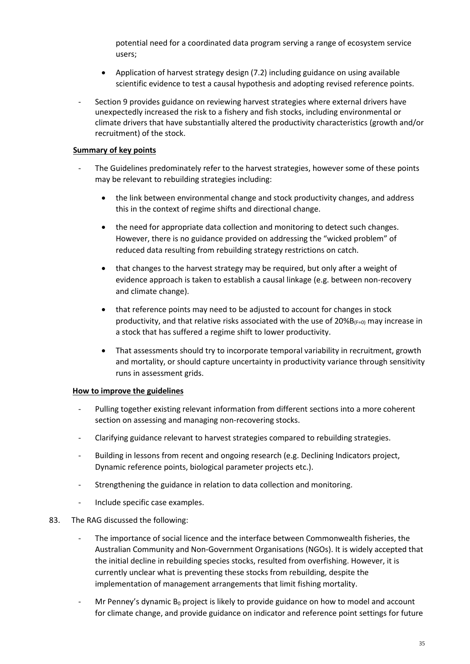potential need for a coordinated data program serving a range of ecosystem service users;

- Application of harvest strategy design (7.2) including guidance on using available scientific evidence to test a causal hypothesis and adopting revised reference points.
- Section 9 provides guidance on reviewing harvest strategies where external drivers have unexpectedly increased the risk to a fishery and fish stocks, including environmental or climate drivers that have substantially altered the productivity characteristics (growth and/or recruitment) of the stock.

#### **Summary of key points**

- The Guidelines predominately refer to the harvest strategies, however some of these points may be relevant to rebuilding strategies including:
	- the link between environmental change and stock productivity changes, and address this in the context of regime shifts and directional change.
	- the need for appropriate data collection and monitoring to detect such changes. However, there is no guidance provided on addressing the "wicked problem" of reduced data resulting from rebuilding strategy restrictions on catch.
	- that changes to the harvest strategy may be required, but only after a weight of evidence approach is taken to establish a causal linkage (e.g. between non-recovery and climate change).
	- that reference points may need to be adjusted to account for changes in stock productivity, and that relative risks associated with the use of  $20\%B_{(F=0)}$  may increase in a stock that has suffered a regime shift to lower productivity.
	- That assessments should try to incorporate temporal variability in recruitment, growth and mortality, or should capture uncertainty in productivity variance through sensitivity runs in assessment grids.

#### **How to improve the guidelines**

- Pulling together existing relevant information from different sections into a more coherent section on assessing and managing non-recovering stocks.
- Clarifying guidance relevant to harvest strategies compared to rebuilding strategies.
- Building in lessons from recent and ongoing research (e.g. Declining Indicators project, Dynamic reference points, biological parameter projects etc.).
- Strengthening the guidance in relation to data collection and monitoring.
- Include specific case examples.

#### 83. The RAG discussed the following:

- The importance of social licence and the interface between Commonwealth fisheries, the Australian Community and Non-Government Organisations (NGOs). It is widely accepted that the initial decline in rebuilding species stocks, resulted from overfishing. However, it is currently unclear what is preventing these stocks from rebuilding, despite the implementation of management arrangements that limit fishing mortality.
- Mr Penney's dynamic  $B_0$  project is likely to provide guidance on how to model and account for climate change, and provide guidance on indicator and reference point settings for future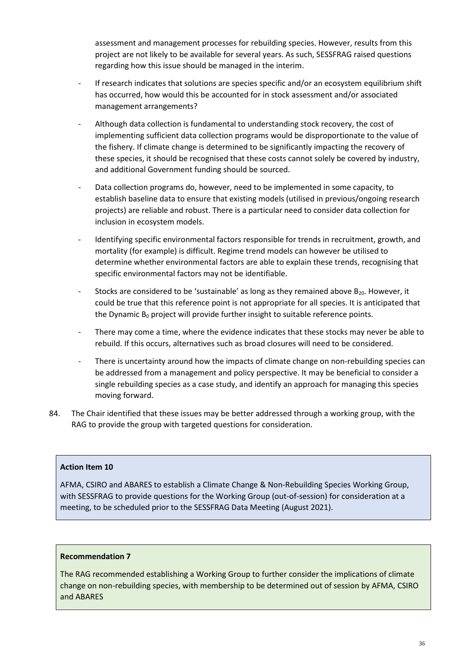assessment and management processes for rebuilding species. However, results from this project are not likely to be available for several years. As such, SESSFRAG raised questions regarding how this issue should be managed in the interim.

- If research indicates that solutions are species specific and/or an ecosystem equilibrium shift has occurred, how would this be accounted for in stock assessment and/or associated management arrangements?
- Although data collection is fundamental to understanding stock recovery, the cost of implementing sufficient data collection programs would be disproportionate to the value of the fishery. If climate change is determined to be significantly impacting the recovery of these species, it should be recognised that these costs cannot solely be covered by industry, and additional Government funding should be sourced.
- Data collection programs do, however, need to be implemented in some capacity, to establish baseline data to ensure that existing models (utilised in previous/ongoing research projects) are reliable and robust. There is a particular need to consider data collection for inclusion in ecosystem models.
- Identifying specific environmental factors responsible for trends in recruitment, growth, and mortality (for example) is difficult. Regime trend models can however be utilised to determine whether environmental factors are able to explain these trends, recognising that specific environmental factors may not be identifiable.
- Stocks are considered to be 'sustainable' as long as they remained above  $B_{20}$ . However, it could be true that this reference point is not appropriate for all species. It is anticipated that the Dynamic  $B_0$  project will provide further insight to suitable reference points.
- There may come a time, where the evidence indicates that these stocks may never be able to rebuild. If this occurs, alternatives such as broad closures will need to be considered.
- There is uncertainty around how the impacts of climate change on non-rebuilding species can be addressed from a management and policy perspective. It may be beneficial to consider a single rebuilding species as a case study, and identify an approach for managing this species moving forward.
- 84. The Chair identified that these issues may be better addressed through a working group, with the RAG to provide the group with targeted questions for consideration.

#### **Action Item 10**

AFMA, CSIRO and ABARES to establish a Climate Change & Non-Rebuilding Species Working Group, with SESSFRAG to provide questions for the Working Group (out-of-session) for consideration at a meeting, to be scheduled prior to the SESSFRAG Data Meeting (August 2021).

#### <span id="page-35-0"></span>**Recommendation 7**

The RAG recommended establishing a Working Group to further consider the implications of climate change on non-rebuilding species, with membership to be determined out of session by AFMA, CSIRO and ABARES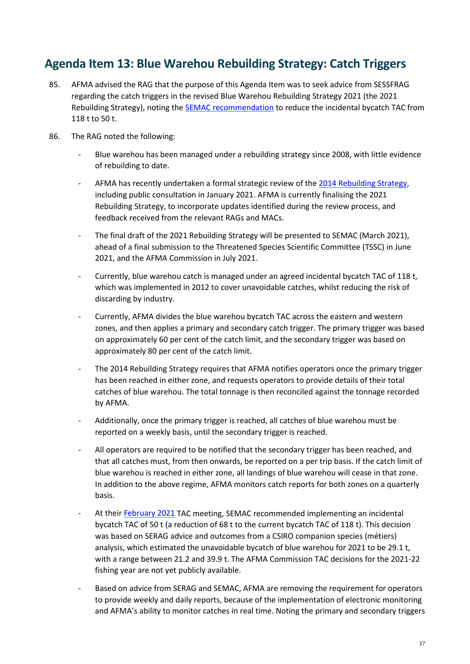## **Agenda Item 13: Blue Warehou Rebuilding Strategy: Catch Triggers**

- 85. AFMA advised the RAG that the purpose of this Agenda Item was to seek advice from SESSFRAG regarding the catch triggers in the revised Blue Warehou Rebuilding Strategy 2021 (the 2021 Rebuilding Strategy), noting the **SEMAC** recommendation to reduce the incidental bycatch TAC from 118 t to 50 t.
- 86. The RAG noted the following:
	- Blue warehou has been managed under a rebuilding strategy since 2008, with little evidence of rebuilding to date.
	- AFMA has recently undertaken a formal strategic review of the [2014 Rebuilding Strategy,](https://www.afma.gov.au/sites/default/files/uploads/2014/12/Blue-Warehou-Rebuilding-Strategy-2014.pdf) including public consultation in January 2021. AFMA is currently finalising the 2021 Rebuilding Strategy, to incorporate updates identified during the review process, and feedback received from the relevant RAGs and MACs.
	- The final draft of the 2021 Rebuilding Strategy will be presented to SEMAC (March 2021), ahead of a final submission to the Threatened Species Scientific Committee (TSSC) in June 2021, and the AFMA Commission in July 2021.
	- Currently, blue warehou catch is managed under an agreed incidental bycatch TAC of 118 t, which was implemented in 2012 to cover unavoidable catches, whilst reducing the risk of discarding by industry.
	- Currently, AFMA divides the blue warehou bycatch TAC across the eastern and western zones, and then applies a primary and secondary catch trigger. The primary trigger was based on approximately 60 per cent of the catch limit, and the secondary trigger was based on approximately 80 per cent of the catch limit.
	- The 2014 Rebuilding Strategy requires that AFMA notifies operators once the primary trigger has been reached in either zone, and requests operators to provide details of their total catches of blue warehou. The total tonnage is then reconciled against the tonnage recorded by AFMA.
	- Additionally, once the primary trigger is reached, all catches of blue warehou must be reported on a weekly basis, until the secondary trigger is reached.
	- All operators are required to be notified that the secondary trigger has been reached, and that all catches must, from then onwards, be reported on a per trip basis. If the catch limit of blue warehou is reached in either zone, all landings of blue warehou will cease in that zone. In addition to the above regime, AFMA monitors catch reports for both zones on a quarterly basis.
	- At their [February 2021](https://www.afma.gov.au/sites/default/files/semac_42_-_minutes_-_cleared_10032021.pdf) TAC meeting, SEMAC recommended implementing an incidental bycatch TAC of 50 t (a reduction of 68 t to the current bycatch TAC of 118 t). This decision was based on SERAG advice and outcomes from a CSIRO companion species (métiers) analysis, which estimated the unavoidable bycatch of blue warehou for 2021 to be 29.1 t, with a range between 21.2 and 39.9 t. The AFMA Commission TAC decisions for the 2021-22 fishing year are not yet publicly available.
	- Based on advice from SERAG and SEMAC, AFMA are removing the requirement for operators to provide weekly and daily reports, because of the implementation of electronic monitoring and AFMA's ability to monitor catches in real time. Noting the primary and secondary triggers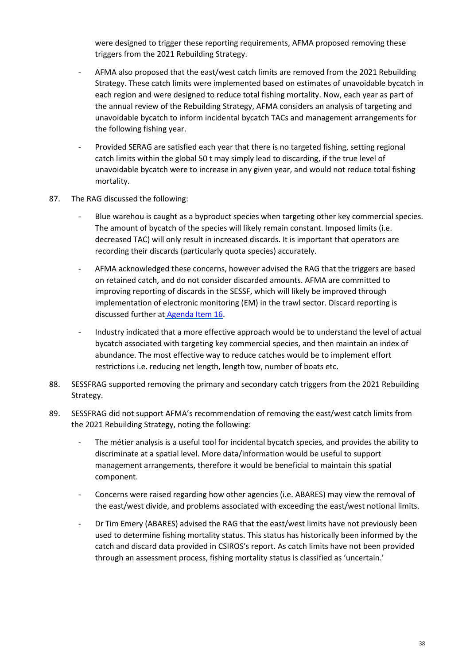were designed to trigger these reporting requirements, AFMA proposed removing these triggers from the 2021 Rebuilding Strategy.

- AFMA also proposed that the east/west catch limits are removed from the 2021 Rebuilding Strategy. These catch limits were implemented based on estimates of unavoidable bycatch in each region and were designed to reduce total fishing mortality. Now, each year as part of the annual review of the Rebuilding Strategy, AFMA considers an analysis of targeting and unavoidable bycatch to inform incidental bycatch TACs and management arrangements for the following fishing year.
- Provided SERAG are satisfied each year that there is no targeted fishing, setting regional catch limits within the global 50 t may simply lead to discarding, if the true level of unavoidable bycatch were to increase in any given year, and would not reduce total fishing mortality.
- 87. The RAG discussed the following:
	- Blue warehou is caught as a byproduct species when targeting other key commercial species. The amount of bycatch of the species will likely remain constant. Imposed limits (i.e. decreased TAC) will only result in increased discards. It is important that operators are recording their discards (particularly quota species) accurately.
	- AFMA acknowledged these concerns, however advised the RAG that the triggers are based on retained catch, and do not consider discarded amounts. AFMA are committed to improving reporting of discards in the SESSF, which will likely be improved through implementation of electronic monitoring (EM) in the trawl sector. Discard reporting is discussed further at [Agenda Item 16.](#page-13-0)
	- Industry indicated that a more effective approach would be to understand the level of actual bycatch associated with targeting key commercial species, and then maintain an index of abundance. The most effective way to reduce catches would be to implement effort restrictions i.e. reducing net length, length tow, number of boats etc.
- 88. SESSFRAG supported removing the primary and secondary catch triggers from the 2021 Rebuilding Strategy.
- 89. SESSFRAG did not support AFMA's recommendation of removing the east/west catch limits from the 2021 Rebuilding Strategy, noting the following:
	- The métier analysis is a useful tool for incidental bycatch species, and provides the ability to discriminate at a spatial level. More data/information would be useful to support management arrangements, therefore it would be beneficial to maintain this spatial component.
	- Concerns were raised regarding how other agencies (i.e. ABARES) may view the removal of the east/west divide, and problems associated with exceeding the east/west notional limits.
	- Dr Tim Emery (ABARES) advised the RAG that the east/west limits have not previously been used to determine fishing mortality status. This status has historically been informed by the catch and discard data provided in CSIROS's report. As catch limits have not been provided through an assessment process, fishing mortality status is classified as 'uncertain.'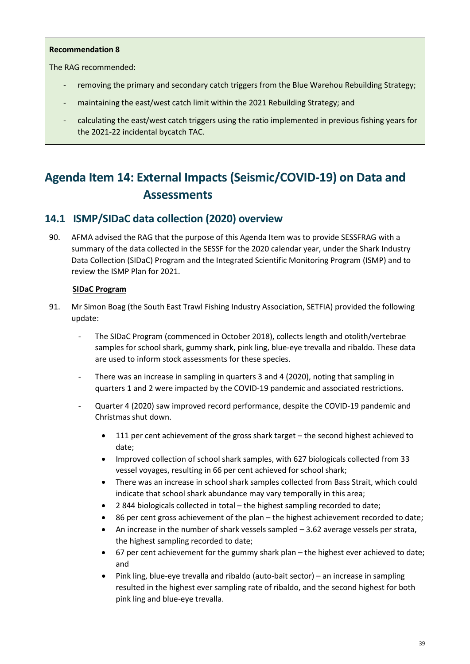#### **Recommendation 8**

The RAG recommended:

- removing the primary and secondary catch triggers from the Blue Warehou Rebuilding Strategy;
- maintaining the east/west catch limit within the 2021 Rebuilding Strategy; and
- calculating the east/west catch triggers using the ratio implemented in previous fishing years for the 2021-22 incidental bycatch TAC.

# **Agenda Item 14: External Impacts (Seismic/COVID-19) on Data and Assessments**

## **14.1 ISMP/SIDaC data collection (2020) overview**

90. AFMA advised the RAG that the purpose of this Agenda Item was to provide SESSFRAG with a summary of the data collected in the SESSF for the 2020 calendar year, under the Shark Industry Data Collection (SIDaC) Program and the Integrated Scientific Monitoring Program (ISMP) and to review the ISMP Plan for 2021.

## **SIDaC Program**

- 91. Mr Simon Boag (the South East Trawl Fishing Industry Association, SETFIA) provided the following update:
	- The SIDaC Program (commenced in October 2018), collects length and otolith/vertebrae samples for school shark, gummy shark, pink ling, blue-eye trevalla and ribaldo. These data are used to inform stock assessments for these species.
	- There was an increase in sampling in quarters 3 and 4 (2020), noting that sampling in quarters 1 and 2 were impacted by the COVID-19 pandemic and associated restrictions.
	- Quarter 4 (2020) saw improved record performance, despite the COVID-19 pandemic and Christmas shut down.
		- 111 per cent achievement of the gross shark target the second highest achieved to date;
		- Improved collection of school shark samples, with 627 biologicals collected from 33 vessel voyages, resulting in 66 per cent achieved for school shark;
		- There was an increase in school shark samples collected from Bass Strait, which could indicate that school shark abundance may vary temporally in this area;
		- 2 844 biologicals collected in total the highest sampling recorded to date;
		- 86 per cent gross achievement of the plan the highest achievement recorded to date;
		- An increase in the number of shark vessels sampled 3.62 average vessels per strata, the highest sampling recorded to date;
		- 67 per cent achievement for the gummy shark plan the highest ever achieved to date; and
		- Pink ling, blue-eye trevalla and ribaldo (auto-bait sector) an increase in sampling resulted in the highest ever sampling rate of ribaldo, and the second highest for both pink ling and blue-eye trevalla.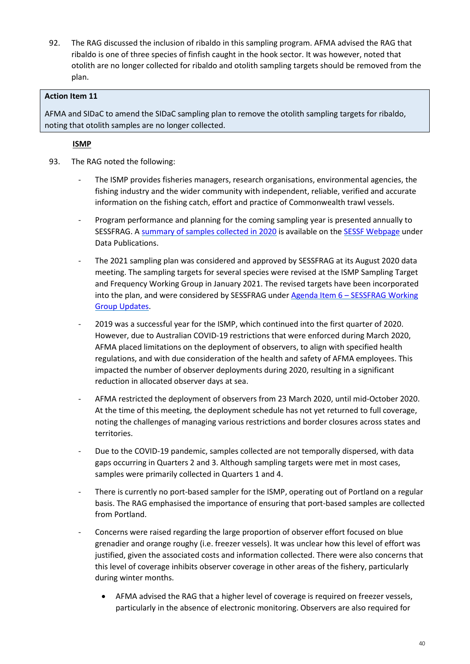92. The RAG discussed the inclusion of ribaldo in this sampling program. AFMA advised the RAG that ribaldo is one of three species of finfish caught in the hook sector. It was however, noted that otolith are no longer collected for ribaldo and otolith sampling targets should be removed from the plan.

## **Action Item 11**

AFMA and SIDaC to amend the SIDaC sampling plan to remove the otolith sampling targets for ribaldo, noting that otolith samples are no longer collected.

## **ISMP**

- 93. The RAG noted the following:
	- The ISMP provides fisheries managers, research organisations, environmental agencies, the fishing industry and the wider community with independent, reliable, verified and accurate information on the fishing catch, effort and practice of Commonwealth trawl vessels.
	- Program performance and planning for the coming sampling year is presented annually to SESSFRAG. [A summary of samples collected in 2020](https://www.afma.gov.au/sites/default/files/ismp_annual_report_2020.pdf) is available on the [SESSF Webpage](https://www.afma.gov.au/fisheries/southern-eastern-scalefish-shark-fishery) under Data Publications.
	- The 2021 sampling plan was considered and approved by SESSFRAG at its August 2020 data meeting. The sampling targets for several species were revised at the ISMP Sampling Target and Frequency Working Group in January 2021. The revised targets have been incorporated into the plan, and were considered by SESSFRAG under Agenda Item 6 – [SESSFRAG Working](#page-13-0)  [Group Updates.](#page-13-0)
	- 2019 was a successful year for the ISMP, which continued into the first quarter of 2020. However, due to Australian COVID-19 restrictions that were enforced during March 2020, AFMA placed limitations on the deployment of observers, to align with specified health regulations, and with due consideration of the health and safety of AFMA employees. This impacted the number of observer deployments during 2020, resulting in a significant reduction in allocated observer days at sea.
	- AFMA restricted the deployment of observers from 23 March 2020, until mid-October 2020. At the time of this meeting, the deployment schedule has not yet returned to full coverage, noting the challenges of managing various restrictions and border closures across states and territories.
	- Due to the COVID-19 pandemic, samples collected are not temporally dispersed, with data gaps occurring in Quarters 2 and 3. Although sampling targets were met in most cases, samples were primarily collected in Quarters 1 and 4.
	- There is currently no port-based sampler for the ISMP, operating out of Portland on a regular basis. The RAG emphasised the importance of ensuring that port-based samples are collected from Portland.
	- Concerns were raised regarding the large proportion of observer effort focused on blue grenadier and orange roughy (i.e. freezer vessels). It was unclear how this level of effort was justified, given the associated costs and information collected. There were also concerns that this level of coverage inhibits observer coverage in other areas of the fishery, particularly during winter months.
		- AFMA advised the RAG that a higher level of coverage is required on freezer vessels, particularly in the absence of electronic monitoring. Observers are also required for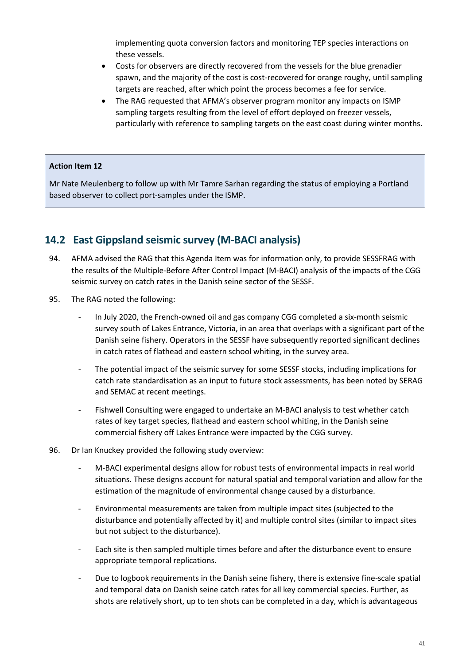implementing quota conversion factors and monitoring TEP species interactions on these vessels.

- Costs for observers are directly recovered from the vessels for the blue grenadier spawn, and the majority of the cost is cost-recovered for orange roughy, until sampling targets are reached, after which point the process becomes a fee for service.
- The RAG requested that AFMA's observer program monitor any impacts on ISMP sampling targets resulting from the level of effort deployed on freezer vessels, particularly with reference to sampling targets on the east coast during winter months.

#### **Action Item 12**

Mr Nate Meulenberg to follow up with Mr Tamre Sarhan regarding the status of employing a Portland based observer to collect port-samples under the ISMP.

## **14.2 East Gippsland seismic survey (M-BACI analysis)**

- 94. AFMA advised the RAG that this Agenda Item was for information only, to provide SESSFRAG with the results of the Multiple-Before After Control Impact (M-BACI) analysis of the impacts of the CGG seismic survey on catch rates in the Danish seine sector of the SESSF.
- 95. The RAG noted the following:
	- In July 2020, the French-owned oil and gas company CGG completed a six-month seismic survey south of Lakes Entrance, Victoria, in an area that overlaps with a significant part of the Danish seine fishery. Operators in the SESSF have subsequently reported significant declines in catch rates of flathead and eastern school whiting, in the survey area.
	- The potential impact of the seismic survey for some SESSF stocks, including implications for catch rate standardisation as an input to future stock assessments, has been noted by SERAG and SEMAC at recent meetings.
	- Fishwell Consulting were engaged to undertake an M-BACI analysis to test whether catch rates of key target species, flathead and eastern school whiting, in the Danish seine commercial fishery off Lakes Entrance were impacted by the CGG survey.
- 96. Dr Ian Knuckey provided the following study overview:
	- M-BACI experimental designs allow for robust tests of environmental impacts in real world situations. These designs account for natural spatial and temporal variation and allow for the estimation of the magnitude of environmental change caused by a disturbance.
	- Environmental measurements are taken from multiple impact sites (subjected to the disturbance and potentially affected by it) and multiple control sites (similar to impact sites but not subject to the disturbance).
	- Each site is then sampled multiple times before and after the disturbance event to ensure appropriate temporal replications.
	- Due to logbook requirements in the Danish seine fishery, there is extensive fine-scale spatial and temporal data on Danish seine catch rates for all key commercial species. Further, as shots are relatively short, up to ten shots can be completed in a day, which is advantageous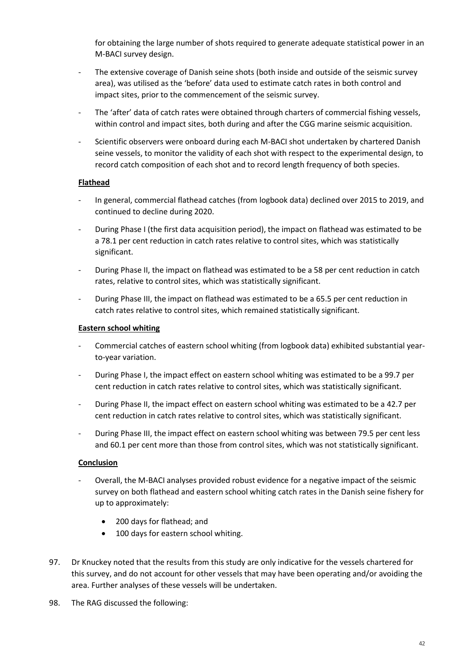for obtaining the large number of shots required to generate adequate statistical power in an M-BACI survey design.

- The extensive coverage of Danish seine shots (both inside and outside of the seismic survey area), was utilised as the 'before' data used to estimate catch rates in both control and impact sites, prior to the commencement of the seismic survey.
- The 'after' data of catch rates were obtained through charters of commercial fishing vessels, within control and impact sites, both during and after the CGG marine seismic acquisition.
- Scientific observers were onboard during each M-BACI shot undertaken by chartered Danish seine vessels, to monitor the validity of each shot with respect to the experimental design, to record catch composition of each shot and to record length frequency of both species.

## **Flathead**

- In general, commercial flathead catches (from logbook data) declined over 2015 to 2019, and continued to decline during 2020.
- During Phase I (the first data acquisition period), the impact on flathead was estimated to be a 78.1 per cent reduction in catch rates relative to control sites, which was statistically significant.
- During Phase II, the impact on flathead was estimated to be a 58 per cent reduction in catch rates, relative to control sites, which was statistically significant.
- During Phase III, the impact on flathead was estimated to be a 65.5 per cent reduction in catch rates relative to control sites, which remained statistically significant.

#### **Eastern school whiting**

- Commercial catches of eastern school whiting (from logbook data) exhibited substantial yearto-year variation.
- During Phase I, the impact effect on eastern school whiting was estimated to be a 99.7 per cent reduction in catch rates relative to control sites, which was statistically significant.
- During Phase II, the impact effect on eastern school whiting was estimated to be a 42.7 per cent reduction in catch rates relative to control sites, which was statistically significant.
- During Phase III, the impact effect on eastern school whiting was between 79.5 per cent less and 60.1 per cent more than those from control sites, which was not statistically significant.

#### **Conclusion**

- Overall, the M-BACI analyses provided robust evidence for a negative impact of the seismic survey on both flathead and eastern school whiting catch rates in the Danish seine fishery for up to approximately:
	- 200 days for flathead; and
	- 100 days for eastern school whiting.
- 97. Dr Knuckey noted that the results from this study are only indicative for the vessels chartered for this survey, and do not account for other vessels that may have been operating and/or avoiding the area. Further analyses of these vessels will be undertaken.
- 98. The RAG discussed the following: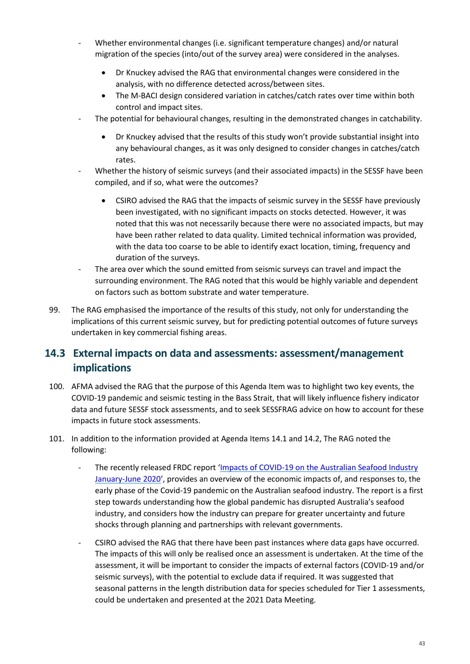- Whether environmental changes (i.e. significant temperature changes) and/or natural migration of the species (into/out of the survey area) were considered in the analyses.
	- Dr Knuckey advised the RAG that environmental changes were considered in the analysis, with no difference detected across/between sites.
	- The M-BACI design considered variation in catches/catch rates over time within both control and impact sites.
- The potential for behavioural changes, resulting in the demonstrated changes in catchability.
	- Dr Knuckey advised that the results of this study won't provide substantial insight into any behavioural changes, as it was only designed to consider changes in catches/catch rates.
- Whether the history of seismic surveys (and their associated impacts) in the SESSF have been compiled, and if so, what were the outcomes?
	- CSIRO advised the RAG that the impacts of seismic survey in the SESSF have previously been investigated, with no significant impacts on stocks detected. However, it was noted that this was not necessarily because there were no associated impacts, but may have been rather related to data quality. Limited technical information was provided, with the data too coarse to be able to identify exact location, timing, frequency and duration of the surveys.
- The area over which the sound emitted from seismic surveys can travel and impact the surrounding environment. The RAG noted that this would be highly variable and dependent on factors such as bottom substrate and water temperature.
- 99. The RAG emphasised the importance of the results of this study, not only for understanding the implications of this current seismic survey, but for predicting potential outcomes of future surveys undertaken in key commercial fishing areas.

## **14.3 External impacts on data and assessments: assessment/management implications**

- 100. AFMA advised the RAG that the purpose of this Agenda Item was to highlight two key events, the COVID-19 pandemic and seismic testing in the Bass Strait, that will likely influence fishery indicator data and future SESSF stock assessments, and to seek SESSFRAG advice on how to account for these impacts in future stock assessments.
- 101. In addition to the information provided at Agenda Items 14.1 and 14.2, The RAG noted the following:
	- The recently released FRDC report 'Impacts of COVID-19 on the Australian Seafood Industry [January-June 2020'](https://www.frdc.com.au/Archived-Reports/FRDC%20Projects/2016-128-Product-Impacts-COVID19-Report-01Mar2021.pdf), provides an overview of the economic impacts of, and responses to, the early phase of the Covid-19 pandemic on the Australian seafood industry. The report is a first step towards understanding how the global pandemic has disrupted Australia's seafood industry, and considers how the industry can prepare for greater uncertainty and future shocks through planning and partnerships with relevant governments.
	- CSIRO advised the RAG that there have been past instances where data gaps have occurred. The impacts of this will only be realised once an assessment is undertaken. At the time of the assessment, it will be important to consider the impacts of external factors (COVID-19 and/or seismic surveys), with the potential to exclude data if required. It was suggested that seasonal patterns in the length distribution data for species scheduled for Tier 1 assessments, could be undertaken and presented at the 2021 Data Meeting.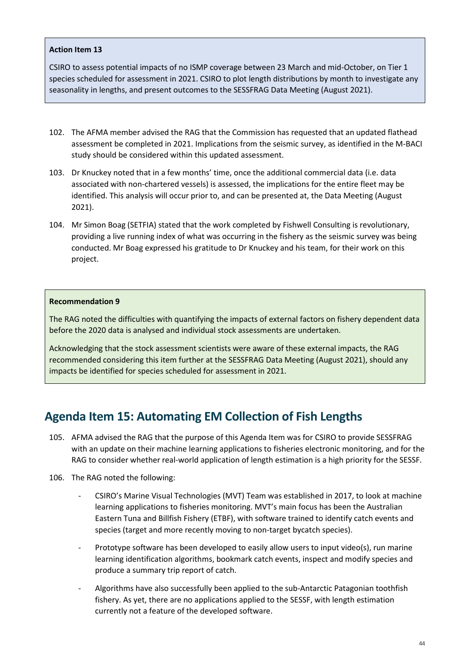#### **Action Item 13**

CSIRO to assess potential impacts of no ISMP coverage between 23 March and mid-October, on Tier 1 species scheduled for assessment in 2021. CSIRO to plot length distributions by month to investigate any seasonality in lengths, and present outcomes to the SESSFRAG Data Meeting (August 2021).

- 102. The AFMA member advised the RAG that the Commission has requested that an updated flathead assessment be completed in 2021. Implications from the seismic survey, as identified in the M-BACI study should be considered within this updated assessment.
- 103. Dr Knuckey noted that in a few months' time, once the additional commercial data (i.e. data associated with non-chartered vessels) is assessed, the implications for the entire fleet may be identified. This analysis will occur prior to, and can be presented at, the Data Meeting (August 2021).
- 104. Mr Simon Boag (SETFIA) stated that the work completed by Fishwell Consulting is revolutionary, providing a live running index of what was occurring in the fishery as the seismic survey was being conducted. Mr Boag expressed his gratitude to Dr Knuckey and his team, for their work on this project.

#### **Recommendation 9**

The RAG noted the difficulties with quantifying the impacts of external factors on fishery dependent data before the 2020 data is analysed and individual stock assessments are undertaken.

Acknowledging that the stock assessment scientists were aware of these external impacts, the RAG recommended considering this item further at the SESSFRAG Data Meeting (August 2021), should any impacts be identified for species scheduled for assessment in 2021.

## **Agenda Item 15: Automating EM Collection of Fish Lengths**

- 105. AFMA advised the RAG that the purpose of this Agenda Item was for CSIRO to provide SESSFRAG with an update on their machine learning applications to fisheries electronic monitoring, and for the RAG to consider whether real-world application of length estimation is a high priority for the SESSF.
- 106. The RAG noted the following:
	- CSIRO's Marine Visual Technologies (MVT) Team was established in 2017, to look at machine learning applications to fisheries monitoring. MVT's main focus has been the Australian Eastern Tuna and Billfish Fishery (ETBF), with software trained to identify catch events and species (target and more recently moving to non-target bycatch species).
	- Prototype software has been developed to easily allow users to input video(s), run marine learning identification algorithms, bookmark catch events, inspect and modify species and produce a summary trip report of catch.
	- Algorithms have also successfully been applied to the sub-Antarctic Patagonian toothfish fishery. As yet, there are no applications applied to the SESSF, with length estimation currently not a feature of the developed software.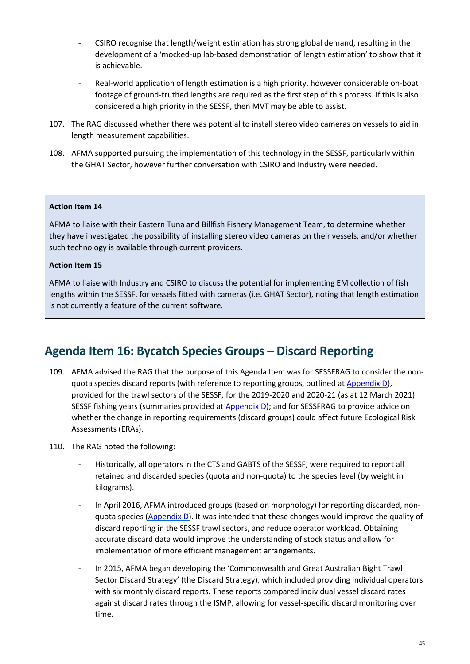- CSIRO recognise that length/weight estimation has strong global demand, resulting in the development of a 'mocked-up lab-based demonstration of length estimation' to show that it is achievable.
- Real-world application of length estimation is a high priority, however considerable on-boat footage of ground-truthed lengths are required as the first step of this process. If this is also considered a high priority in the SESSF, then MVT may be able to assist.
- 107. The RAG discussed whether there was potential to install stereo video cameras on vessels to aid in length measurement capabilities.
- 108. AFMA supported pursuing the implementation of this technology in the SESSF, particularly within the GHAT Sector, however further conversation with CSIRO and Industry were needed.

#### **Action Item 14**

AFMA to liaise with their Eastern Tuna and Billfish Fishery Management Team, to determine whether they have investigated the possibility of installing stereo video cameras on their vessels, and/or whether such technology is available through current providers.

## **Action Item 15**

AFMA to liaise with Industry and CSIRO to discuss the potential for implementing EM collection of fish lengths within the SESSF, for vessels fitted with cameras (i.e. GHAT Sector), noting that length estimation is not currently a feature of the current software.

## **Agenda Item 16: Bycatch Species Groups – Discard Reporting**

- 109. AFMA advised the RAG that the purpose of this Agenda Item was for SESSFRAG to consider the nonquota species discard reports (with reference to reporting groups, outlined at [Appendix D](#page-83-0)), provided for the trawl sectors of the SESSF, for the 2019-2020 and 2020-21 (as at 12 March 2021) SESSF fishing years (summaries provided at [Appendix D](#page-83-0)); and for SESSFRAG to provide advice on whether the change in reporting requirements (discard groups) could affect future Ecological Risk Assessments (ERAs).
- 110. The RAG noted the following:
	- Historically, all operators in the CTS and GABTS of the SESSF, were required to report all retained and discarded species (quota and non-quota) to the species level (by weight in kilograms).
	- In April 2016, AFMA introduced groups (based on morphology) for reporting discarded, nonquota species [\(Appendix D](#page-83-0)). It was intended that these changes would improve the quality of discard reporting in the SESSF trawl sectors, and reduce operator workload. Obtaining accurate discard data would improve the understanding of stock status and allow for implementation of more efficient management arrangements.
	- In 2015, AFMA began developing the 'Commonwealth and Great Australian Bight Trawl Sector Discard Strategy' (the Discard Strategy), which included providing individual operators with six monthly discard reports. These reports compared individual vessel discard rates against discard rates through the ISMP, allowing for vessel-specific discard monitoring over time.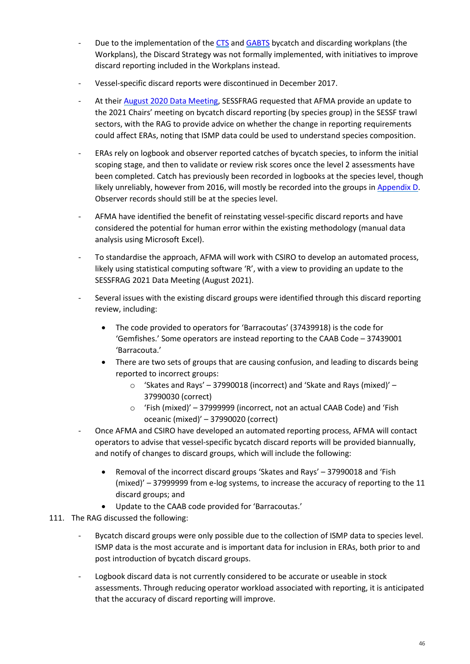- Due to the implementation of the [CTS](https://www.afma.gov.au/sites/default/files/cts_bycatch_and_discarding_workplan_2018-19_0.pdf?acsf_files_redirect) and [GABTS](https://www.afma.gov.au/sites/default/files/great_australian_bight_trawl_bycatch_and_discarding_workplan_2018-19.pdf?acsf_files_redirect) bycatch and discarding workplans (the Workplans), the Discard Strategy was not formally implemented, with initiatives to improve discard reporting included in the Workplans instead.
- Vessel-specific discard reports were discontinued in December 2017.
- At their [August 2020 Data Meeting,](https://www.afma.gov.au/sites/default/files/sessfrag_data_meeting_2020_-_final_meeting_minutes.pdf) SESSFRAG requested that AFMA provide an update to the 2021 Chairs' meeting on bycatch discard reporting (by species group) in the SESSF trawl sectors, with the RAG to provide advice on whether the change in reporting requirements could affect ERAs, noting that ISMP data could be used to understand species composition.
- ERAs rely on logbook and observer reported catches of bycatch species, to inform the initial scoping stage, and then to validate or review risk scores once the level 2 assessments have been completed. Catch has previously been recorded in logbooks at the species level, though likely unreliably, however from 2016, will mostly be recorded into the groups in [Appendix D.](#page-83-0) Observer records should still be at the species level.
- AFMA have identified the benefit of reinstating vessel-specific discard reports and have considered the potential for human error within the existing methodology (manual data analysis using Microsoft Excel).
- To standardise the approach, AFMA will work with CSIRO to develop an automated process, likely using statistical computing software 'R', with a view to providing an update to the SESSFRAG 2021 Data Meeting (August 2021).
- Several issues with the existing discard groups were identified through this discard reporting review, including:
	- The code provided to operators for 'Barracoutas' (37439918) is the code for 'Gemfishes.' Some operators are instead reporting to the CAAB Code – 37439001 'Barracouta.'
	- There are two sets of groups that are causing confusion, and leading to discards being reported to incorrect groups:
		- o 'Skates and Rays' 37990018 (incorrect) and 'Skate and Rays (mixed)' 37990030 (correct)
		- o 'Fish (mixed)' 37999999 (incorrect, not an actual CAAB Code) and 'Fish oceanic (mixed)' – 37990020 (correct)
- Once AFMA and CSIRO have developed an automated reporting process, AFMA will contact operators to advise that vessel-specific bycatch discard reports will be provided biannually, and notify of changes to discard groups, which will include the following:
	- Removal of the incorrect discard groups 'Skates and Rays' 37990018 and 'Fish (mixed)' – 37999999 from e-log systems, to increase the accuracy of reporting to the 11 discard groups; and
	- Update to the CAAB code provided for 'Barracoutas.'
- 111. The RAG discussed the following:
	- Bycatch discard groups were only possible due to the collection of ISMP data to species level. ISMP data is the most accurate and is important data for inclusion in ERAs, both prior to and post introduction of bycatch discard groups.
	- Logbook discard data is not currently considered to be accurate or useable in stock assessments. Through reducing operator workload associated with reporting, it is anticipated that the accuracy of discard reporting will improve.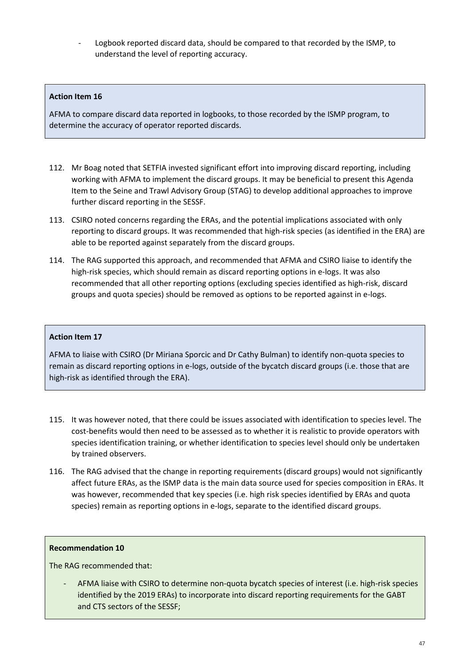Logbook reported discard data, should be compared to that recorded by the ISMP, to understand the level of reporting accuracy.

## **Action Item 16**

AFMA to compare discard data reported in logbooks, to those recorded by the ISMP program, to determine the accuracy of operator reported discards.

- 112. Mr Boag noted that SETFIA invested significant effort into improving discard reporting, including working with AFMA to implement the discard groups. It may be beneficial to present this Agenda Item to the Seine and Trawl Advisory Group (STAG) to develop additional approaches to improve further discard reporting in the SESSF.
- 113. CSIRO noted concerns regarding the ERAs, and the potential implications associated with only reporting to discard groups. It was recommended that high-risk species (as identified in the ERA) are able to be reported against separately from the discard groups.
- 114. The RAG supported this approach, and recommended that AFMA and CSIRO liaise to identify the high-risk species, which should remain as discard reporting options in e-logs. It was also recommended that all other reporting options (excluding species identified as high-risk, discard groups and quota species) should be removed as options to be reported against in e-logs.

#### **Action Item 17**

AFMA to liaise with CSIRO (Dr Miriana Sporcic and Dr Cathy Bulman) to identify non-quota species to remain as discard reporting options in e-logs, outside of the bycatch discard groups (i.e. those that are high-risk as identified through the ERA).

- 115. It was however noted, that there could be issues associated with identification to species level. The cost-benefits would then need to be assessed as to whether it is realistic to provide operators with species identification training, or whether identification to species level should only be undertaken by trained observers.
- 116. The RAG advised that the change in reporting requirements (discard groups) would not significantly affect future ERAs, as the ISMP data is the main data source used for species composition in ERAs. It was however, recommended that key species (i.e. high risk species identified by ERAs and quota species) remain as reporting options in e-logs, separate to the identified discard groups.

#### **Recommendation 10**

The RAG recommended that:

- AFMA liaise with CSIRO to determine non-quota bycatch species of interest (i.e. high-risk species identified by the 2019 ERAs) to incorporate into discard reporting requirements for the GABT and CTS sectors of the SESSF;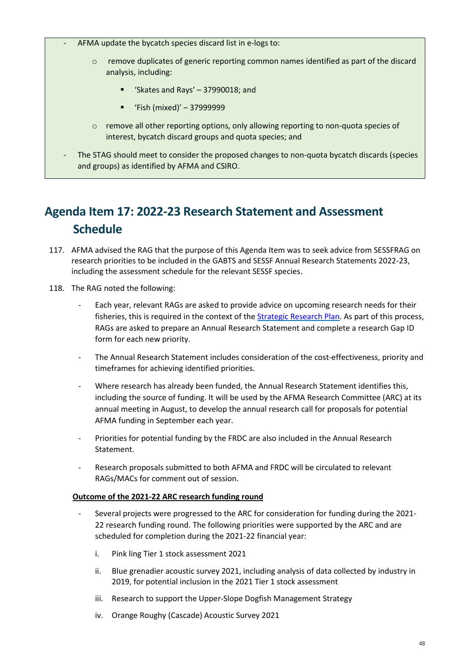- AFMA update the bycatch species discard list in e-logs to:
	- $\circ$  remove duplicates of generic reporting common names identified as part of the discard analysis, including:
		- 'Skates and Rays' 37990018; and
		- 'Fish (mixed)' 37999999
	- $\circ$  remove all other reporting options, only allowing reporting to non-quota species of interest, bycatch discard groups and quota species; and
- The STAG should meet to consider the proposed changes to non-quota bycatch discards (species and groups) as identified by AFMA and CSIRO.

# **Agenda Item 17: 2022-23 Research Statement and Assessment Schedule**

- 117. AFMA advised the RAG that the purpose of this Agenda Item was to seek advice from SESSFRAG on research priorities to be included in the GABTS and SESSF Annual Research Statements 2022-23, including the assessment schedule for the relevant SESSF species.
- 118. The RAG noted the following:
	- Each year, relevant RAGs are asked to provide advice on upcoming research needs for their fisheries, this is required in the context of the [Strategic Research Plan.](https://www.afma.gov.au/sites/default/files/uploads/2017/06/SESSF-Five-Year-Strategic-Research-Plan-2016-2020.pdf?acsf_files_redirect) As part of this process, RAGs are asked to prepare an Annual Research Statement and complete a research Gap ID form for each new priority.
	- The Annual Research Statement includes consideration of the cost-effectiveness, priority and timeframes for achieving identified priorities.
	- Where research has already been funded, the Annual Research Statement identifies this, including the source of funding. It will be used by the AFMA Research Committee (ARC) at its annual meeting in August, to develop the annual research call for proposals for potential AFMA funding in September each year.
	- Priorities for potential funding by the FRDC are also included in the Annual Research Statement.
	- Research proposals submitted to both AFMA and FRDC will be circulated to relevant RAGs/MACs for comment out of session.

## **Outcome of the 2021-22 ARC research funding round**

- Several projects were progressed to the ARC for consideration for funding during the 2021- 22 research funding round. The following priorities were supported by the ARC and are scheduled for completion during the 2021-22 financial year:
	- i. Pink ling Tier 1 stock assessment 2021
	- ii. Blue grenadier acoustic survey 2021, including analysis of data collected by industry in 2019, for potential inclusion in the 2021 Tier 1 stock assessment
	- iii. Research to support the Upper-Slope Dogfish Management Strategy
	- iv. Orange Roughy (Cascade) Acoustic Survey 2021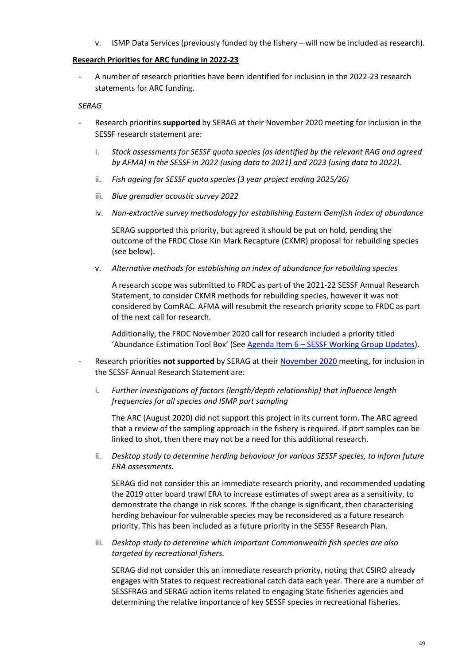v. ISMP Data Services (previously funded by the fishery – will now be included as research).

#### **Research Priorities for ARC funding in 2022-23**

A number of research priorities have been identified for inclusion in the 2022-23 research statements for ARC funding.

#### *SERAG*

- Research priorities **supported** by SERAG at their November 2020 meeting for inclusion in the SESSF research statement are:
	- i. *Stock assessments for SESSF quota species (as identified by the relevant RAG and agreed by AFMA) in the SESSF in 2022 (using data to 2021) and 2023 (using data to 2022).*
	- ii. *Fish ageing for SESSF quota species (3 year project ending 2025/26)*
	- iii. *Blue grenadier acoustic survey 2022*
	- iv. *Non-extractive survey methodology for establishing Eastern Gemfish index of abundance*

SERAG supported this priority, but agreed it should be put on hold, pending the outcome of the FRDC Close Kin Mark Recapture (CKMR) proposal for rebuilding species (see below).

v. *Alternative methods for establishing an index of abundance for rebuilding species*

A research scope was submitted to FRDC as part of the 2021-22 SESSF Annual Research Statement, to consider CKMR methods for rebuilding species, however it was not considered by ComRAC. AFMA will resubmit the research priority scope to FRDC as part of the next call for research.

Additionally, the FRDC November 2020 call for research included a priority titled 'Abundance Estimation Tool Box' (See Agenda Item 6 – [SESSF Working Group Updates\)](#page-13-0).

- Research priorities not supported by SERAG at their [November 2020](https://www.afma.gov.au/sites/default/files/serag_2.1_nov_2020_minutes_final.pdf) meeting, for inclusion in the SESSF Annual Research Statement are:
	- i. *Further investigations of factors (length/depth relationship) that influence length frequencies for all species and ISMP port sampling*

The ARC (August 2020) did not support this project in its current form. The ARC agreed that a review of the sampling approach in the fishery is required. If port samples can be linked to shot, then there may not be a need for this additional research.

ii. *Desktop study to determine herding behaviour for various SESSF species, to inform future ERA assessments.*

SERAG did not consider this an immediate research priority, and recommended updating the 2019 otter board trawl ERA to increase estimates of swept area as a sensitivity, to demonstrate the change in risk scores. If the change is significant, then characterising herding behaviour for vulnerable species may be reconsidered as a future research priority. This has been included as a future priority in the SESSF Research Plan.

iii. *Desktop study to determine which important Commonwealth fish species are also targeted by recreational fishers.*

SERAG did not consider this an immediate research priority, noting that CSIRO already engages with States to request recreational catch data each year. There are a number of SESSFRAG and SERAG action items related to engaging State fisheries agencies and determining the relative importance of key SESSF species in recreational fisheries.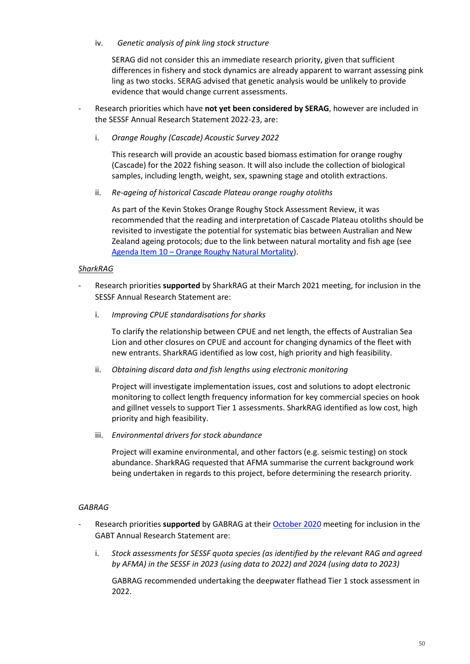#### iv. *Genetic analysis of pink ling stock structure*

SERAG did not consider this an immediate research priority, given that sufficient differences in fishery and stock dynamics are already apparent to warrant assessing pink ling as two stocks. SERAG advised that genetic analysis would be unlikely to provide evidence that would change current assessments.

- Research priorities which have **not yet been considered by SERAG**, however are included in the SESSF Annual Research Statement 2022-23, are:
	- i. *Orange Roughy (Cascade) Acoustic Survey 2022*

This research will provide an acoustic based biomass estimation for orange roughy (Cascade) for the 2022 fishing season. It will also include the collection of biological samples, including length, weight, sex, spawning stage and otolith extractions.

ii. *Re-ageing of historical Cascade Plateau orange roughy otoliths*

As part of the Kevin Stokes Orange Roughy Stock Assessment Review, it was recommended that the reading and interpretation of Cascade Plateau otoliths should be revisited to investigate the potential for systematic bias between Australian and New Zealand ageing protocols; due to the link between natural mortality and fish age (see Agenda Item 10 – [Orange Roughy Natural Mortality\)](#page-26-0).

## *SharkRAG*

- Research priorities **supported** by SharkRAG at their March 2021 meeting, for inclusion in the SESSF Annual Research Statement are:
	- i. *Improving CPUE standardisations for sharks*

To clarify the relationship between CPUE and net length, the effects of Australian Sea Lion and other closures on CPUE and account for changing dynamics of the fleet with new entrants. SharkRAG identified as low cost, high priority and high feasibility.

ii. *Obtaining discard data and fish lengths using electronic monitoring*

Project will investigate implementation issues, cost and solutions to adopt electronic monitoring to collect length frequency information for key commercial species on hook and gillnet vessels to support Tier 1 assessments. SharkRAG identified as low cost, high priority and high feasibility.

iii. *Environmental drivers for stock abundance*

Project will examine environmental, and other factors (e.g. seismic testing) on stock abundance. SharkRAG requested that AFMA summarise the current background work being undertaken in regards to this project, before determining the research priority.

## *GABRAG*

- Research priorities **supported** by GABRAG at thei[r October 2020](https://www.afma.gov.au/sites/default/files/gabrag_october_2020_minutes_final.pdf) meeting for inclusion in the GABT Annual Research Statement are:
	- i. *Stock assessments for SESSF quota species (as identified by the relevant RAG and agreed by AFMA) in the SESSF in 2023 (using data to 2022) and 2024 (using data to 2023)*

GABRAG recommended undertaking the deepwater flathead Tier 1 stock assessment in 2022.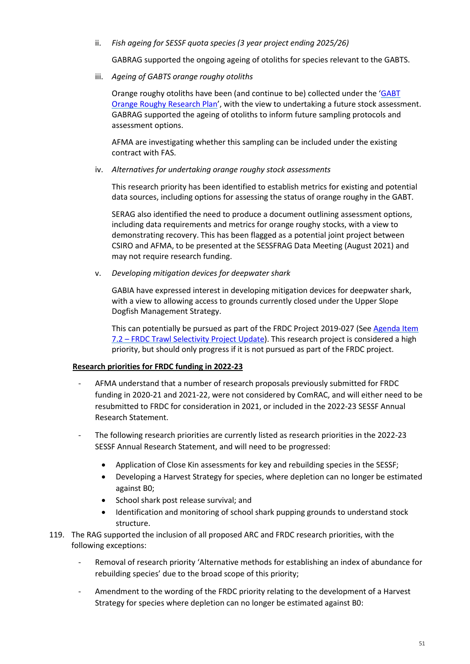### ii. *Fish ageing for SESSF quota species (3 year project ending 2025/26)*

GABRAG supported the ongoing ageing of otoliths for species relevant to the GABTS.

iii. *Ageing of GABTS orange roughy otoliths*

Orange roughy otoliths have been (and continue to be) collected under the ['GABT](https://www.afma.gov.au/sites/default/files/2020-24_gabt_orange_roughy_research_plan_-_final.pdf)  [Orange Roughy Research Plan'](https://www.afma.gov.au/sites/default/files/2020-24_gabt_orange_roughy_research_plan_-_final.pdf), with the view to undertaking a future stock assessment. GABRAG supported the ageing of otoliths to inform future sampling protocols and assessment options.

AFMA are investigating whether this sampling can be included under the existing contract with FAS.

iv. *Alternatives for undertaking orange roughy stock assessments*

This research priority has been identified to establish metrics for existing and potential data sources, including options for assessing the status of orange roughy in the GABT.

SERAG also identified the need to produce a document outlining assessment options, including data requirements and metrics for orange roughy stocks, with a view to demonstrating recovery. This has been flagged as a potential joint project between CSIRO and AFMA, to be presented at the SESSFRAG Data Meeting (August 2021) and may not require research funding.

v. *Developing mitigation devices for deepwater shark*

GABIA have expressed interest in developing mitigation devices for deepwater shark, with a view to allowing access to grounds currently closed under the Upper Slope Dogfish Management Strategy.

This can potentially be pursued as part of the FRDC Project 2019-027 (See [Agenda Item](#page-18-0)  7.2 – [FRDC Trawl Selectivity Project Update\)](#page-18-0). This research project is considered a high priority, but should only progress if it is not pursued as part of the FRDC project.

## **Research priorities for FRDC funding in 2022-23**

- AFMA understand that a number of research proposals previously submitted for FRDC funding in 2020-21 and 2021-22, were not considered by ComRAC, and will either need to be resubmitted to FRDC for consideration in 2021, or included in the 2022-23 SESSF Annual Research Statement.
- The following research priorities are currently listed as research priorities in the 2022-23 SESSF Annual Research Statement, and will need to be progressed:
	- Application of Close Kin assessments for key and rebuilding species in the SESSF;
	- Developing a Harvest Strategy for species, where depletion can no longer be estimated against B0;
	- School shark post release survival; and
	- Identification and monitoring of school shark pupping grounds to understand stock structure.
- 119. The RAG supported the inclusion of all proposed ARC and FRDC research priorities, with the following exceptions:
	- Removal of research priority 'Alternative methods for establishing an index of abundance for rebuilding species' due to the broad scope of this priority;
	- Amendment to the wording of the FRDC priority relating to the development of a Harvest Strategy for species where depletion can no longer be estimated against B0: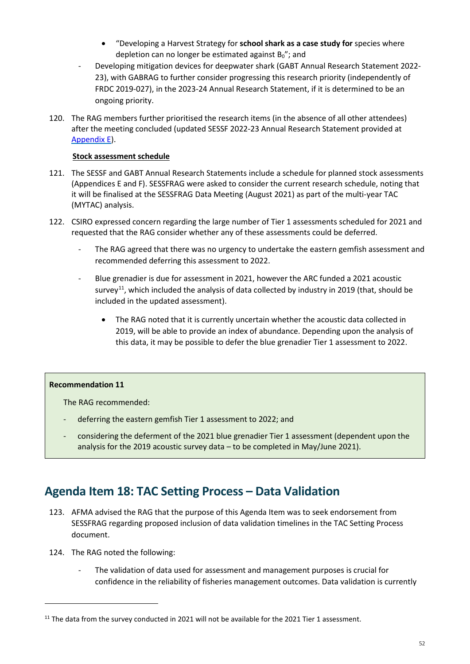- "Developing a Harvest Strategy for **school shark as a case study for** species where depletion can no longer be estimated against  $B_0$ "; and
- Developing mitigation devices for deepwater shark (GABT Annual Research Statement 2022- 23), with GABRAG to further consider progressing this research priority (independently of FRDC 2019-027), in the 2023-24 Annual Research Statement, if it is determined to be an ongoing priority.
- 120. The RAG members further prioritised the research items (in the absence of all other attendees) after the meeting concluded (updated SESSF 2022-23 Annual Research Statement provided at [Appendix E](#page-86-0)).

## **Stock assessment schedule**

- 121. The SESSF and GABT Annual Research Statements include a schedule for planned stock assessments (Appendices E and F). SESSFRAG were asked to consider the current research schedule, noting that it will be finalised at the SESSFRAG Data Meeting (August 2021) as part of the multi-year TAC (MYTAC) analysis.
- 122. CSIRO expressed concern regarding the large number of Tier 1 assessments scheduled for 2021 and requested that the RAG consider whether any of these assessments could be deferred.
	- The RAG agreed that there was no urgency to undertake the eastern gemfish assessment and recommended deferring this assessment to 2022.
	- Blue grenadier is due for assessment in 2021, however the ARC funded a 2021 acoustic survey<sup>[11](#page-51-0)</sup>, which included the analysis of data collected by industry in 2019 (that, should be included in the updated assessment).
		- The RAG noted that it is currently uncertain whether the acoustic data collected in 2019, will be able to provide an index of abundance. Depending upon the analysis of this data, it may be possible to defer the blue grenadier Tier 1 assessment to 2022.

## **Recommendation 11**

The RAG recommended:

- deferring the eastern gemfish Tier 1 assessment to 2022; and
- considering the deferment of the 2021 blue grenadier Tier 1 assessment (dependent upon the analysis for the 2019 acoustic survey data – to be completed in May/June 2021).

## **Agenda Item 18: TAC Setting Process – Data Validation**

- 123. AFMA advised the RAG that the purpose of this Agenda Item was to seek endorsement from SESSFRAG regarding proposed inclusion of data validation timelines in the TAC Setting Process document.
- 124. The RAG noted the following:

**.** 

The validation of data used for assessment and management purposes is crucial for confidence in the reliability of fisheries management outcomes. Data validation is currently

<span id="page-51-0"></span> $11$  The data from the survey conducted in 2021 will not be available for the 2021 Tier 1 assessment.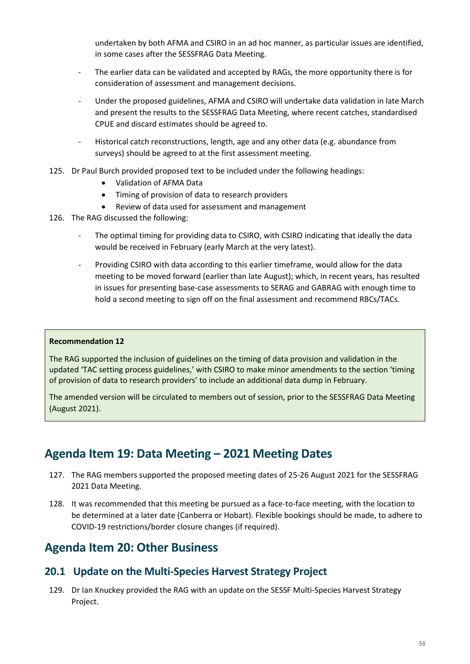undertaken by both AFMA and CSIRO in an ad hoc manner, as particular issues are identified, in some cases after the SESSFRAG Data Meeting.

- The earlier data can be validated and accepted by RAGs, the more opportunity there is for consideration of assessment and management decisions.
- Under the proposed guidelines, AFMA and CSIRO will undertake data validation in late March and present the results to the SESSFRAG Data Meeting, where recent catches, standardised CPUE and discard estimates should be agreed to.
- Historical catch reconstructions, length, age and any other data (e.g. abundance from surveys) should be agreed to at the first assessment meeting.
- 125. Dr Paul Burch provided proposed text to be included under the following headings:
	- Validation of AFMA Data
	- Timing of provision of data to research providers
	- Review of data used for assessment and management
- 126. The RAG discussed the following:
	- The optimal timing for providing data to CSIRO, with CSIRO indicating that ideally the data would be received in February (early March at the very latest).
	- Providing CSIRO with data according to this earlier timeframe, would allow for the data meeting to be moved forward (earlier than late August); which, in recent years, has resulted in issues for presenting base-case assessments to SERAG and GABRAG with enough time to hold a second meeting to sign off on the final assessment and recommend RBCs/TACs.

#### **Recommendation 12**

The RAG supported the inclusion of guidelines on the timing of data provision and validation in the updated 'TAC setting process guidelines,' with CSIRO to make minor amendments to the section 'timing of provision of data to research providers' to include an additional data dump in February.

The amended version will be circulated to members out of session, prior to the SESSFRAG Data Meeting (August 2021).

## **Agenda Item 19: Data Meeting – 2021 Meeting Dates**

- 127. The RAG members supported the proposed meeting dates of 25-26 August 2021 for the SESSFRAG 2021 Data Meeting.
- 128. It was recommended that this meeting be pursued as a face-to-face meeting, with the location to be determined at a later date (Canberra or Hobart). Flexible bookings should be made, to adhere to COVID-19 restrictions/border closure changes (if required).

## **Agenda Item 20: Other Business**

## **20.1 Update on the Multi-Species Harvest Strategy Project**

129. Dr Ian Knuckey provided the RAG with an update on the SESSF Multi-Species Harvest Strategy Project.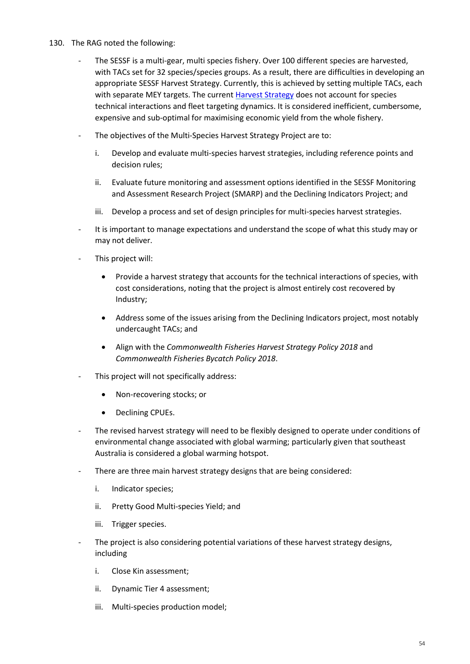- 130. The RAG noted the following:
	- The SESSF is a multi-gear, multi species fishery. Over 100 different species are harvested, with TACs set for 32 species/species groups. As a result, there are difficulties in developing an appropriate SESSF Harvest Strategy. Currently, this is achieved by setting multiple TACs, each with separate MEY targets. The current [Harvest Strategy](https://www.afma.gov.au/sites/default/files/sessf_harvest_strategy_amended_2020.pdf) does not account for species technical interactions and fleet targeting dynamics. It is considered inefficient, cumbersome, expensive and sub-optimal for maximising economic yield from the whole fishery.
	- The objectives of the Multi-Species Harvest Strategy Project are to:
		- i. Develop and evaluate multi-species harvest strategies, including reference points and decision rules;
		- ii. Evaluate future monitoring and assessment options identified in the SESSF Monitoring and Assessment Research Project (SMARP) and the Declining Indicators Project; and
		- iii. Develop a process and set of design principles for multi-species harvest strategies.
	- It is important to manage expectations and understand the scope of what this study may or may not deliver.
	- This project will:
		- Provide a harvest strategy that accounts for the technical interactions of species, with cost considerations, noting that the project is almost entirely cost recovered by Industry;
		- Address some of the issues arising from the Declining Indicators project, most notably undercaught TACs; and
		- Align with the *Commonwealth Fisheries Harvest Strategy Policy 2018* and *Commonwealth Fisheries Bycatch Policy 2018*.
	- This project will not specifically address:
		- Non-recovering stocks; or
		- Declining CPUEs.
	- The revised harvest strategy will need to be flexibly designed to operate under conditions of environmental change associated with global warming; particularly given that southeast Australia is considered a global warming hotspot.
	- There are three main harvest strategy designs that are being considered:
		- i. Indicator species;
		- ii. Pretty Good Multi-species Yield; and
		- iii. Trigger species.
	- The project is also considering potential variations of these harvest strategy designs, including
		- i. Close Kin assessment;
		- ii. Dynamic Tier 4 assessment;
		- iii. Multi-species production model;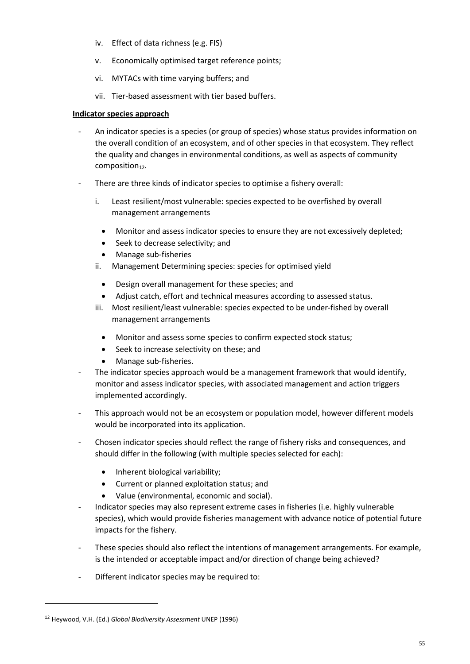- iv. Effect of data richness (e.g. FIS)
- v. Economically optimised target reference points;
- vi. MYTACs with time varying buffers; and
- vii. Tier-based assessment with tier based buffers.

## **Indicator species approach**

- An indicator species is a species (or group of species) whose status provides information on the overall condition of an ecosystem, and of other species in that ecosystem. They reflect the quality and changes in environmental conditions, as well as aspects of community composition $12$ .
- There are three kinds of indicator species to optimise a fishery overall:
	- i. Least resilient/most vulnerable: species expected to be overfished by overall management arrangements
		- Monitor and assess indicator species to ensure they are not excessively depleted;
		- Seek to decrease selectivity; and
		- Manage sub-fisheries
	- ii. Management Determining species: species for optimised yield
		- Design overall management for these species; and
		- Adjust catch, effort and technical measures according to assessed status.
	- iii. Most resilient/least vulnerable: species expected to be under-fished by overall management arrangements
		- Monitor and assess some species to confirm expected stock status;
		- Seek to increase selectivity on these; and
		- Manage sub-fisheries.
- The indicator species approach would be a management framework that would identify, monitor and assess indicator species, with associated management and action triggers implemented accordingly.
- This approach would not be an ecosystem or population model, however different models would be incorporated into its application.
- Chosen indicator species should reflect the range of fishery risks and consequences, and should differ in the following (with multiple species selected for each):
	- Inherent biological variability;
	- Current or planned exploitation status; and
	- Value (environmental, economic and social).
- Indicator species may also represent extreme cases in fisheries (i.e. highly vulnerable species), which would provide fisheries management with advance notice of potential future impacts for the fishery.
- These species should also reflect the intentions of management arrangements. For example, is the intended or acceptable impact and/or direction of change being achieved?
- Different indicator species may be required to:

**.** 

<span id="page-54-0"></span><sup>12</sup> Heywood, V.H. (Ed.) *Global Biodiversity Assessment* UNEP (1996)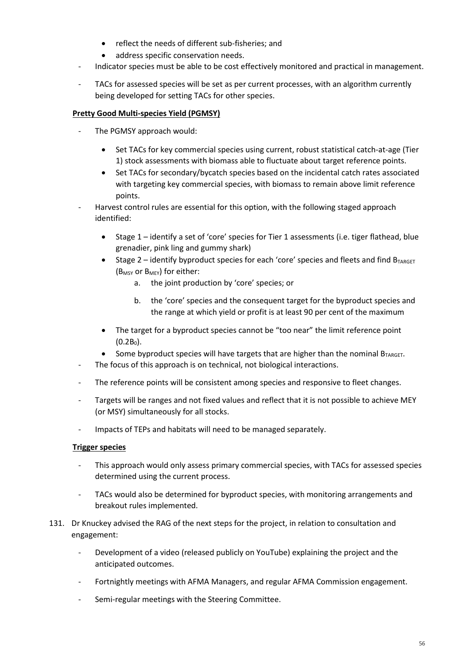- reflect the needs of different sub-fisheries; and
- address specific conservation needs.
- Indicator species must be able to be cost effectively monitored and practical in management.
- TACs for assessed species will be set as per current processes, with an algorithm currently being developed for setting TACs for other species.

## **Pretty Good Multi-species Yield (PGMSY)**

- The PGMSY approach would:
	- Set TACs for key commercial species using current, robust statistical catch-at-age (Tier 1) stock assessments with biomass able to fluctuate about target reference points.
	- Set TACs for secondary/bycatch species based on the incidental catch rates associated with targeting key commercial species, with biomass to remain above limit reference points.
- Harvest control rules are essential for this option, with the following staged approach identified:
	- Stage 1 identify a set of 'core' species for Tier 1 assessments (i.e. tiger flathead, blue grenadier, pink ling and gummy shark)
	- Stage 2 identify byproduct species for each 'core' species and fleets and find  $B_{TARGE}$ (B<sub>MSY</sub> or B<sub>MEY</sub>) for either:
		- a. the joint production by 'core' species; or
		- b. the 'core' species and the consequent target for the byproduct species and the range at which yield or profit is at least 90 per cent of the maximum
	- The target for a byproduct species cannot be "too near" the limit reference point  $(0.2B_0)$ .
	- Some byproduct species will have targets that are higher than the nominal  $B_{TARGET}$ .
- The focus of this approach is on technical, not biological interactions.
- The reference points will be consistent among species and responsive to fleet changes.
- Targets will be ranges and not fixed values and reflect that it is not possible to achieve MEY (or MSY) simultaneously for all stocks.
- Impacts of TEPs and habitats will need to be managed separately.

## **Trigger species**

- This approach would only assess primary commercial species, with TACs for assessed species determined using the current process.
- TACs would also be determined for byproduct species, with monitoring arrangements and breakout rules implemented.
- 131. Dr Knuckey advised the RAG of the next steps for the project, in relation to consultation and engagement:
	- Development of a video (released publicly on YouTube) explaining the project and the anticipated outcomes.
	- Fortnightly meetings with AFMA Managers, and regular AFMA Commission engagement.
	- Semi-regular meetings with the Steering Committee.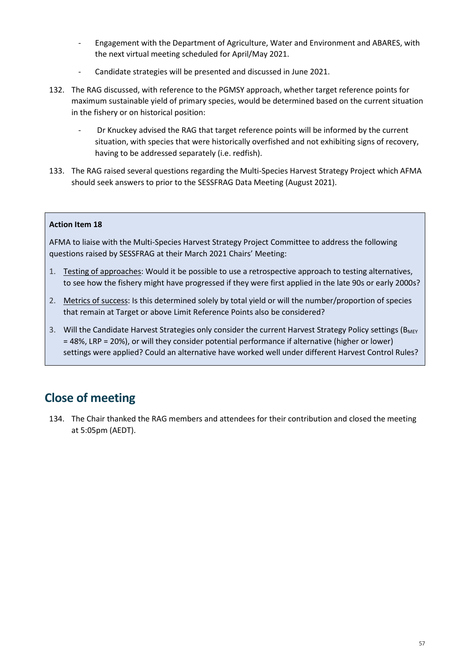- Engagement with the Department of Agriculture, Water and Environment and ABARES, with the next virtual meeting scheduled for April/May 2021.
- Candidate strategies will be presented and discussed in June 2021.
- 132. The RAG discussed, with reference to the PGMSY approach, whether target reference points for maximum sustainable yield of primary species, would be determined based on the current situation in the fishery or on historical position:
	- Dr Knuckey advised the RAG that target reference points will be informed by the current situation, with species that were historically overfished and not exhibiting signs of recovery, having to be addressed separately (i.e. redfish).
- 133. The RAG raised several questions regarding the Multi-Species Harvest Strategy Project which AFMA should seek answers to prior to the SESSFRAG Data Meeting (August 2021).

#### **Action Item 18**

AFMA to liaise with the Multi-Species Harvest Strategy Project Committee to address the following questions raised by SESSFRAG at their March 2021 Chairs' Meeting:

- 1. Testing of approaches: Would it be possible to use a retrospective approach to testing alternatives, to see how the fishery might have progressed if they were first applied in the late 90s or early 2000s?
- 2. Metrics of success: Is this determined solely by total yield or will the number/proportion of species that remain at Target or above Limit Reference Points also be considered?
- 3. Will the Candidate Harvest Strategies only consider the current Harvest Strategy Policy settings (B<sub>MEY</sub> = 48%, LRP = 20%), or will they consider potential performance if alternative (higher or lower) settings were applied? Could an alternative have worked well under different Harvest Control Rules?

## **Close of meeting**

134. The Chair thanked the RAG members and attendees for their contribution and closed the meeting at 5:05pm (AEDT).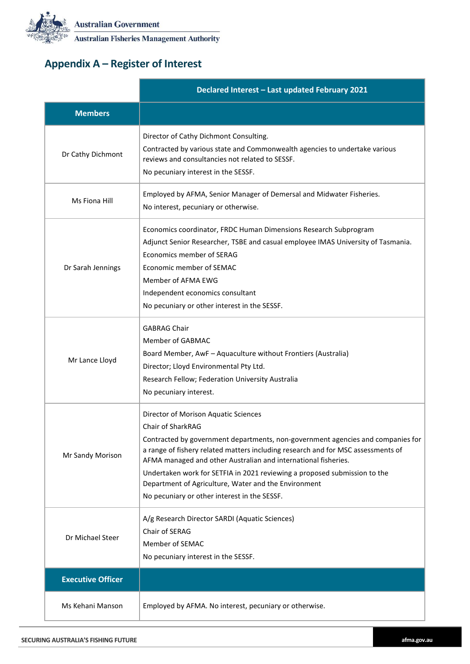

**Australian Fisheries Management Authority** 

# **Appendix A – Register of Interest**

|                          | Declared Interest - Last updated February 2021                                                                                                                                                                                                                                                                                                                                                                                                                                          |  |  |  |  |
|--------------------------|-----------------------------------------------------------------------------------------------------------------------------------------------------------------------------------------------------------------------------------------------------------------------------------------------------------------------------------------------------------------------------------------------------------------------------------------------------------------------------------------|--|--|--|--|
| <b>Members</b>           |                                                                                                                                                                                                                                                                                                                                                                                                                                                                                         |  |  |  |  |
| Dr Cathy Dichmont        | Director of Cathy Dichmont Consulting.<br>Contracted by various state and Commonwealth agencies to undertake various<br>reviews and consultancies not related to SESSF.<br>No pecuniary interest in the SESSF.                                                                                                                                                                                                                                                                          |  |  |  |  |
| Ms Fiona Hill            | Employed by AFMA, Senior Manager of Demersal and Midwater Fisheries.<br>No interest, pecuniary or otherwise.                                                                                                                                                                                                                                                                                                                                                                            |  |  |  |  |
| Dr Sarah Jennings        | Economics coordinator, FRDC Human Dimensions Research Subprogram<br>Adjunct Senior Researcher, TSBE and casual employee IMAS University of Tasmania.<br>Economics member of SERAG<br>Economic member of SEMAC<br>Member of AFMA EWG<br>Independent economics consultant<br>No pecuniary or other interest in the SESSF.                                                                                                                                                                 |  |  |  |  |
| Mr Lance Lloyd           | <b>GABRAG Chair</b><br>Member of GABMAC<br>Board Member, AwF - Aquaculture without Frontiers (Australia)<br>Director; Lloyd Environmental Pty Ltd.<br>Research Fellow; Federation University Australia<br>No pecuniary interest.                                                                                                                                                                                                                                                        |  |  |  |  |
| Mr Sandy Morison         | Director of Morison Aquatic Sciences<br>Chair of SharkRAG<br>Contracted by government departments, non-government agencies and companies for<br>a range of fishery related matters including research and for MSC assessments of<br>AFMA managed and other Australian and international fisheries.<br>Undertaken work for SETFIA in 2021 reviewing a proposed submission to the<br>Department of Agriculture, Water and the Environment<br>No pecuniary or other interest in the SESSF. |  |  |  |  |
| Dr Michael Steer         | A/g Research Director SARDI (Aquatic Sciences)<br>Chair of SERAG<br>Member of SEMAC<br>No pecuniary interest in the SESSF.                                                                                                                                                                                                                                                                                                                                                              |  |  |  |  |
| <b>Executive Officer</b> |                                                                                                                                                                                                                                                                                                                                                                                                                                                                                         |  |  |  |  |
| Ms Kehani Manson         | Employed by AFMA. No interest, pecuniary or otherwise.                                                                                                                                                                                                                                                                                                                                                                                                                                  |  |  |  |  |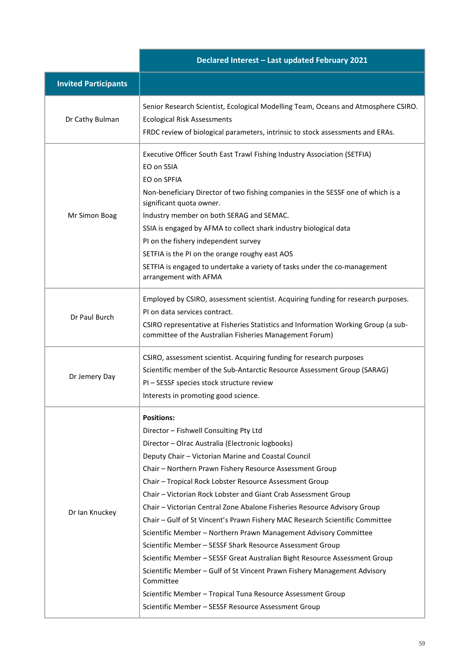|                             | Declared Interest - Last updated February 2021                                                                                                                                                                                                                                                                                                                                                                                                                                                                                                                                                                                                                                                                                                                                                                                                                                                                                                            |  |  |  |
|-----------------------------|-----------------------------------------------------------------------------------------------------------------------------------------------------------------------------------------------------------------------------------------------------------------------------------------------------------------------------------------------------------------------------------------------------------------------------------------------------------------------------------------------------------------------------------------------------------------------------------------------------------------------------------------------------------------------------------------------------------------------------------------------------------------------------------------------------------------------------------------------------------------------------------------------------------------------------------------------------------|--|--|--|
| <b>Invited Participants</b> |                                                                                                                                                                                                                                                                                                                                                                                                                                                                                                                                                                                                                                                                                                                                                                                                                                                                                                                                                           |  |  |  |
| Dr Cathy Bulman             | Senior Research Scientist, Ecological Modelling Team, Oceans and Atmosphere CSIRO.<br><b>Ecological Risk Assessments</b><br>FRDC review of biological parameters, intrinsic to stock assessments and ERAs.                                                                                                                                                                                                                                                                                                                                                                                                                                                                                                                                                                                                                                                                                                                                                |  |  |  |
| Mr Simon Boag               | Executive Officer South East Trawl Fishing Industry Association (SETFIA)<br>EO on SSIA<br>EO on SPFIA<br>Non-beneficiary Director of two fishing companies in the SESSF one of which is a<br>significant quota owner.<br>Industry member on both SERAG and SEMAC.<br>SSIA is engaged by AFMA to collect shark industry biological data<br>PI on the fishery independent survey<br>SETFIA is the PI on the orange roughy east AOS<br>SETFIA is engaged to undertake a variety of tasks under the co-management<br>arrangement with AFMA                                                                                                                                                                                                                                                                                                                                                                                                                    |  |  |  |
| Dr Paul Burch               | Employed by CSIRO, assessment scientist. Acquiring funding for research purposes.<br>PI on data services contract.<br>CSIRO representative at Fisheries Statistics and Information Working Group (a sub-<br>committee of the Australian Fisheries Management Forum)                                                                                                                                                                                                                                                                                                                                                                                                                                                                                                                                                                                                                                                                                       |  |  |  |
| Dr Jemery Day               | CSIRO, assessment scientist. Acquiring funding for research purposes<br>Scientific member of the Sub-Antarctic Resource Assessment Group (SARAG)<br>PI - SESSF species stock structure review<br>Interests in promoting good science.                                                                                                                                                                                                                                                                                                                                                                                                                                                                                                                                                                                                                                                                                                                     |  |  |  |
| Dr Ian Knuckey              | <b>Positions:</b><br>Director - Fishwell Consulting Pty Ltd<br>Director - Olrac Australia (Electronic logbooks)<br>Deputy Chair - Victorian Marine and Coastal Council<br>Chair - Northern Prawn Fishery Resource Assessment Group<br>Chair - Tropical Rock Lobster Resource Assessment Group<br>Chair – Victorian Rock Lobster and Giant Crab Assessment Group<br>Chair - Victorian Central Zone Abalone Fisheries Resource Advisory Group<br>Chair - Gulf of St Vincent's Prawn Fishery MAC Research Scientific Committee<br>Scientific Member - Northern Prawn Management Advisory Committee<br>Scientific Member - SESSF Shark Resource Assessment Group<br>Scientific Member - SESSF Great Australian Bight Resource Assessment Group<br>Scientific Member - Gulf of St Vincent Prawn Fishery Management Advisory<br>Committee<br>Scientific Member - Tropical Tuna Resource Assessment Group<br>Scientific Member - SESSF Resource Assessment Group |  |  |  |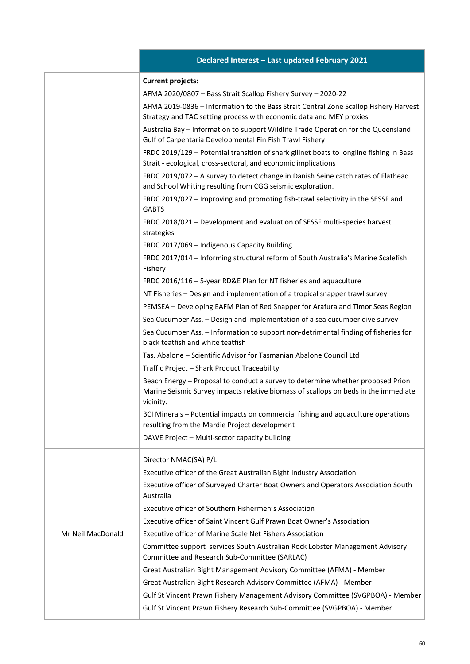|                   | Declared Interest - Last updated February 2021                                                                                                                                      |
|-------------------|-------------------------------------------------------------------------------------------------------------------------------------------------------------------------------------|
|                   | <b>Current projects:</b>                                                                                                                                                            |
|                   | AFMA 2020/0807 - Bass Strait Scallop Fishery Survey - 2020-22                                                                                                                       |
|                   | AFMA 2019-0836 - Information to the Bass Strait Central Zone Scallop Fishery Harvest<br>Strategy and TAC setting process with economic data and MEY proxies                         |
|                   | Australia Bay - Information to support Wildlife Trade Operation for the Queensland<br>Gulf of Carpentaria Developmental Fin Fish Trawl Fishery                                      |
|                   | FRDC 2019/129 - Potential transition of shark gillnet boats to longline fishing in Bass<br>Strait - ecological, cross-sectoral, and economic implications                           |
|                   | FRDC 2019/072 - A survey to detect change in Danish Seine catch rates of Flathead<br>and School Whiting resulting from CGG seismic exploration.                                     |
|                   | FRDC 2019/027 - Improving and promoting fish-trawl selectivity in the SESSF and<br><b>GABTS</b>                                                                                     |
|                   | FRDC 2018/021 - Development and evaluation of SESSF multi-species harvest<br>strategies                                                                                             |
|                   | FRDC 2017/069 - Indigenous Capacity Building                                                                                                                                        |
|                   | FRDC 2017/014 - Informing structural reform of South Australia's Marine Scalefish                                                                                                   |
|                   | Fishery                                                                                                                                                                             |
|                   | FRDC 2016/116 - 5-year RD&E Plan for NT fisheries and aquaculture                                                                                                                   |
|                   | NT Fisheries - Design and implementation of a tropical snapper trawl survey                                                                                                         |
|                   | PEMSEA - Developing EAFM Plan of Red Snapper for Arafura and Timor Seas Region                                                                                                      |
|                   | Sea Cucumber Ass. - Design and implementation of a sea cucumber dive survey                                                                                                         |
|                   | Sea Cucumber Ass. - Information to support non-detrimental finding of fisheries for<br>black teatfish and white teatfish                                                            |
|                   | Tas. Abalone – Scientific Advisor for Tasmanian Abalone Council Ltd                                                                                                                 |
|                   | Traffic Project - Shark Product Traceability                                                                                                                                        |
|                   | Beach Energy - Proposal to conduct a survey to determine whether proposed Prion<br>Marine Seismic Survey impacts relative biomass of scallops on beds in the immediate<br>vicinity. |
|                   | BCI Minerals - Potential impacts on commercial fishing and aquaculture operations<br>resulting from the Mardie Project development                                                  |
|                   | DAWE Project - Multi-sector capacity building                                                                                                                                       |
|                   |                                                                                                                                                                                     |
|                   | Director NMAC(SA) P/L                                                                                                                                                               |
|                   | Executive officer of the Great Australian Bight Industry Association<br>Executive officer of Surveyed Charter Boat Owners and Operators Association South                           |
|                   | Australia                                                                                                                                                                           |
|                   | Executive officer of Southern Fishermen's Association                                                                                                                               |
|                   | Executive officer of Saint Vincent Gulf Prawn Boat Owner's Association                                                                                                              |
| Mr Neil MacDonald | <b>Executive officer of Marine Scale Net Fishers Association</b>                                                                                                                    |
|                   | Committee support services South Australian Rock Lobster Management Advisory<br>Committee and Research Sub-Committee (SARLAC)                                                       |
|                   | Great Australian Bight Management Advisory Committee (AFMA) - Member                                                                                                                |
|                   | Great Australian Bight Research Advisory Committee (AFMA) - Member                                                                                                                  |
|                   | Gulf St Vincent Prawn Fishery Management Advisory Committee (SVGPBOA) - Member                                                                                                      |
|                   | Gulf St Vincent Prawn Fishery Research Sub-Committee (SVGPBOA) - Member                                                                                                             |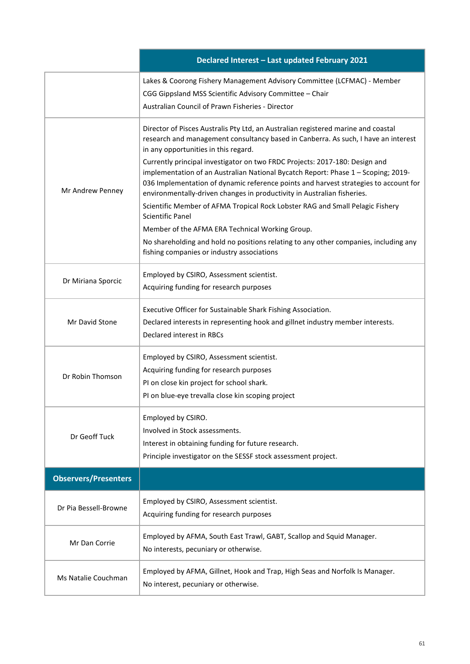| Declared Interest - Last updated February 2021 |                                                                                                                                                                                                                                                                                                                                     |  |  |  |  |  |
|------------------------------------------------|-------------------------------------------------------------------------------------------------------------------------------------------------------------------------------------------------------------------------------------------------------------------------------------------------------------------------------------|--|--|--|--|--|
|                                                | Lakes & Coorong Fishery Management Advisory Committee (LCFMAC) - Member<br>CGG Gippsland MSS Scientific Advisory Committee - Chair<br>Australian Council of Prawn Fisheries - Director                                                                                                                                              |  |  |  |  |  |
|                                                | Director of Pisces Australis Pty Ltd, an Australian registered marine and coastal<br>research and management consultancy based in Canberra. As such, I have an interest<br>in any opportunities in this regard.                                                                                                                     |  |  |  |  |  |
| Mr Andrew Penney                               | Currently principal investigator on two FRDC Projects: 2017-180: Design and<br>implementation of an Australian National Bycatch Report: Phase 1 - Scoping; 2019-<br>036 Implementation of dynamic reference points and harvest strategies to account for<br>environmentally-driven changes in productivity in Australian fisheries. |  |  |  |  |  |
|                                                | Scientific Member of AFMA Tropical Rock Lobster RAG and Small Pelagic Fishery<br>Scientific Panel                                                                                                                                                                                                                                   |  |  |  |  |  |
|                                                | Member of the AFMA ERA Technical Working Group.<br>No shareholding and hold no positions relating to any other companies, including any                                                                                                                                                                                             |  |  |  |  |  |
|                                                | fishing companies or industry associations                                                                                                                                                                                                                                                                                          |  |  |  |  |  |
| Dr Miriana Sporcic                             | Employed by CSIRO, Assessment scientist.<br>Acquiring funding for research purposes                                                                                                                                                                                                                                                 |  |  |  |  |  |
| Mr David Stone                                 | Executive Officer for Sustainable Shark Fishing Association.<br>Declared interests in representing hook and gillnet industry member interests.                                                                                                                                                                                      |  |  |  |  |  |
|                                                | Declared interest in RBCs                                                                                                                                                                                                                                                                                                           |  |  |  |  |  |
|                                                | Employed by CSIRO, Assessment scientist.<br>Acquiring funding for research purposes                                                                                                                                                                                                                                                 |  |  |  |  |  |
| Dr Robin Thomson                               | PI on close kin project for school shark.                                                                                                                                                                                                                                                                                           |  |  |  |  |  |
|                                                | PI on blue-eye trevalla close kin scoping project                                                                                                                                                                                                                                                                                   |  |  |  |  |  |
| Dr Geoff Tuck                                  | Employed by CSIRO.<br>Involved in Stock assessments.                                                                                                                                                                                                                                                                                |  |  |  |  |  |
|                                                | Interest in obtaining funding for future research.<br>Principle investigator on the SESSF stock assessment project.                                                                                                                                                                                                                 |  |  |  |  |  |
| <b>Observers/Presenters</b>                    |                                                                                                                                                                                                                                                                                                                                     |  |  |  |  |  |
| Dr Pia Bessell-Browne                          | Employed by CSIRO, Assessment scientist.<br>Acquiring funding for research purposes                                                                                                                                                                                                                                                 |  |  |  |  |  |
| Mr Dan Corrie                                  | Employed by AFMA, South East Trawl, GABT, Scallop and Squid Manager.<br>No interests, pecuniary or otherwise.                                                                                                                                                                                                                       |  |  |  |  |  |
| Ms Natalie Couchman                            | Employed by AFMA, Gillnet, Hook and Trap, High Seas and Norfolk Is Manager.<br>No interest, pecuniary or otherwise.                                                                                                                                                                                                                 |  |  |  |  |  |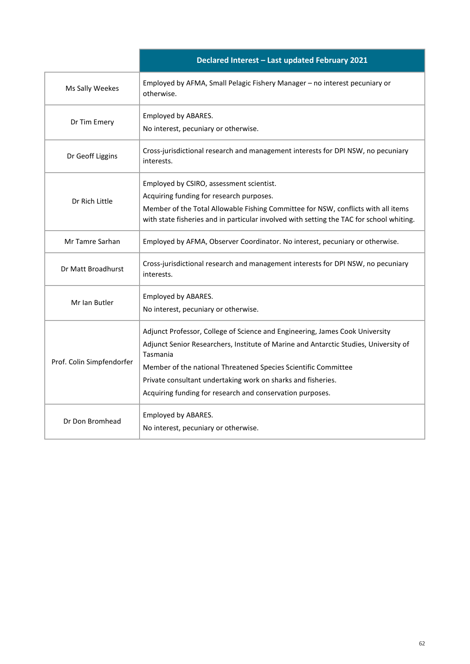|                           | Declared Interest - Last updated February 2021                                                                                                                                                                                                                                                                                                                                  |  |  |  |
|---------------------------|---------------------------------------------------------------------------------------------------------------------------------------------------------------------------------------------------------------------------------------------------------------------------------------------------------------------------------------------------------------------------------|--|--|--|
| Ms Sally Weekes           | Employed by AFMA, Small Pelagic Fishery Manager - no interest pecuniary or<br>otherwise.                                                                                                                                                                                                                                                                                        |  |  |  |
| Dr Tim Emery              | Employed by ABARES.<br>No interest, pecuniary or otherwise.                                                                                                                                                                                                                                                                                                                     |  |  |  |
| Dr Geoff Liggins          | Cross-jurisdictional research and management interests for DPI NSW, no pecuniary<br>interests.                                                                                                                                                                                                                                                                                  |  |  |  |
| Dr Rich Little            | Employed by CSIRO, assessment scientist.<br>Acquiring funding for research purposes.<br>Member of the Total Allowable Fishing Committee for NSW, conflicts with all items<br>with state fisheries and in particular involved with setting the TAC for school whiting.                                                                                                           |  |  |  |
| Mr Tamre Sarhan           | Employed by AFMA, Observer Coordinator. No interest, pecuniary or otherwise.                                                                                                                                                                                                                                                                                                    |  |  |  |
| Dr Matt Broadhurst        | Cross-jurisdictional research and management interests for DPI NSW, no pecuniary<br>interests.                                                                                                                                                                                                                                                                                  |  |  |  |
| Mr Ian Butler             | Employed by ABARES.<br>No interest, pecuniary or otherwise.                                                                                                                                                                                                                                                                                                                     |  |  |  |
| Prof. Colin Simpfendorfer | Adjunct Professor, College of Science and Engineering, James Cook University<br>Adjunct Senior Researchers, Institute of Marine and Antarctic Studies, University of<br>Tasmania<br>Member of the national Threatened Species Scientific Committee<br>Private consultant undertaking work on sharks and fisheries.<br>Acquiring funding for research and conservation purposes. |  |  |  |
| Dr Don Bromhead           | Employed by ABARES.<br>No interest, pecuniary or otherwise.                                                                                                                                                                                                                                                                                                                     |  |  |  |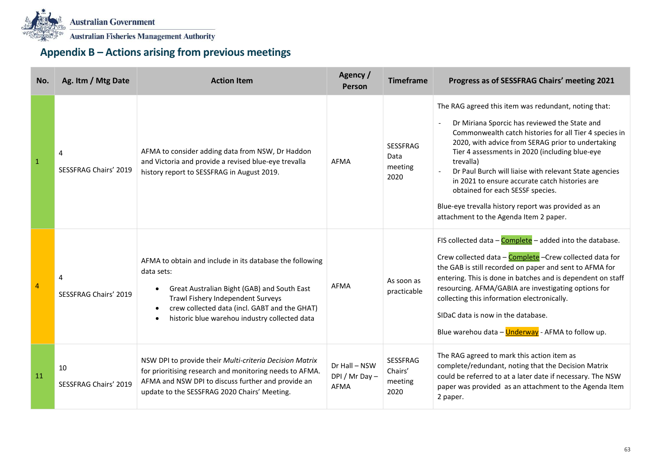

# **Appendix B – Actions arising from previous meetings**

| No.          | Ag. Itm / Mtg Date                | <b>Action Item</b>                                                                                                                                                                                                                                                                     | Agency /<br>Person                      | <b>Timeframe</b>                           | Progress as of SESSFRAG Chairs' meeting 2021                                                                                                                                                                                                                                                                                                                                                                                                                                                                                         |
|--------------|-----------------------------------|----------------------------------------------------------------------------------------------------------------------------------------------------------------------------------------------------------------------------------------------------------------------------------------|-----------------------------------------|--------------------------------------------|--------------------------------------------------------------------------------------------------------------------------------------------------------------------------------------------------------------------------------------------------------------------------------------------------------------------------------------------------------------------------------------------------------------------------------------------------------------------------------------------------------------------------------------|
| $\mathbf{1}$ | 4<br><b>SESSFRAG Chairs' 2019</b> | AFMA to consider adding data from NSW, Dr Haddon<br>and Victoria and provide a revised blue-eye trevalla<br>history report to SESSFRAG in August 2019.                                                                                                                                 | AFMA                                    | <b>SESSFRAG</b><br>Data<br>meeting<br>2020 | The RAG agreed this item was redundant, noting that:<br>Dr Miriana Sporcic has reviewed the State and<br>Commonwealth catch histories for all Tier 4 species in<br>2020, with advice from SERAG prior to undertaking<br>Tier 4 assessments in 2020 (including blue-eye<br>trevalla)<br>Dr Paul Burch will liaise with relevant State agencies<br>in 2021 to ensure accurate catch histories are<br>obtained for each SESSF species.<br>Blue-eye trevalla history report was provided as an<br>attachment to the Agenda Item 2 paper. |
| 4            | 4<br><b>SESSFRAG Chairs' 2019</b> | AFMA to obtain and include in its database the following<br>data sets:<br>Great Australian Bight (GAB) and South East<br>$\bullet$<br>Trawl Fishery Independent Surveys<br>crew collected data (incl. GABT and the GHAT)<br>historic blue warehou industry collected data<br>$\bullet$ | <b>AFMA</b>                             | As soon as<br>practicable                  | FIS collected data - Complete - added into the database.<br>Crew collected data - Complete - Crew collected data for<br>the GAB is still recorded on paper and sent to AFMA for<br>entering. This is done in batches and is dependent on staff<br>resourcing. AFMA/GABIA are investigating options for<br>collecting this information electronically.<br>SIDaC data is now in the database.<br>Blue warehou data - Underway - AFMA to follow up.                                                                                     |
| 11           | 10<br>SESSFRAG Chairs' 2019       | NSW DPI to provide their Multi-criteria Decision Matrix<br>for prioritising research and monitoring needs to AFMA.<br>AFMA and NSW DPI to discuss further and provide an<br>update to the SESSFRAG 2020 Chairs' Meeting.                                                               | Dr Hall - NSW<br>DPI / Mr Day -<br>AFMA | SESSFRAG<br>Chairs'<br>meeting<br>2020     | The RAG agreed to mark this action item as<br>complete/redundant, noting that the Decision Matrix<br>could be referred to at a later date if necessary. The NSW<br>paper was provided as an attachment to the Agenda Item<br>2 paper.                                                                                                                                                                                                                                                                                                |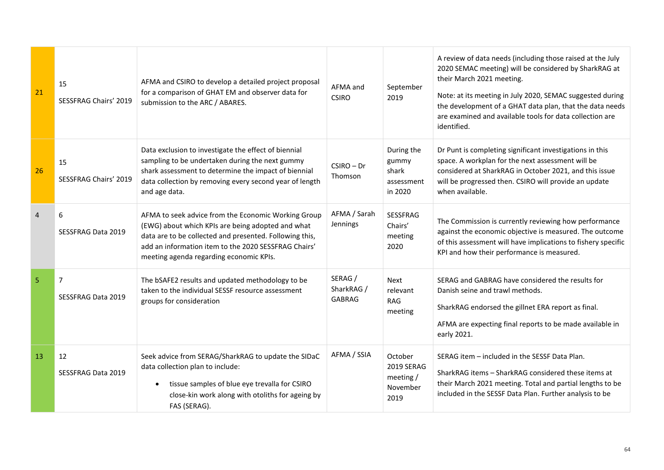| 21             | 15<br><b>SESSFRAG Chairs' 2019</b>   | AFMA and CSIRO to develop a detailed project proposal<br>for a comparison of GHAT EM and observer data for<br>submission to the ARC / ABARES.                                                                                                                          | AFMA and<br><b>CSIRO</b>               | September<br>2019                                            | A review of data needs (including those raised at the July<br>2020 SEMAC meeting) will be considered by SharkRAG at<br>their March 2021 meeting.<br>Note: at its meeting in July 2020, SEMAC suggested during<br>the development of a GHAT data plan, that the data needs<br>are examined and available tools for data collection are<br>identified. |
|----------------|--------------------------------------|------------------------------------------------------------------------------------------------------------------------------------------------------------------------------------------------------------------------------------------------------------------------|----------------------------------------|--------------------------------------------------------------|------------------------------------------------------------------------------------------------------------------------------------------------------------------------------------------------------------------------------------------------------------------------------------------------------------------------------------------------------|
| 26             | 15<br><b>SESSFRAG Chairs' 2019</b>   | Data exclusion to investigate the effect of biennial<br>sampling to be undertaken during the next gummy<br>shark assessment to determine the impact of biennial<br>data collection by removing every second year of length<br>and age data.                            | $CSIRO - Dr$<br>Thomson                | During the<br>gummy<br>shark<br>assessment<br>in 2020        | Dr Punt is completing significant investigations in this<br>space. A workplan for the next assessment will be<br>considered at SharkRAG in October 2021, and this issue<br>will be progressed then. CSIRO will provide an update<br>when available.                                                                                                  |
| $\overline{4}$ | 6<br>SESSFRAG Data 2019              | AFMA to seek advice from the Economic Working Group<br>(EWG) about which KPIs are being adopted and what<br>data are to be collected and presented. Following this,<br>add an information item to the 2020 SESSFRAG Chairs'<br>meeting agenda regarding economic KPIs. | AFMA / Sarah<br>Jennings               | SESSFRAG<br>Chairs'<br>meeting<br>2020                       | The Commission is currently reviewing how performance<br>against the economic objective is measured. The outcome<br>of this assessment will have implications to fishery specific<br>KPI and how their performance is measured.                                                                                                                      |
| 5              | $\overline{7}$<br>SESSFRAG Data 2019 | The bSAFE2 results and updated methodology to be<br>taken to the individual SESSF resource assessment<br>groups for consideration                                                                                                                                      | SERAG /<br>SharkRAG /<br><b>GABRAG</b> | <b>Next</b><br>relevant<br><b>RAG</b><br>meeting             | SERAG and GABRAG have considered the results for<br>Danish seine and trawl methods.<br>SharkRAG endorsed the gillnet ERA report as final.<br>AFMA are expecting final reports to be made available in<br>early 2021.                                                                                                                                 |
| 13             | 12<br>SESSFRAG Data 2019             | Seek advice from SERAG/SharkRAG to update the SIDaC<br>data collection plan to include:<br>tissue samples of blue eye trevalla for CSIRO<br>$\bullet$<br>close-kin work along with otoliths for ageing by<br>FAS (SERAG).                                              | AFMA / SSIA                            | October<br><b>2019 SERAG</b><br>meeting/<br>November<br>2019 | SERAG item – included in the SESSF Data Plan.<br>SharkRAG items - SharkRAG considered these items at<br>their March 2021 meeting. Total and partial lengths to be<br>included in the SESSF Data Plan. Further analysis to be                                                                                                                         |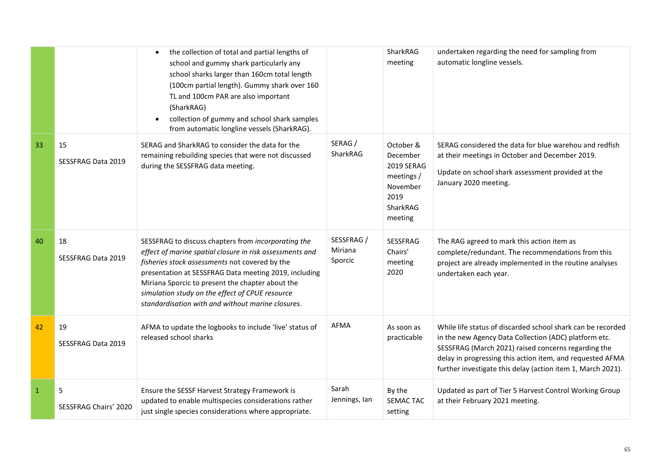|              |                            | the collection of total and partial lengths of<br>$\bullet$<br>school and gummy shark particularly any<br>school sharks larger than 160cm total length<br>(100cm partial length). Gummy shark over 160<br>TL and 100cm PAR are also important<br>(SharkRAG)<br>collection of gummy and school shark samples<br>from automatic longline vessels (SharkRAG).                             |                                  | SharkRAG<br>meeting                                                                                 | undertaken regarding the need for sampling from<br>automatic longline vessels.                                                                                                                                                                                                                          |
|--------------|----------------------------|----------------------------------------------------------------------------------------------------------------------------------------------------------------------------------------------------------------------------------------------------------------------------------------------------------------------------------------------------------------------------------------|----------------------------------|-----------------------------------------------------------------------------------------------------|---------------------------------------------------------------------------------------------------------------------------------------------------------------------------------------------------------------------------------------------------------------------------------------------------------|
| 33           | 15<br>SESSFRAG Data 2019   | SERAG and SharkRAG to consider the data for the<br>remaining rebuilding species that were not discussed<br>during the SESSFRAG data meeting.                                                                                                                                                                                                                                           | SERAG /<br>SharkRAG              | October &<br>December<br><b>2019 SERAG</b><br>meetings /<br>November<br>2019<br>SharkRAG<br>meeting | SERAG considered the data for blue warehou and redfish<br>at their meetings in October and December 2019.<br>Update on school shark assessment provided at the<br>January 2020 meeting.                                                                                                                 |
| 40           | 18<br>SESSFRAG Data 2019   | SESSFRAG to discuss chapters from incorporating the<br>effect of marine spatial closure in risk assessments and<br>fisheries stock assessments not covered by the<br>presentation at SESSFRAG Data meeting 2019, including<br>Miriana Sporcic to present the chapter about the<br>simulation study on the effect of CPUE resource<br>standardisation with and without marine closures. | SESSFRAG /<br>Miriana<br>Sporcic | SESSFRAG<br>Chairs'<br>meeting<br>2020                                                              | The RAG agreed to mark this action item as<br>complete/redundant. The recommendations from this<br>project are already implemented in the routine analyses<br>undertaken each year.                                                                                                                     |
| 42           | 19<br>SESSFRAG Data 2019   | AFMA to update the logbooks to include 'live' status of<br>released school sharks                                                                                                                                                                                                                                                                                                      | <b>AFMA</b>                      | As soon as<br>practicable                                                                           | While life status of discarded school shark can be recorded<br>in the new Agency Data Collection (ADC) platform etc.<br>SESSFRAG (March 2021) raised concerns regarding the<br>delay in progressing this action item, and requested AFMA<br>further investigate this delay (action item 1, March 2021). |
| $\mathbf{1}$ | 5<br>SESSFRAG Chairs' 2020 | Ensure the SESSF Harvest Strategy Framework is<br>updated to enable multispecies considerations rather<br>just single species considerations where appropriate.                                                                                                                                                                                                                        | Sarah<br>Jennings, lan           | By the<br><b>SEMAC TAC</b><br>setting                                                               | Updated as part of Tier 5 Harvest Control Working Group<br>at their February 2021 meeting.                                                                                                                                                                                                              |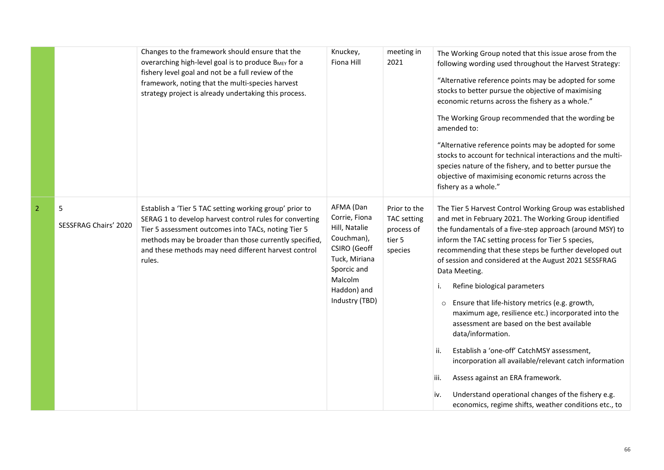|                |                            | Changes to the framework should ensure that the<br>Overarching high-level goal is to produce BMEY for a<br>fishery level goal and not be a full review of the<br>framework, noting that the multi-species harvest<br>strategy project is already undertaking this process.                            | Knuckey,<br>Fiona Hill                                                                                                                                | meeting in<br>2021                                                    | The Working Group noted that this issue arose from the<br>following wording used throughout the Harvest Strategy:<br>"Alternative reference points may be adopted for some<br>stocks to better pursue the objective of maximising<br>economic returns across the fishery as a whole."<br>The Working Group recommended that the wording be<br>amended to:<br>"Alternative reference points may be adopted for some<br>stocks to account for technical interactions and the multi-<br>species nature of the fishery, and to better pursue the<br>objective of maximising economic returns across the<br>fishery as a whole."                                                                                                                                                                                                                                                      |
|----------------|----------------------------|-------------------------------------------------------------------------------------------------------------------------------------------------------------------------------------------------------------------------------------------------------------------------------------------------------|-------------------------------------------------------------------------------------------------------------------------------------------------------|-----------------------------------------------------------------------|----------------------------------------------------------------------------------------------------------------------------------------------------------------------------------------------------------------------------------------------------------------------------------------------------------------------------------------------------------------------------------------------------------------------------------------------------------------------------------------------------------------------------------------------------------------------------------------------------------------------------------------------------------------------------------------------------------------------------------------------------------------------------------------------------------------------------------------------------------------------------------|
| $\overline{2}$ | 5<br>SESSFRAG Chairs' 2020 | Establish a 'Tier 5 TAC setting working group' prior to<br>SERAG 1 to develop harvest control rules for converting<br>Tier 5 assessment outcomes into TACs, noting Tier 5<br>methods may be broader than those currently specified,<br>and these methods may need different harvest control<br>rules. | AFMA (Dan<br>Corrie, Fiona<br>Hill, Natalie<br>Couchman),<br>CSIRO (Geoff<br>Tuck, Miriana<br>Sporcic and<br>Malcolm<br>Haddon) and<br>Industry (TBD) | Prior to the<br><b>TAC</b> setting<br>process of<br>tier 5<br>species | The Tier 5 Harvest Control Working Group was established<br>and met in February 2021. The Working Group identified<br>the fundamentals of a five-step approach (around MSY) to<br>inform the TAC setting process for Tier 5 species,<br>recommending that these steps be further developed out<br>of session and considered at the August 2021 SESSFRAG<br>Data Meeting.<br>Refine biological parameters<br>Ensure that life-history metrics (e.g. growth,<br>$\circ$<br>maximum age, resilience etc.) incorporated into the<br>assessment are based on the best available<br>data/information.<br>Establish a 'one-off' CatchMSY assessment,<br>ii.<br>incorporation all available/relevant catch information<br>Assess against an ERA framework.<br>iii.<br>Understand operational changes of the fishery e.g.<br>iv.<br>economics, regime shifts, weather conditions etc., to |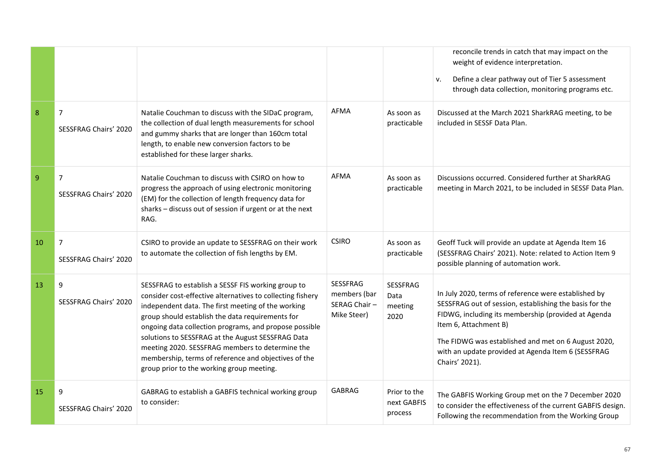|    |                                         |                                                                                                                                                                                                                                                                                                                                                                                                                                                                                                   |                                                         |                                            | reconcile trends in catch that may impact on the<br>weight of evidence interpretation.<br>Define a clear pathway out of Tier 5 assessment<br>v.<br>through data collection, monitoring programs etc.                                                                                                                           |
|----|-----------------------------------------|---------------------------------------------------------------------------------------------------------------------------------------------------------------------------------------------------------------------------------------------------------------------------------------------------------------------------------------------------------------------------------------------------------------------------------------------------------------------------------------------------|---------------------------------------------------------|--------------------------------------------|--------------------------------------------------------------------------------------------------------------------------------------------------------------------------------------------------------------------------------------------------------------------------------------------------------------------------------|
| 8  | $\overline{7}$<br>SESSFRAG Chairs' 2020 | Natalie Couchman to discuss with the SIDaC program,<br>the collection of dual length measurements for school<br>and gummy sharks that are longer than 160cm total<br>length, to enable new conversion factors to be<br>established for these larger sharks.                                                                                                                                                                                                                                       | AFMA                                                    | As soon as<br>practicable                  | Discussed at the March 2021 SharkRAG meeting, to be<br>included in SESSF Data Plan.                                                                                                                                                                                                                                            |
| 9  | $\overline{7}$<br>SESSFRAG Chairs' 2020 | Natalie Couchman to discuss with CSIRO on how to<br>progress the approach of using electronic monitoring<br>(EM) for the collection of length frequency data for<br>sharks - discuss out of session if urgent or at the next<br>RAG.                                                                                                                                                                                                                                                              | <b>AFMA</b>                                             | As soon as<br>practicable                  | Discussions occurred. Considered further at SharkRAG<br>meeting in March 2021, to be included in SESSF Data Plan.                                                                                                                                                                                                              |
| 10 | $\overline{7}$<br>SESSFRAG Chairs' 2020 | CSIRO to provide an update to SESSFRAG on their work<br>to automate the collection of fish lengths by EM.                                                                                                                                                                                                                                                                                                                                                                                         | <b>CSIRO</b>                                            | As soon as<br>practicable                  | Geoff Tuck will provide an update at Agenda Item 16<br>(SESSFRAG Chairs' 2021). Note: related to Action Item 9<br>possible planning of automation work.                                                                                                                                                                        |
| 13 | 9<br>SESSFRAG Chairs' 2020              | SESSFRAG to establish a SESSF FIS working group to<br>consider cost-effective alternatives to collecting fishery<br>independent data. The first meeting of the working<br>group should establish the data requirements for<br>ongoing data collection programs, and propose possible<br>solutions to SESSFRAG at the August SESSFRAG Data<br>meeting 2020. SESSFRAG members to determine the<br>membership, terms of reference and objectives of the<br>group prior to the working group meeting. | SESSFRAG<br>members (bar<br>SERAG Chair-<br>Mike Steer) | <b>SESSFRAG</b><br>Data<br>meeting<br>2020 | In July 2020, terms of reference were established by<br>SESSFRAG out of session, establishing the basis for the<br>FIDWG, including its membership (provided at Agenda<br>Item 6, Attachment B)<br>The FIDWG was established and met on 6 August 2020,<br>with an update provided at Agenda Item 6 (SESSFRAG<br>Chairs' 2021). |
| 15 | 9<br>SESSFRAG Chairs' 2020              | GABRAG to establish a GABFIS technical working group<br>to consider:                                                                                                                                                                                                                                                                                                                                                                                                                              | <b>GABRAG</b>                                           | Prior to the<br>next GABFIS<br>process     | The GABFIS Working Group met on the 7 December 2020<br>to consider the effectiveness of the current GABFIS design.<br>Following the recommendation from the Working Group                                                                                                                                                      |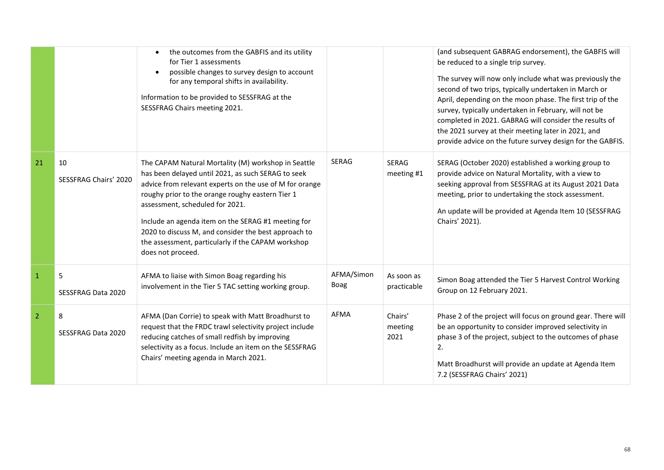|                |                             | the outcomes from the GABFIS and its utility<br>$\bullet$<br>for Tier 1 assessments<br>possible changes to survey design to account<br>$\bullet$<br>for any temporal shifts in availability.<br>Information to be provided to SESSFRAG at the<br>SESSFRAG Chairs meeting 2021.                                                                                                                                                                       |                    |                            | (and subsequent GABRAG endorsement), the GABFIS will<br>be reduced to a single trip survey.<br>The survey will now only include what was previously the<br>second of two trips, typically undertaken in March or<br>April, depending on the moon phase. The first trip of the<br>survey, typically undertaken in February, will not be<br>completed in 2021. GABRAG will consider the results of<br>the 2021 survey at their meeting later in 2021, and<br>provide advice on the future survey design for the GABFIS. |
|----------------|-----------------------------|------------------------------------------------------------------------------------------------------------------------------------------------------------------------------------------------------------------------------------------------------------------------------------------------------------------------------------------------------------------------------------------------------------------------------------------------------|--------------------|----------------------------|-----------------------------------------------------------------------------------------------------------------------------------------------------------------------------------------------------------------------------------------------------------------------------------------------------------------------------------------------------------------------------------------------------------------------------------------------------------------------------------------------------------------------|
| 21             | 10<br>SESSFRAG Chairs' 2020 | The CAPAM Natural Mortality (M) workshop in Seattle<br>has been delayed until 2021, as such SERAG to seek<br>advice from relevant experts on the use of M for orange<br>roughy prior to the orange roughy eastern Tier 1<br>assessment, scheduled for 2021.<br>Include an agenda item on the SERAG #1 meeting for<br>2020 to discuss M, and consider the best approach to<br>the assessment, particularly if the CAPAM workshop<br>does not proceed. | <b>SERAG</b>       | <b>SERAG</b><br>meeting #1 | SERAG (October 2020) established a working group to<br>provide advice on Natural Mortality, with a view to<br>seeking approval from SESSFRAG at its August 2021 Data<br>meeting, prior to undertaking the stock assessment.<br>An update will be provided at Agenda Item 10 (SESSFRAG<br>Chairs' 2021).                                                                                                                                                                                                               |
| $\mathbf{1}$   | 5<br>SESSFRAG Data 2020     | AFMA to liaise with Simon Boag regarding his<br>involvement in the Tier 5 TAC setting working group.                                                                                                                                                                                                                                                                                                                                                 | AFMA/Simon<br>Boag | As soon as<br>practicable  | Simon Boag attended the Tier 5 Harvest Control Working<br>Group on 12 February 2021.                                                                                                                                                                                                                                                                                                                                                                                                                                  |
| $\overline{2}$ | 8<br>SESSFRAG Data 2020     | AFMA (Dan Corrie) to speak with Matt Broadhurst to<br>request that the FRDC trawl selectivity project include<br>reducing catches of small redfish by improving<br>selectivity as a focus. Include an item on the SESSFRAG<br>Chairs' meeting agenda in March 2021.                                                                                                                                                                                  | <b>AFMA</b>        | Chairs'<br>meeting<br>2021 | Phase 2 of the project will focus on ground gear. There will<br>be an opportunity to consider improved selectivity in<br>phase 3 of the project, subject to the outcomes of phase<br>2.<br>Matt Broadhurst will provide an update at Agenda Item<br>7.2 (SESSFRAG Chairs' 2021)                                                                                                                                                                                                                                       |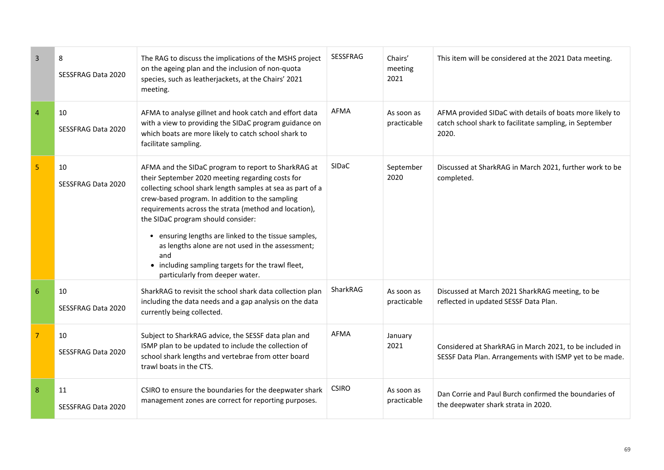| $\overline{\mathbf{3}}$ | 8<br>SESSFRAG Data 2020         | The RAG to discuss the implications of the MSHS project<br>on the ageing plan and the inclusion of non-quota<br>species, such as leatherjackets, at the Chairs' 2021<br>meeting.                                                                                                                                                                                                                                                                                                                                                   | <b>SESSFRAG</b> | Chairs'<br>meeting<br>2021 | This item will be considered at the 2021 Data meeting.                                                                       |
|-------------------------|---------------------------------|------------------------------------------------------------------------------------------------------------------------------------------------------------------------------------------------------------------------------------------------------------------------------------------------------------------------------------------------------------------------------------------------------------------------------------------------------------------------------------------------------------------------------------|-----------------|----------------------------|------------------------------------------------------------------------------------------------------------------------------|
| $\overline{4}$          | 10<br>SESSFRAG Data 2020        | AFMA to analyse gillnet and hook catch and effort data<br>with a view to providing the SIDaC program guidance on<br>which boats are more likely to catch school shark to<br>facilitate sampling.                                                                                                                                                                                                                                                                                                                                   | AFMA            | As soon as<br>practicable  | AFMA provided SIDaC with details of boats more likely to<br>catch school shark to facilitate sampling, in September<br>2020. |
| 5 <sub>o</sub>          | 10<br>SESSFRAG Data 2020        | AFMA and the SIDaC program to report to SharkRAG at<br>their September 2020 meeting regarding costs for<br>collecting school shark length samples at sea as part of a<br>crew-based program. In addition to the sampling<br>requirements across the strata (method and location),<br>the SIDaC program should consider:<br>• ensuring lengths are linked to the tissue samples,<br>as lengths alone are not used in the assessment;<br>and<br>• including sampling targets for the trawl fleet,<br>particularly from deeper water. | SIDaC           | September<br>2020          | Discussed at SharkRAG in March 2021, further work to be<br>completed.                                                        |
| 6                       | 10<br>SESSFRAG Data 2020        | SharkRAG to revisit the school shark data collection plan<br>including the data needs and a gap analysis on the data<br>currently being collected.                                                                                                                                                                                                                                                                                                                                                                                 | SharkRAG        | As soon as<br>practicable  | Discussed at March 2021 SharkRAG meeting, to be<br>reflected in updated SESSF Data Plan.                                     |
| $\overline{7}$          | 10<br>SESSFRAG Data 2020        | Subject to SharkRAG advice, the SESSF data plan and<br>ISMP plan to be updated to include the collection of<br>school shark lengths and vertebrae from otter board<br>trawl boats in the CTS.                                                                                                                                                                                                                                                                                                                                      | AFMA            | January<br>2021            | Considered at SharkRAG in March 2021, to be included in<br>SESSF Data Plan. Arrangements with ISMP yet to be made.           |
| 8                       | 11<br><b>SESSFRAG Data 2020</b> | CSIRO to ensure the boundaries for the deepwater shark<br>management zones are correct for reporting purposes.                                                                                                                                                                                                                                                                                                                                                                                                                     | <b>CSIRO</b>    | As soon as<br>practicable  | Dan Corrie and Paul Burch confirmed the boundaries of<br>the deepwater shark strata in 2020.                                 |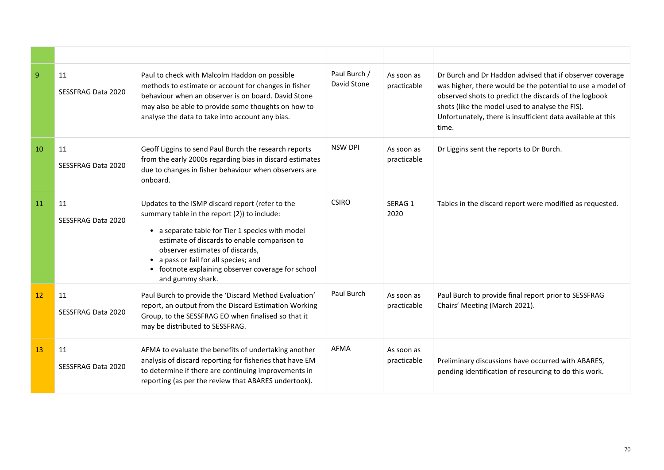| $\mathbf{q}$ | 11<br>SESSFRAG Data 2020 | Paul to check with Malcolm Haddon on possible<br>methods to estimate or account for changes in fisher<br>behaviour when an observer is on board. David Stone<br>may also be able to provide some thoughts on how to<br>analyse the data to take into account any bias.                                                                                     | Paul Burch /<br>David Stone | As soon as<br>practicable | Dr Burch and Dr Haddon advised that if observer coverage<br>was higher, there would be the potential to use a model of<br>observed shots to predict the discards of the logbook<br>shots (like the model used to analyse the FIS).<br>Unfortunately, there is insufficient data available at this<br>time. |
|--------------|--------------------------|------------------------------------------------------------------------------------------------------------------------------------------------------------------------------------------------------------------------------------------------------------------------------------------------------------------------------------------------------------|-----------------------------|---------------------------|------------------------------------------------------------------------------------------------------------------------------------------------------------------------------------------------------------------------------------------------------------------------------------------------------------|
| 10           | 11<br>SESSFRAG Data 2020 | Geoff Liggins to send Paul Burch the research reports<br>from the early 2000s regarding bias in discard estimates<br>due to changes in fisher behaviour when observers are<br>onboard.                                                                                                                                                                     | <b>NSW DPI</b>              | As soon as<br>practicable | Dr Liggins sent the reports to Dr Burch.                                                                                                                                                                                                                                                                   |
| 11           | 11<br>SESSFRAG Data 2020 | Updates to the ISMP discard report (refer to the<br>summary table in the report (2)) to include:<br>• a separate table for Tier 1 species with model<br>estimate of discards to enable comparison to<br>observer estimates of discards,<br>• a pass or fail for all species; and<br>• footnote explaining observer coverage for school<br>and gummy shark. | <b>CSIRO</b>                | SERAG 1<br>2020           | Tables in the discard report were modified as requested.                                                                                                                                                                                                                                                   |
| 12           | 11<br>SESSFRAG Data 2020 | Paul Burch to provide the 'Discard Method Evaluation'<br>report, an output from the Discard Estimation Working<br>Group, to the SESSFRAG EO when finalised so that it<br>may be distributed to SESSFRAG.                                                                                                                                                   | Paul Burch                  | As soon as<br>practicable | Paul Burch to provide final report prior to SESSFRAG<br>Chairs' Meeting (March 2021).                                                                                                                                                                                                                      |
| 13           | 11<br>SESSFRAG Data 2020 | AFMA to evaluate the benefits of undertaking another<br>analysis of discard reporting for fisheries that have EM<br>to determine if there are continuing improvements in<br>reporting (as per the review that ABARES undertook).                                                                                                                           | <b>AFMA</b>                 | As soon as<br>practicable | Preliminary discussions have occurred with ABARES,<br>pending identification of resourcing to do this work.                                                                                                                                                                                                |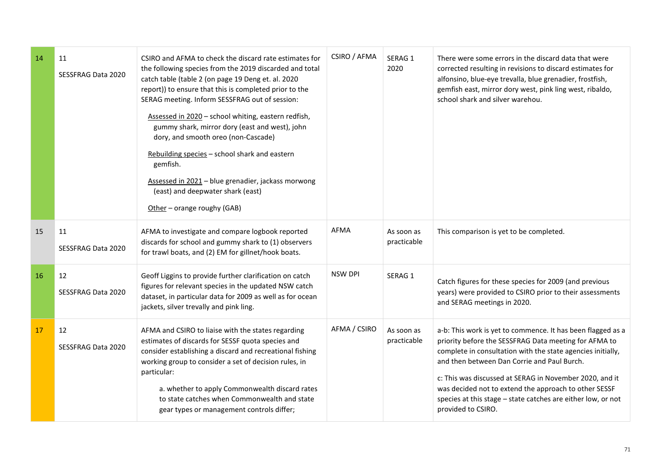| -14 | 11<br><b>SESSFRAG Data 2020</b> | CSIRO and AFMA to check the discard rate estimates for<br>the following species from the 2019 discarded and total<br>catch table (table 2 (on page 19 Deng et. al. 2020<br>report)) to ensure that this is completed prior to the<br>SERAG meeting. Inform SESSFRAG out of session:<br>Assessed in 2020 - school whiting, eastern redfish,<br>gummy shark, mirror dory (east and west), john<br>dory, and smooth oreo (non-Cascade)<br>Rebuilding species - school shark and eastern<br>gemfish.<br>Assessed in 2021 - blue grenadier, jackass morwong<br>(east) and deepwater shark (east)<br>Other - orange roughy (GAB) | CSIRO / AFMA   | SERAG 1<br>2020           | There were some errors in the discard data that were<br>corrected resulting in revisions to discard estimates for<br>alfonsino, blue-eye trevalla, blue grenadier, frostfish,<br>gemfish east, mirror dory west, pink ling west, ribaldo,<br>school shark and silver warehou.                                                                                                                                                                |
|-----|---------------------------------|----------------------------------------------------------------------------------------------------------------------------------------------------------------------------------------------------------------------------------------------------------------------------------------------------------------------------------------------------------------------------------------------------------------------------------------------------------------------------------------------------------------------------------------------------------------------------------------------------------------------------|----------------|---------------------------|----------------------------------------------------------------------------------------------------------------------------------------------------------------------------------------------------------------------------------------------------------------------------------------------------------------------------------------------------------------------------------------------------------------------------------------------|
| 15  | 11<br>SESSFRAG Data 2020        | AFMA to investigate and compare logbook reported<br>discards for school and gummy shark to (1) observers<br>for trawl boats, and (2) EM for gillnet/hook boats.                                                                                                                                                                                                                                                                                                                                                                                                                                                            | <b>AFMA</b>    | As soon as<br>practicable | This comparison is yet to be completed.                                                                                                                                                                                                                                                                                                                                                                                                      |
| 16  | 12<br>SESSFRAG Data 2020        | Geoff Liggins to provide further clarification on catch<br>figures for relevant species in the updated NSW catch<br>dataset, in particular data for 2009 as well as for ocean<br>jackets, silver trevally and pink ling.                                                                                                                                                                                                                                                                                                                                                                                                   | <b>NSW DPI</b> | SERAG 1                   | Catch figures for these species for 2009 (and previous<br>years) were provided to CSIRO prior to their assessments<br>and SERAG meetings in 2020.                                                                                                                                                                                                                                                                                            |
| 17  | 12<br>SESSFRAG Data 2020        | AFMA and CSIRO to liaise with the states regarding<br>estimates of discards for SESSF quota species and<br>consider establishing a discard and recreational fishing<br>working group to consider a set of decision rules, in<br>particular:<br>a. whether to apply Commonwealth discard rates<br>to state catches when Commonwealth and state<br>gear types or management controls differ;                                                                                                                                                                                                                                 | AFMA / CSIRO   | As soon as<br>practicable | a-b: This work is yet to commence. It has been flagged as a<br>priority before the SESSFRAG Data meeting for AFMA to<br>complete in consultation with the state agencies initially,<br>and then between Dan Corrie and Paul Burch.<br>c: This was discussed at SERAG in November 2020, and it<br>was decided not to extend the approach to other SESSF<br>species at this stage - state catches are either low, or not<br>provided to CSIRO. |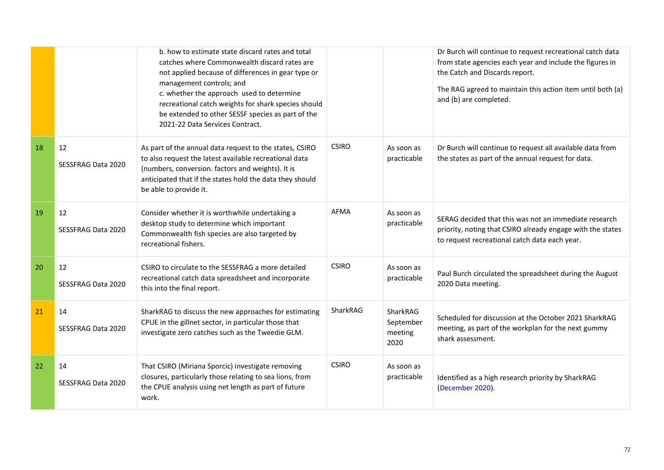|    |                                 | b, how to estimate state discard rates and total<br>catches where Commonwealth discard rates are<br>not applied because of differences in gear type or<br>management controls; and<br>c. whether the approach used to determine<br>recreational catch weights for shark species should<br>be extended to other SESSF species as part of the<br>2021-22 Data Services Contract. |              |                                          | Dr Burch will continue to request recreational catch data<br>from state agencies each year and include the figures in<br>the Catch and Discards report.<br>The RAG agreed to maintain this action item until both (a)<br>and (b) are completed. |
|----|---------------------------------|--------------------------------------------------------------------------------------------------------------------------------------------------------------------------------------------------------------------------------------------------------------------------------------------------------------------------------------------------------------------------------|--------------|------------------------------------------|-------------------------------------------------------------------------------------------------------------------------------------------------------------------------------------------------------------------------------------------------|
| 18 | 12<br><b>SESSFRAG Data 2020</b> | As part of the annual data request to the states, CSIRO<br>to also request the latest available recreational data<br>(numbers, conversion. factors and weights). It is<br>anticipated that if the states hold the data they should<br>be able to provide it.                                                                                                                   | <b>CSIRO</b> | As soon as<br>practicable                | Dr Burch will continue to request all available data from<br>the states as part of the annual request for data.                                                                                                                                 |
| 19 | 12<br>SESSFRAG Data 2020        | Consider whether it is worthwhile undertaking a<br>desktop study to determine which important<br>Commonwealth fish species are also targeted by<br>recreational fishers.                                                                                                                                                                                                       | <b>AFMA</b>  | As soon as<br>practicable                | SERAG decided that this was not an immediate research<br>priority, noting that CSIRO already engage with the states<br>to request recreational catch data each year.                                                                            |
| 20 | 12<br>SESSFRAG Data 2020        | CSIRO to circulate to the SESSFRAG a more detailed<br>recreational catch data spreadsheet and incorporate<br>this into the final report.                                                                                                                                                                                                                                       | <b>CSIRO</b> | As soon as<br>practicable                | Paul Burch circulated the spreadsheet during the August<br>2020 Data meeting.                                                                                                                                                                   |
| 21 | 14<br>SESSFRAG Data 2020        | SharkRAG to discuss the new approaches for estimating<br>CPUE in the gillnet sector, in particular those that<br>investigate zero catches such as the Tweedie GLM.                                                                                                                                                                                                             | SharkRAG     | SharkRAG<br>September<br>meeting<br>2020 | Scheduled for discussion at the October 2021 SharkRAG<br>meeting, as part of the workplan for the next gummy<br>shark assessment.                                                                                                               |
| 22 | 14<br><b>SESSFRAG Data 2020</b> | That CSIRO (Miriana Sporcic) investigate removing<br>closures, particularly those relating to sea lions, from<br>the CPUE analysis using net length as part of future<br>work.                                                                                                                                                                                                 | <b>CSIRO</b> | As soon as<br>practicable                | Identified as a high research priority by SharkRAG<br>(December 2020).                                                                                                                                                                          |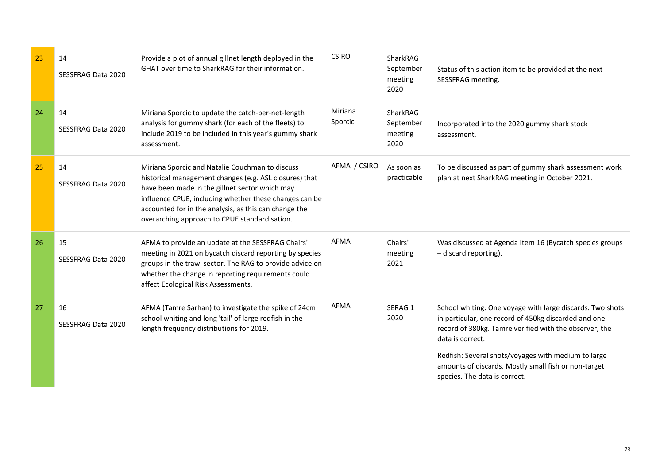| 23 | 14<br>SESSFRAG Data 2020 | Provide a plot of annual gillnet length deployed in the<br>GHAT over time to SharkRAG for their information.                                                                                                                                                                                                                    | <b>CSIRO</b>       | SharkRAG<br>September<br>meeting<br>2020 | Status of this action item to be provided at the next<br>SESSFRAG meeting.                                                                                                                                                                                                                                                                      |
|----|--------------------------|---------------------------------------------------------------------------------------------------------------------------------------------------------------------------------------------------------------------------------------------------------------------------------------------------------------------------------|--------------------|------------------------------------------|-------------------------------------------------------------------------------------------------------------------------------------------------------------------------------------------------------------------------------------------------------------------------------------------------------------------------------------------------|
| 24 | 14<br>SESSFRAG Data 2020 | Miriana Sporcic to update the catch-per-net-length<br>analysis for gummy shark (for each of the fleets) to<br>include 2019 to be included in this year's gummy shark<br>assessment.                                                                                                                                             | Miriana<br>Sporcic | SharkRAG<br>September<br>meeting<br>2020 | Incorporated into the 2020 gummy shark stock<br>assessment.                                                                                                                                                                                                                                                                                     |
| 25 | 14<br>SESSFRAG Data 2020 | Miriana Sporcic and Natalie Couchman to discuss<br>historical management changes (e.g. ASL closures) that<br>have been made in the gillnet sector which may<br>influence CPUE, including whether these changes can be<br>accounted for in the analysis, as this can change the<br>overarching approach to CPUE standardisation. | AFMA / CSIRO       | As soon as<br>practicable                | To be discussed as part of gummy shark assessment work<br>plan at next SharkRAG meeting in October 2021.                                                                                                                                                                                                                                        |
| 26 | 15<br>SESSFRAG Data 2020 | AFMA to provide an update at the SESSFRAG Chairs'<br>meeting in 2021 on bycatch discard reporting by species<br>groups in the trawl sector. The RAG to provide advice on<br>whether the change in reporting requirements could<br>affect Ecological Risk Assessments.                                                           | <b>AFMA</b>        | Chairs'<br>meeting<br>2021               | Was discussed at Agenda Item 16 (Bycatch species groups<br>- discard reporting).                                                                                                                                                                                                                                                                |
| 27 | 16<br>SESSFRAG Data 2020 | AFMA (Tamre Sarhan) to investigate the spike of 24cm<br>school whiting and long 'tail' of large redfish in the<br>length frequency distributions for 2019.                                                                                                                                                                      | AFMA               | SERAG 1<br>2020                          | School whiting: One voyage with large discards. Two shots<br>in particular, one record of 450kg discarded and one<br>record of 380kg. Tamre verified with the observer, the<br>data is correct.<br>Redfish: Several shots/voyages with medium to large<br>amounts of discards. Mostly small fish or non-target<br>species. The data is correct. |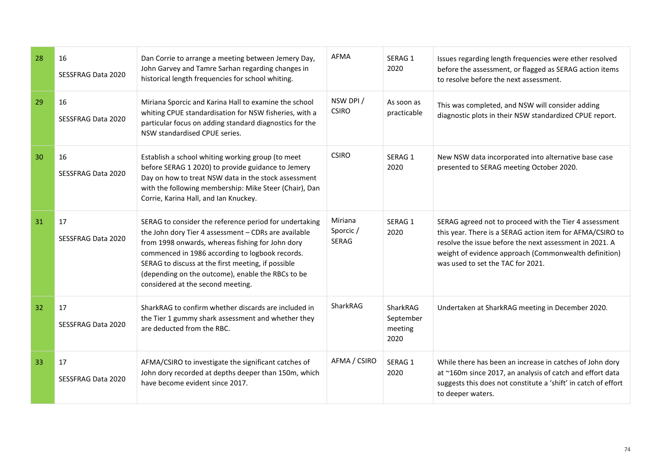| 28 | 16<br>SESSFRAG Data 2020 | Dan Corrie to arrange a meeting between Jemery Day,<br>John Garvey and Tamre Sarhan regarding changes in<br>historical length frequencies for school whiting.                                                                                                                                                                                                         | AFMA                                | SERAG 1<br>2020                          | Issues regarding length frequencies were ether resolved<br>before the assessment, or flagged as SERAG action items<br>to resolve before the next assessment.                                                                                                                 |
|----|--------------------------|-----------------------------------------------------------------------------------------------------------------------------------------------------------------------------------------------------------------------------------------------------------------------------------------------------------------------------------------------------------------------|-------------------------------------|------------------------------------------|------------------------------------------------------------------------------------------------------------------------------------------------------------------------------------------------------------------------------------------------------------------------------|
| 29 | 16<br>SESSFRAG Data 2020 | Miriana Sporcic and Karina Hall to examine the school<br>whiting CPUE standardisation for NSW fisheries, with a<br>particular focus on adding standard diagnostics for the<br>NSW standardised CPUE series.                                                                                                                                                           | NSW DPI/<br><b>CSIRO</b>            | As soon as<br>practicable                | This was completed, and NSW will consider adding<br>diagnostic plots in their NSW standardized CPUE report.                                                                                                                                                                  |
| 30 | 16<br>SESSFRAG Data 2020 | Establish a school whiting working group (to meet<br>before SERAG 1 2020) to provide guidance to Jemery<br>Day on how to treat NSW data in the stock assessment<br>with the following membership: Mike Steer (Chair), Dan<br>Corrie, Karina Hall, and Ian Knuckey.                                                                                                    | <b>CSIRO</b>                        | SERAG 1<br>2020                          | New NSW data incorporated into alternative base case<br>presented to SERAG meeting October 2020.                                                                                                                                                                             |
| 31 | 17<br>SESSFRAG Data 2020 | SERAG to consider the reference period for undertaking<br>the John dory Tier 4 assessment - CDRs are available<br>from 1998 onwards, whereas fishing for John dory<br>commenced in 1986 according to logbook records.<br>SERAG to discuss at the first meeting, if possible<br>(depending on the outcome), enable the RBCs to be<br>considered at the second meeting. | Miriana<br>Sporcic/<br><b>SERAG</b> | SERAG 1<br>2020                          | SERAG agreed not to proceed with the Tier 4 assessment<br>this year. There is a SERAG action item for AFMA/CSIRO to<br>resolve the issue before the next assessment in 2021. A<br>weight of evidence approach (Commonwealth definition)<br>was used to set the TAC for 2021. |
| 32 | 17<br>SESSFRAG Data 2020 | SharkRAG to confirm whether discards are included in<br>the Tier 1 gummy shark assessment and whether they<br>are deducted from the RBC.                                                                                                                                                                                                                              | SharkRAG                            | SharkRAG<br>September<br>meeting<br>2020 | Undertaken at SharkRAG meeting in December 2020.                                                                                                                                                                                                                             |
| 33 | 17<br>SESSFRAG Data 2020 | AFMA/CSIRO to investigate the significant catches of<br>John dory recorded at depths deeper than 150m, which<br>have become evident since 2017.                                                                                                                                                                                                                       | AFMA / CSIRO                        | SERAG 1<br>2020                          | While there has been an increase in catches of John dory<br>at ~160m since 2017, an analysis of catch and effort data<br>suggests this does not constitute a 'shift' in catch of effort<br>to deeper waters.                                                                 |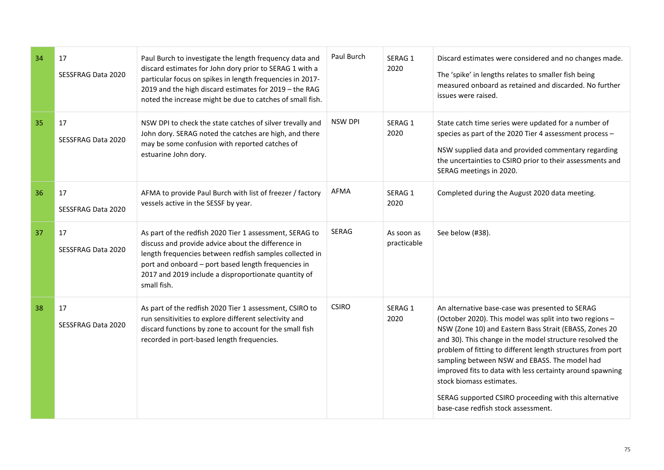| 34 | 17<br>SESSFRAG Data 2020        | Paul Burch to investigate the length frequency data and<br>discard estimates for John dory prior to SERAG 1 with a<br>particular focus on spikes in length frequencies in 2017-<br>2019 and the high discard estimates for 2019 - the RAG<br>noted the increase might be due to catches of small fish. | Paul Burch     | SERAG 1<br>2020           | Discard estimates were considered and no changes made.<br>The 'spike' in lengths relates to smaller fish being<br>measured onboard as retained and discarded. No further<br>issues were raised.                                                                                                                                                                                                                                                                                                                                            |
|----|---------------------------------|--------------------------------------------------------------------------------------------------------------------------------------------------------------------------------------------------------------------------------------------------------------------------------------------------------|----------------|---------------------------|--------------------------------------------------------------------------------------------------------------------------------------------------------------------------------------------------------------------------------------------------------------------------------------------------------------------------------------------------------------------------------------------------------------------------------------------------------------------------------------------------------------------------------------------|
| 35 | 17<br>SESSFRAG Data 2020        | NSW DPI to check the state catches of silver trevally and<br>John dory. SERAG noted the catches are high, and there<br>may be some confusion with reported catches of<br>estuarine John dory.                                                                                                          | <b>NSW DPI</b> | SERAG 1<br>2020           | State catch time series were updated for a number of<br>species as part of the 2020 Tier 4 assessment process -<br>NSW supplied data and provided commentary regarding<br>the uncertainties to CSIRO prior to their assessments and<br>SERAG meetings in 2020.                                                                                                                                                                                                                                                                             |
| 36 | 17<br>SESSFRAG Data 2020        | AFMA to provide Paul Burch with list of freezer / factory<br>vessels active in the SESSF by year.                                                                                                                                                                                                      | AFMA           | SERAG 1<br>2020           | Completed during the August 2020 data meeting.                                                                                                                                                                                                                                                                                                                                                                                                                                                                                             |
| 37 | 17<br><b>SESSFRAG Data 2020</b> | As part of the redfish 2020 Tier 1 assessment, SERAG to<br>discuss and provide advice about the difference in<br>length frequencies between redfish samples collected in<br>port and onboard - port based length frequencies in<br>2017 and 2019 include a disproportionate quantity of<br>small fish. | <b>SERAG</b>   | As soon as<br>practicable | See below (#38).                                                                                                                                                                                                                                                                                                                                                                                                                                                                                                                           |
| 38 | 17<br>SESSFRAG Data 2020        | As part of the redfish 2020 Tier 1 assessment, CSIRO to<br>run sensitivities to explore different selectivity and<br>discard functions by zone to account for the small fish<br>recorded in port-based length frequencies.                                                                             | <b>CSIRO</b>   | SERAG 1<br>2020           | An alternative base-case was presented to SERAG<br>(October 2020). This model was split into two regions -<br>NSW (Zone 10) and Eastern Bass Strait (EBASS, Zones 20<br>and 30). This change in the model structure resolved the<br>problem of fitting to different length structures from port<br>sampling between NSW and EBASS. The model had<br>improved fits to data with less certainty around spawning<br>stock biomass estimates.<br>SERAG supported CSIRO proceeding with this alternative<br>base-case redfish stock assessment. |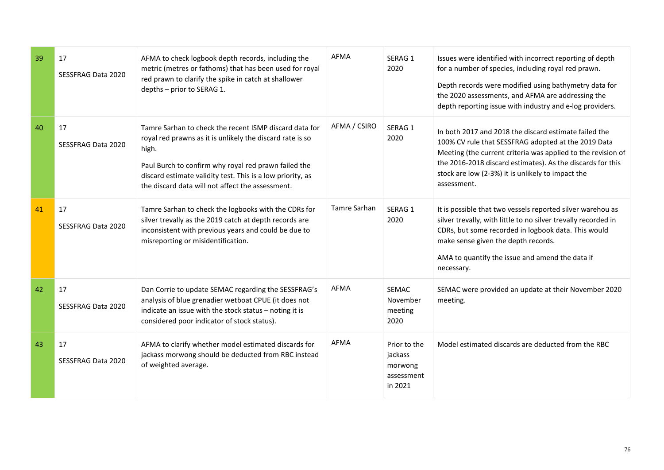| 39 | 17<br>SESSFRAG Data 2020        | AFMA to check logbook depth records, including the<br>metric (metres or fathoms) that has been used for royal<br>red prawn to clarify the spike in catch at shallower<br>depths - prior to SERAG 1.                                                                                                    | <b>AFMA</b>  | SERAG 1<br>2020                                             | Issues were identified with incorrect reporting of depth<br>for a number of species, including royal red prawn.<br>Depth records were modified using bathymetry data for<br>the 2020 assessments, and AFMA are addressing the<br>depth reporting issue with industry and e-log providers.                      |
|----|---------------------------------|--------------------------------------------------------------------------------------------------------------------------------------------------------------------------------------------------------------------------------------------------------------------------------------------------------|--------------|-------------------------------------------------------------|----------------------------------------------------------------------------------------------------------------------------------------------------------------------------------------------------------------------------------------------------------------------------------------------------------------|
| 40 | 17<br>SESSFRAG Data 2020        | Tamre Sarhan to check the recent ISMP discard data for<br>royal red prawns as it is unlikely the discard rate is so<br>high.<br>Paul Burch to confirm why royal red prawn failed the<br>discard estimate validity test. This is a low priority, as<br>the discard data will not affect the assessment. | AFMA / CSIRO | SERAG 1<br>2020                                             | In both 2017 and 2018 the discard estimate failed the<br>100% CV rule that SESSFRAG adopted at the 2019 Data<br>Meeting (the current criteria was applied to the revision of<br>the 2016-2018 discard estimates). As the discards for this<br>stock are low (2-3%) it is unlikely to impact the<br>assessment. |
| 41 | 17<br>SESSFRAG Data 2020        | Tamre Sarhan to check the logbooks with the CDRs for<br>silver trevally as the 2019 catch at depth records are<br>inconsistent with previous years and could be due to<br>misreporting or misidentification.                                                                                           | Tamre Sarhan | SERAG 1<br>2020                                             | It is possible that two vessels reported silver warehou as<br>silver trevally, with little to no silver trevally recorded in<br>CDRs, but some recorded in logbook data. This would<br>make sense given the depth records.<br>AMA to quantify the issue and amend the data if<br>necessary.                    |
| 42 | 17<br><b>SESSFRAG Data 2020</b> | Dan Corrie to update SEMAC regarding the SESSFRAG's<br>analysis of blue grenadier wetboat CPUE (it does not<br>indicate an issue with the stock status - noting it is<br>considered poor indicator of stock status).                                                                                   | <b>AFMA</b>  | <b>SEMAC</b><br>November<br>meeting<br>2020                 | SEMAC were provided an update at their November 2020<br>meeting.                                                                                                                                                                                                                                               |
| 43 | 17<br>SESSFRAG Data 2020        | AFMA to clarify whether model estimated discards for<br>jackass morwong should be deducted from RBC instead<br>of weighted average.                                                                                                                                                                    | <b>AFMA</b>  | Prior to the<br>jackass<br>morwong<br>assessment<br>in 2021 | Model estimated discards are deducted from the RBC                                                                                                                                                                                                                                                             |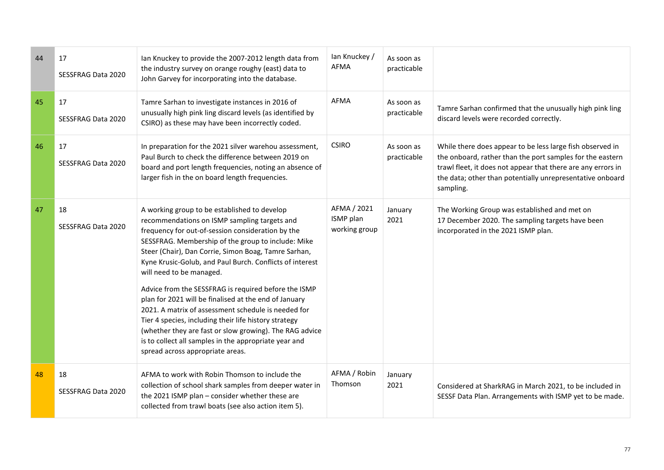| 44 | 17<br>SESSFRAG Data 2020        | Ian Knuckey to provide the 2007-2012 length data from<br>the industry survey on orange roughy (east) data to<br>John Garvey for incorporating into the database.                                                                                                                                                                                                                                                                                                                                                                                                                                                                                                                                                                                 | lan Knuckey /<br><b>AFMA</b>              | As soon as<br>practicable |                                                                                                                                                                                                                                                                  |
|----|---------------------------------|--------------------------------------------------------------------------------------------------------------------------------------------------------------------------------------------------------------------------------------------------------------------------------------------------------------------------------------------------------------------------------------------------------------------------------------------------------------------------------------------------------------------------------------------------------------------------------------------------------------------------------------------------------------------------------------------------------------------------------------------------|-------------------------------------------|---------------------------|------------------------------------------------------------------------------------------------------------------------------------------------------------------------------------------------------------------------------------------------------------------|
| 45 | 17<br>SESSFRAG Data 2020        | Tamre Sarhan to investigate instances in 2016 of<br>unusually high pink ling discard levels (as identified by<br>CSIRO) as these may have been incorrectly coded.                                                                                                                                                                                                                                                                                                                                                                                                                                                                                                                                                                                | <b>AFMA</b>                               | As soon as<br>practicable | Tamre Sarhan confirmed that the unusually high pink ling<br>discard levels were recorded correctly.                                                                                                                                                              |
| 46 | 17<br><b>SESSFRAG Data 2020</b> | In preparation for the 2021 silver warehou assessment,<br>Paul Burch to check the difference between 2019 on<br>board and port length frequencies, noting an absence of<br>larger fish in the on board length frequencies.                                                                                                                                                                                                                                                                                                                                                                                                                                                                                                                       | <b>CSIRO</b>                              | As soon as<br>practicable | While there does appear to be less large fish observed in<br>the onboard, rather than the port samples for the eastern<br>trawl fleet, it does not appear that there are any errors in<br>the data; other than potentially unrepresentative onboard<br>sampling. |
| 47 | 18<br>SESSFRAG Data 2020        | A working group to be established to develop<br>recommendations on ISMP sampling targets and<br>frequency for out-of-session consideration by the<br>SESSFRAG. Membership of the group to include: Mike<br>Steer (Chair), Dan Corrie, Simon Boag, Tamre Sarhan,<br>Kyne Krusic-Golub, and Paul Burch. Conflicts of interest<br>will need to be managed.<br>Advice from the SESSFRAG is required before the ISMP<br>plan for 2021 will be finalised at the end of January<br>2021. A matrix of assessment schedule is needed for<br>Tier 4 species, including their life history strategy<br>(whether they are fast or slow growing). The RAG advice<br>is to collect all samples in the appropriate year and<br>spread across appropriate areas. | AFMA / 2021<br>ISMP plan<br>working group | January<br>2021           | The Working Group was established and met on<br>17 December 2020. The sampling targets have been<br>incorporated in the 2021 ISMP plan.                                                                                                                          |
| 48 | 18<br><b>SESSFRAG Data 2020</b> | AFMA to work with Robin Thomson to include the<br>collection of school shark samples from deeper water in<br>the 2021 ISMP plan - consider whether these are<br>collected from trawl boats (see also action item 5).                                                                                                                                                                                                                                                                                                                                                                                                                                                                                                                             | AFMA / Robin<br>Thomson                   | January<br>2021           | Considered at SharkRAG in March 2021, to be included in<br>SESSF Data Plan. Arrangements with ISMP yet to be made.                                                                                                                                               |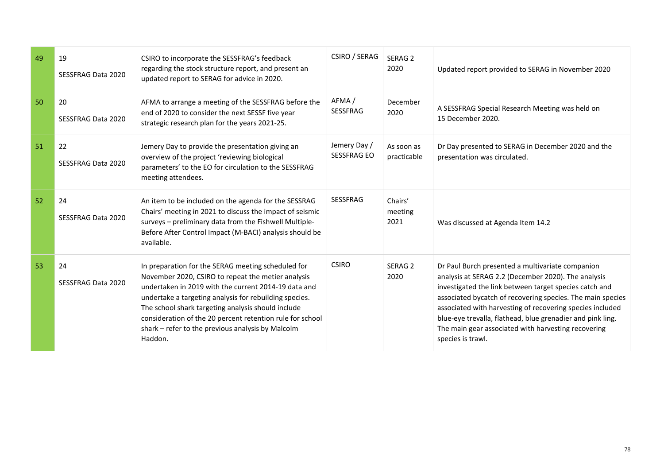| 49 | 19<br>SESSFRAG Data 2020 | CSIRO to incorporate the SESSFRAG's feedback<br>regarding the stock structure report, and present an<br>updated report to SERAG for advice in 2020.                                                                                                                                                                                                                                                           | CSIRO / SERAG                      | SERAG <sub>2</sub><br>2020 | Updated report provided to SERAG in November 2020                                                                                                                                                                                                                                                                                                                                                                                      |
|----|--------------------------|---------------------------------------------------------------------------------------------------------------------------------------------------------------------------------------------------------------------------------------------------------------------------------------------------------------------------------------------------------------------------------------------------------------|------------------------------------|----------------------------|----------------------------------------------------------------------------------------------------------------------------------------------------------------------------------------------------------------------------------------------------------------------------------------------------------------------------------------------------------------------------------------------------------------------------------------|
| 50 | 20<br>SESSFRAG Data 2020 | AFMA to arrange a meeting of the SESSFRAG before the<br>end of 2020 to consider the next SESSF five year<br>strategic research plan for the years 2021-25.                                                                                                                                                                                                                                                    | AFMA/<br><b>SESSFRAG</b>           | December<br>2020           | A SESSFRAG Special Research Meeting was held on<br>15 December 2020.                                                                                                                                                                                                                                                                                                                                                                   |
| 51 | 22<br>SESSFRAG Data 2020 | Jemery Day to provide the presentation giving an<br>overview of the project 'reviewing biological<br>parameters' to the EO for circulation to the SESSFRAG<br>meeting attendees.                                                                                                                                                                                                                              | Jemery Day /<br><b>SESSFRAG EO</b> | As soon as<br>practicable  | Dr Day presented to SERAG in December 2020 and the<br>presentation was circulated.                                                                                                                                                                                                                                                                                                                                                     |
| 52 | 24<br>SESSFRAG Data 2020 | An item to be included on the agenda for the SESSRAG<br>Chairs' meeting in 2021 to discuss the impact of seismic<br>surveys - preliminary data from the Fishwell Multiple-<br>Before After Control Impact (M-BACI) analysis should be<br>available.                                                                                                                                                           | <b>SESSFRAG</b>                    | Chairs'<br>meeting<br>2021 | Was discussed at Agenda Item 14.2                                                                                                                                                                                                                                                                                                                                                                                                      |
| 53 | 24<br>SESSFRAG Data 2020 | In preparation for the SERAG meeting scheduled for<br>November 2020, CSIRO to repeat the metier analysis<br>undertaken in 2019 with the current 2014-19 data and<br>undertake a targeting analysis for rebuilding species.<br>The school shark targeting analysis should include<br>consideration of the 20 percent retention rule for school<br>shark - refer to the previous analysis by Malcolm<br>Haddon. | <b>CSIRO</b>                       | SERAG <sub>2</sub><br>2020 | Dr Paul Burch presented a multivariate companion<br>analysis at SERAG 2.2 (December 2020). The analysis<br>investigated the link between target species catch and<br>associated bycatch of recovering species. The main species<br>associated with harvesting of recovering species included<br>blue-eye trevalla, flathead, blue grenadier and pink ling.<br>The main gear associated with harvesting recovering<br>species is trawl. |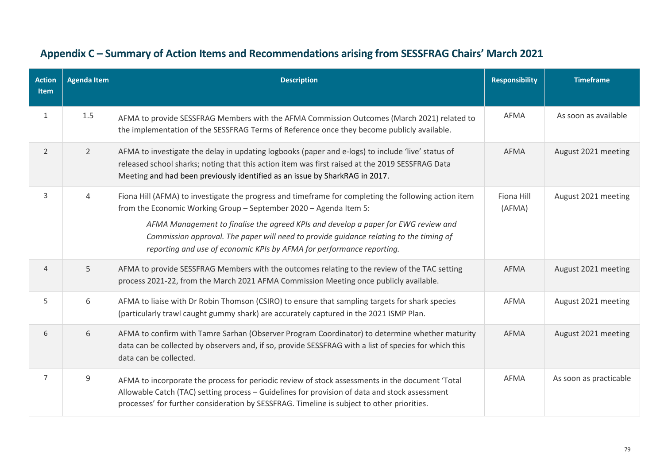| <b>Action</b><br><b>Item</b> | <b>Agenda Item</b> | <b>Description</b>                                                                                                                                                                                                                                                                                                                                                                                                                 | <b>Responsibility</b> | <b>Timeframe</b>       |
|------------------------------|--------------------|------------------------------------------------------------------------------------------------------------------------------------------------------------------------------------------------------------------------------------------------------------------------------------------------------------------------------------------------------------------------------------------------------------------------------------|-----------------------|------------------------|
| 1                            | 1.5                | AFMA to provide SESSFRAG Members with the AFMA Commission Outcomes (March 2021) related to<br>the implementation of the SESSFRAG Terms of Reference once they become publicly available.                                                                                                                                                                                                                                           | <b>AFMA</b>           | As soon as available   |
| $\overline{2}$               | $\overline{2}$     | AFMA to investigate the delay in updating logbooks (paper and e-logs) to include 'live' status of<br>released school sharks; noting that this action item was first raised at the 2019 SESSFRAG Data<br>Meeting and had been previously identified as an issue by SharkRAG in 2017.                                                                                                                                                | AFMA                  | August 2021 meeting    |
| 3                            | 4                  | Fiona Hill (AFMA) to investigate the progress and timeframe for completing the following action item<br>from the Economic Working Group - September 2020 - Agenda Item 5:<br>AFMA Management to finalise the agreed KPIs and develop a paper for EWG review and<br>Commission approval. The paper will need to provide guidance relating to the timing of<br>reporting and use of economic KPIs by AFMA for performance reporting. | Fiona Hill<br>(AFMA)  | August 2021 meeting    |
| $\overline{4}$               | 5                  | AFMA to provide SESSFRAG Members with the outcomes relating to the review of the TAC setting<br>process 2021-22, from the March 2021 AFMA Commission Meeting once publicly available.                                                                                                                                                                                                                                              | <b>AFMA</b>           | August 2021 meeting    |
| 5                            | 6                  | AFMA to liaise with Dr Robin Thomson (CSIRO) to ensure that sampling targets for shark species<br>(particularly trawl caught gummy shark) are accurately captured in the 2021 ISMP Plan.                                                                                                                                                                                                                                           | AFMA                  | August 2021 meeting    |
| 6                            | 6                  | AFMA to confirm with Tamre Sarhan (Observer Program Coordinator) to determine whether maturity<br>data can be collected by observers and, if so, provide SESSFRAG with a list of species for which this<br>data can be collected.                                                                                                                                                                                                  | AFMA                  | August 2021 meeting    |
| $\overline{7}$               | 9                  | AFMA to incorporate the process for periodic review of stock assessments in the document 'Total<br>Allowable Catch (TAC) setting process - Guidelines for provision of data and stock assessment<br>processes' for further consideration by SESSFRAG. Timeline is subject to other priorities.                                                                                                                                     | AFMA                  | As soon as practicable |

## **Appendix C – Summary of Action Items and Recommendations arising from SESSFRAG Chairs' March 2021**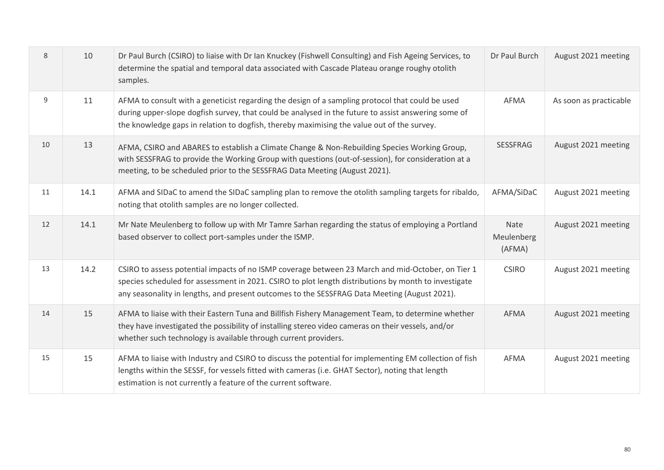| 8  | 10   | Dr Paul Burch (CSIRO) to liaise with Dr Ian Knuckey (Fishwell Consulting) and Fish Ageing Services, to<br>determine the spatial and temporal data associated with Cascade Plateau orange roughy otolith<br>samples.                                                                                       | Dr Paul Burch                | August 2021 meeting    |
|----|------|-----------------------------------------------------------------------------------------------------------------------------------------------------------------------------------------------------------------------------------------------------------------------------------------------------------|------------------------------|------------------------|
| 9  | 11   | AFMA to consult with a geneticist regarding the design of a sampling protocol that could be used<br>during upper-slope dogfish survey, that could be analysed in the future to assist answering some of<br>the knowledge gaps in relation to dogfish, thereby maximising the value out of the survey.     | AFMA                         | As soon as practicable |
| 10 | 13   | AFMA, CSIRO and ABARES to establish a Climate Change & Non-Rebuilding Species Working Group,<br>with SESSFRAG to provide the Working Group with questions (out-of-session), for consideration at a<br>meeting, to be scheduled prior to the SESSFRAG Data Meeting (August 2021).                          | <b>SESSFRAG</b>              | August 2021 meeting    |
| 11 | 14.1 | AFMA and SIDaC to amend the SIDaC sampling plan to remove the otolith sampling targets for ribaldo,<br>noting that otolith samples are no longer collected.                                                                                                                                               | AFMA/SiDaC                   | August 2021 meeting    |
| 12 | 14.1 | Mr Nate Meulenberg to follow up with Mr Tamre Sarhan regarding the status of employing a Portland<br>based observer to collect port-samples under the ISMP.                                                                                                                                               | Nate<br>Meulenberg<br>(AFMA) | August 2021 meeting    |
| 13 | 14.2 | CSIRO to assess potential impacts of no ISMP coverage between 23 March and mid-October, on Tier 1<br>species scheduled for assessment in 2021. CSIRO to plot length distributions by month to investigate<br>any seasonality in lengths, and present outcomes to the SESSFRAG Data Meeting (August 2021). | <b>CSIRO</b>                 | August 2021 meeting    |
| 14 | 15   | AFMA to liaise with their Eastern Tuna and Billfish Fishery Management Team, to determine whether<br>they have investigated the possibility of installing stereo video cameras on their vessels, and/or<br>whether such technology is available through current providers.                                | <b>AFMA</b>                  | August 2021 meeting    |
| 15 | 15   | AFMA to liaise with Industry and CSIRO to discuss the potential for implementing EM collection of fish<br>lengths within the SESSF, for vessels fitted with cameras (i.e. GHAT Sector), noting that length<br>estimation is not currently a feature of the current software.                              | <b>AFMA</b>                  | August 2021 meeting    |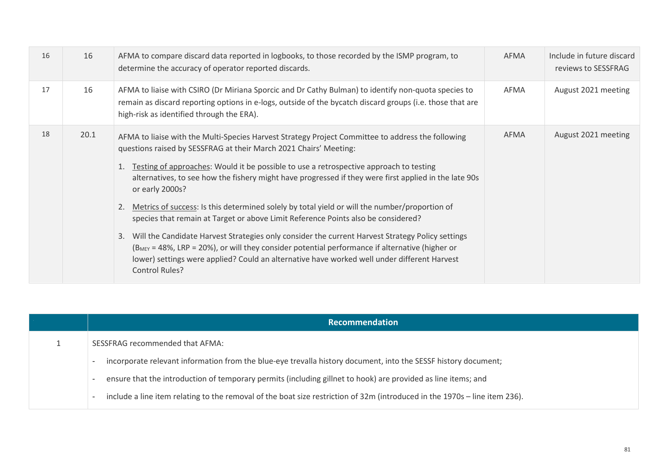| 16 | 16   | AFMA to compare discard data reported in logbooks, to those recorded by the ISMP program, to<br>determine the accuracy of operator reported discards.                                                                                                                                                                                                                                                                                                                                                                                                                                                                                                                                                                                                                                                                                                                                                                           | AFMA | Include in future discard<br>reviews to SESSFRAG |
|----|------|---------------------------------------------------------------------------------------------------------------------------------------------------------------------------------------------------------------------------------------------------------------------------------------------------------------------------------------------------------------------------------------------------------------------------------------------------------------------------------------------------------------------------------------------------------------------------------------------------------------------------------------------------------------------------------------------------------------------------------------------------------------------------------------------------------------------------------------------------------------------------------------------------------------------------------|------|--------------------------------------------------|
| 17 | 16   | AFMA to liaise with CSIRO (Dr Miriana Sporcic and Dr Cathy Bulman) to identify non-quota species to<br>remain as discard reporting options in e-logs, outside of the bycatch discard groups (i.e. those that are<br>high-risk as identified through the ERA).                                                                                                                                                                                                                                                                                                                                                                                                                                                                                                                                                                                                                                                                   | AFMA | August 2021 meeting                              |
| 18 | 20.1 | AFMA to liaise with the Multi-Species Harvest Strategy Project Committee to address the following<br>questions raised by SESSFRAG at their March 2021 Chairs' Meeting:<br>Testing of approaches: Would it be possible to use a retrospective approach to testing<br>1.<br>alternatives, to see how the fishery might have progressed if they were first applied in the late 90s<br>or early 2000s?<br>Metrics of success: Is this determined solely by total yield or will the number/proportion of<br>2.<br>species that remain at Target or above Limit Reference Points also be considered?<br>3. Will the Candidate Harvest Strategies only consider the current Harvest Strategy Policy settings<br>$(B_{MEV} = 48\%$ , LRP = 20%), or will they consider potential performance if alternative (higher or<br>lower) settings were applied? Could an alternative have worked well under different Harvest<br>Control Rules? | AFMA | August 2021 meeting                              |

| Recommendation                                                                                                             |
|----------------------------------------------------------------------------------------------------------------------------|
| SESSFRAG recommended that AFMA:                                                                                            |
| incorporate relevant information from the blue-eye trevalla history document, into the SESSF history document;             |
| ensure that the introduction of temporary permits (including gillnet to hook) are provided as line items; and              |
| include a line item relating to the removal of the boat size restriction of 32m (introduced in the 1970s – line item 236). |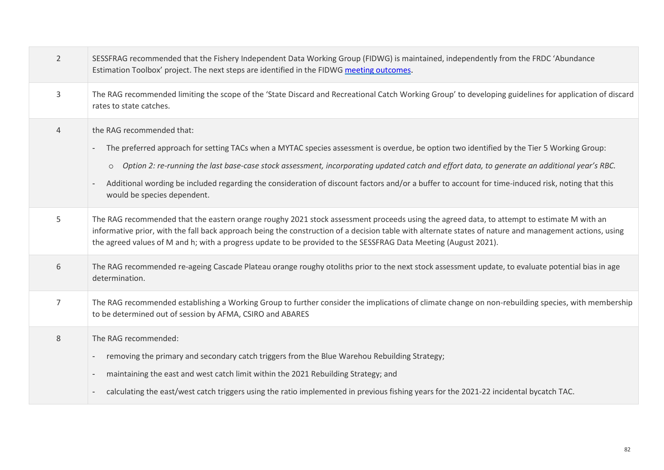| $\overline{2}$ | SESSFRAG recommended that the Fishery Independent Data Working Group (FIDWG) is maintained, independently from the FRDC 'Abundance<br>Estimation Toolbox' project. The next steps are identified in the FIDWG meeting outcomes.                                                                                                                                                                                                                                                                                                          |
|----------------|------------------------------------------------------------------------------------------------------------------------------------------------------------------------------------------------------------------------------------------------------------------------------------------------------------------------------------------------------------------------------------------------------------------------------------------------------------------------------------------------------------------------------------------|
| 3              | The RAG recommended limiting the scope of the 'State Discard and Recreational Catch Working Group' to developing guidelines for application of discard<br>rates to state catches.                                                                                                                                                                                                                                                                                                                                                        |
| $\overline{4}$ | the RAG recommended that:<br>The preferred approach for setting TACs when a MYTAC species assessment is overdue, be option two identified by the Tier 5 Working Group:<br>$\overline{\phantom{a}}$<br>o Option 2: re-running the last base-case stock assessment, incorporating updated catch and effort data, to generate an additional year's RBC.<br>Additional wording be included regarding the consideration of discount factors and/or a buffer to account for time-induced risk, noting that this<br>would be species dependent. |
| 5              | The RAG recommended that the eastern orange roughy 2021 stock assessment proceeds using the agreed data, to attempt to estimate M with an<br>informative prior, with the fall back approach being the construction of a decision table with alternate states of nature and management actions, using<br>the agreed values of M and h; with a progress update to be provided to the SESSFRAG Data Meeting (August 2021).                                                                                                                  |
| 6              | The RAG recommended re-ageing Cascade Plateau orange roughy otoliths prior to the next stock assessment update, to evaluate potential bias in age<br>determination.                                                                                                                                                                                                                                                                                                                                                                      |
| 7              | The RAG recommended establishing a Working Group to further consider the implications of climate change on non-rebuilding species, with membership<br>to be determined out of session by AFMA, CSIRO and ABARES                                                                                                                                                                                                                                                                                                                          |
| 8              | The RAG recommended:<br>removing the primary and secondary catch triggers from the Blue Warehou Rebuilding Strategy;<br>maintaining the east and west catch limit within the 2021 Rebuilding Strategy; and<br>$\overline{\phantom{a}}$<br>calculating the east/west catch triggers using the ratio implemented in previous fishing years for the 2021-22 incidental bycatch TAC.<br>$\overline{\phantom{a}}$                                                                                                                             |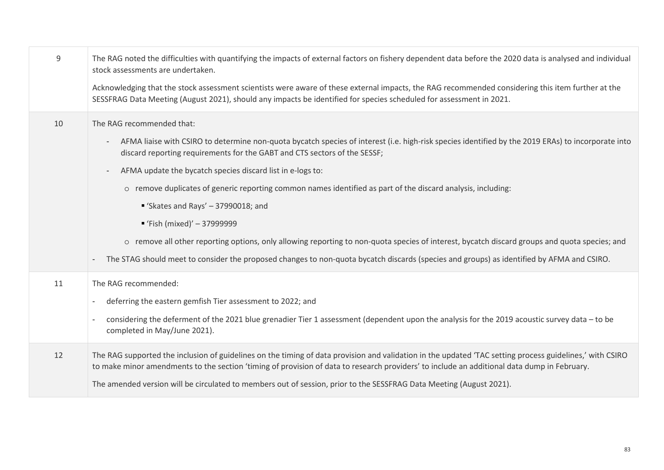| 9  | The RAG noted the difficulties with quantifying the impacts of external factors on fishery dependent data before the 2020 data is analysed and individual<br>stock assessments are undertaken.                                                                                                          |
|----|---------------------------------------------------------------------------------------------------------------------------------------------------------------------------------------------------------------------------------------------------------------------------------------------------------|
|    | Acknowledging that the stock assessment scientists were aware of these external impacts, the RAG recommended considering this item further at the<br>SESSFRAG Data Meeting (August 2021), should any impacts be identified for species scheduled for assessment in 2021.                                |
| 10 | The RAG recommended that:                                                                                                                                                                                                                                                                               |
|    | AFMA liaise with CSIRO to determine non-quota bycatch species of interest (i.e. high-risk species identified by the 2019 ERAs) to incorporate into<br>discard reporting requirements for the GABT and CTS sectors of the SESSF;                                                                         |
|    | AFMA update the bycatch species discard list in e-logs to:<br>$\overline{\phantom{a}}$                                                                                                                                                                                                                  |
|    | o remove duplicates of generic reporting common names identified as part of the discard analysis, including:                                                                                                                                                                                            |
|    | Skates and Rays' $-37990018$ ; and                                                                                                                                                                                                                                                                      |
|    | ■ 'Fish (mixed)' $-$ 37999999                                                                                                                                                                                                                                                                           |
|    | o remove all other reporting options, only allowing reporting to non-quota species of interest, bycatch discard groups and quota species; and                                                                                                                                                           |
|    | The STAG should meet to consider the proposed changes to non-quota bycatch discards (species and groups) as identified by AFMA and CSIRO.                                                                                                                                                               |
| 11 | The RAG recommended:                                                                                                                                                                                                                                                                                    |
|    | deferring the eastern gemfish Tier assessment to 2022; and<br>$\overline{\phantom{a}}$                                                                                                                                                                                                                  |
|    | considering the deferment of the 2021 blue grenadier Tier 1 assessment (dependent upon the analysis for the 2019 acoustic survey data – to be<br>$\overline{\phantom{a}}$<br>completed in May/June 2021).                                                                                               |
| 12 | The RAG supported the inclusion of guidelines on the timing of data provision and validation in the updated 'TAC setting process guidelines,' with CSIRO<br>to make minor amendments to the section 'timing of provision of data to research providers' to include an additional data dump in February. |
|    | The amended version will be circulated to members out of session, prior to the SESSFRAG Data Meeting (August 2021).                                                                                                                                                                                     |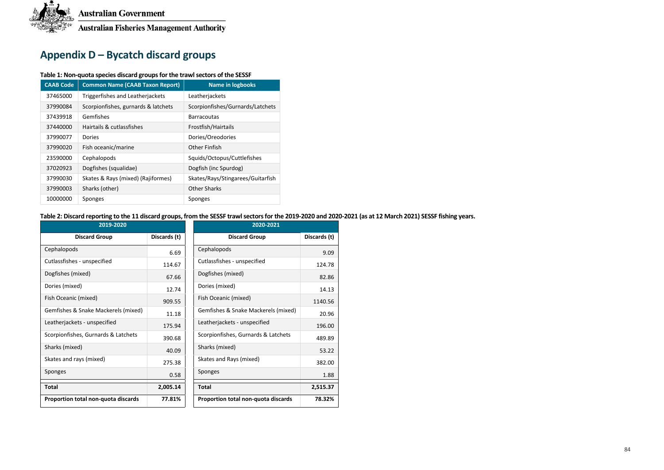

## **Appendix D – Bycatch discard groups**

#### **Table 1: Non-quota species discard groups for the trawl sectors of the SESSF**

| <b>CAAB Code</b> | <b>Common Name (CAAB Taxon Report)</b> | <b>Name in logbooks</b>           |
|------------------|----------------------------------------|-----------------------------------|
| 37465000         | Triggerfishes and Leatherjackets       | Leatherjackets                    |
| 37990084         | Scorpionfishes, gurnards & latchets    | Scorpionfishes/Gurnards/Latchets  |
| 37439918         | Gemfishes                              | <b>Barracoutas</b>                |
| 37440000         | Hairtails & cutlassfishes              | Frostfish/Hairtails               |
| 37990077         | Dories                                 | Dories/Oreodories                 |
| 37990020         | Fish oceanic/marine                    | Other Finfish                     |
| 23590000         | Cephalopods                            | Squids/Octopus/Cuttlefishes       |
| 37020923         | Dogfishes (squalidae)                  | Dogfish (inc Spurdog)             |
| 37990030         | Skates & Rays (mixed) (Rajiformes)     | Skates/Rays/Stingarees/Guitarfish |
| 37990003         | Sharks (other)                         | <b>Other Sharks</b>               |
| 10000000         | Sponges                                | Sponges                           |

**Table 2: Discard reporting to the 11 discard groups, from the SESSF trawl sectors for the 2019-2020 and 2020-2021 (as at 12 March 2021) SESSF fishing years.**

| 2019-2020                           |              | 2020-2021                                     |
|-------------------------------------|--------------|-----------------------------------------------|
| <b>Discard Group</b>                | Discards (t) | Discards (t)<br><b>Discard Group</b>          |
| Cephalopods                         | 6.69         | Cephalopods<br>9.09                           |
| Cutlassfishes - unspecified         | 114.67       | Cutlassfishes - unspecified<br>124.78         |
| Dogfishes (mixed)                   | 67.66        | Dogfishes (mixed)<br>82.86                    |
| Dories (mixed)                      | 12.74        | Dories (mixed)<br>14.13                       |
| Fish Oceanic (mixed)                | 909.55       | Fish Oceanic (mixed)<br>1140.56               |
| Gemfishes & Snake Mackerels (mixed) | 11.18        | Gemfishes & Snake Mackerels (mixed)<br>20.96  |
| Leatherjackets - unspecified        | 175.94       | Leatherjackets - unspecified<br>196.00        |
| Scorpionfishes, Gurnards & Latchets | 390.68       | Scorpionfishes, Gurnards & Latchets<br>489.89 |
| Sharks (mixed)                      | 40.09        | Sharks (mixed)<br>53.22                       |
| Skates and rays (mixed)             | 275.38       | Skates and Rays (mixed)<br>382.00             |
| Sponges                             | 0.58         | Sponges<br>1.88                               |
| <b>Total</b>                        | 2,005.14     | <b>Total</b><br>2,515.37                      |
| Proportion total non-quota discards | 77.81%       | Proportion total non-quota discards<br>78.32% |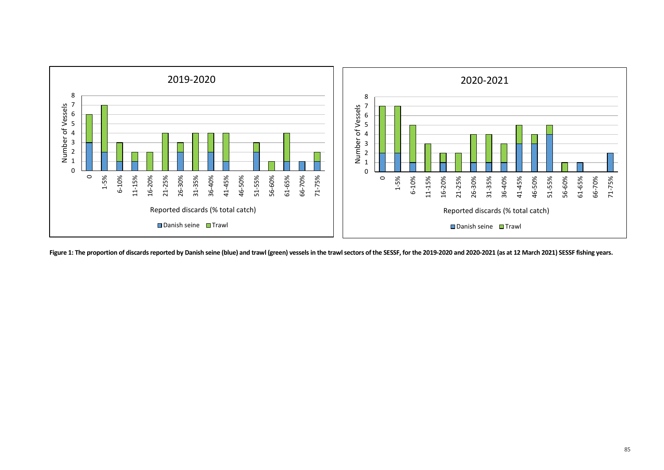

**Figure 1: The proportion of discards reported by Danish seine (blue) and trawl (green) vessels in the trawl sectors of the SESSF, for the 2019-2020 and 2020-2021 (as at 12 March 2021) SESSF fishing years.**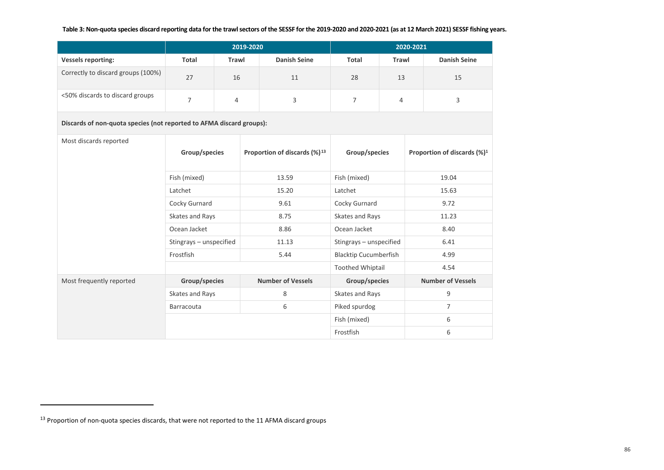#### <span id="page-85-0"></span>**Table 3: Non-quota species discard reporting data for the trawl sectors of the SESSF for the 2019-2020 and 2020-2021 (as at 12 March 2021) SESSF fishing years.**

|                                    | 2019-2020<br>2020-2021 |              |                     |       |       |                     |
|------------------------------------|------------------------|--------------|---------------------|-------|-------|---------------------|
| <b>Vessels reporting:</b>          | Total                  | <b>Trawl</b> | <b>Danish Seine</b> | Total | Trawl | <b>Danish Seine</b> |
| Correctly to discard groups (100%) | 27                     | 16           | 11                  | 28    | 13    | 15                  |
| <50% discards to discard groups    |                        | 4            |                     |       |       |                     |

**Discards of non-quota species (not reported to AFMA discard groups):**

| Most discards reported   | Group/species           | Proportion of discards (%) <sup>13</sup> | Group/species                | Proportion of discards $(\%)^1$ |
|--------------------------|-------------------------|------------------------------------------|------------------------------|---------------------------------|
|                          | Fish (mixed)            | 13.59                                    | Fish (mixed)                 | 19.04                           |
|                          | Latchet                 | 15.20                                    | Latchet                      | 15.63                           |
|                          | Cocky Gurnard           | 9.61                                     | Cocky Gurnard                | 9.72                            |
|                          | Skates and Rays         | 8.75                                     | Skates and Rays              | 11.23                           |
|                          | Ocean Jacket            | 8.86                                     | Ocean Jacket                 | 8.40                            |
|                          | Stingrays - unspecified | 11.13                                    | Stingrays - unspecified      | 6.41                            |
|                          | Frostfish               | 5.44                                     | <b>Blacktip Cucumberfish</b> | 4.99                            |
|                          |                         |                                          | <b>Toothed Whiptail</b>      | 4.54                            |
| Most frequently reported | Group/species           | <b>Number of Vessels</b>                 | Group/species                | <b>Number of Vessels</b>        |
|                          | Skates and Rays         | 8                                        | Skates and Rays              | 9                               |
|                          | Barracouta              | 6                                        | Piked spurdog                | $\overline{7}$                  |
|                          |                         |                                          | Fish (mixed)                 | 6                               |
|                          |                         |                                          | Frostfish                    | 6                               |

 $\overline{\phantom{a}}$ 

<sup>&</sup>lt;sup>13</sup> Proportion of non-quota species discards, that were not reported to the 11 AFMA discard groups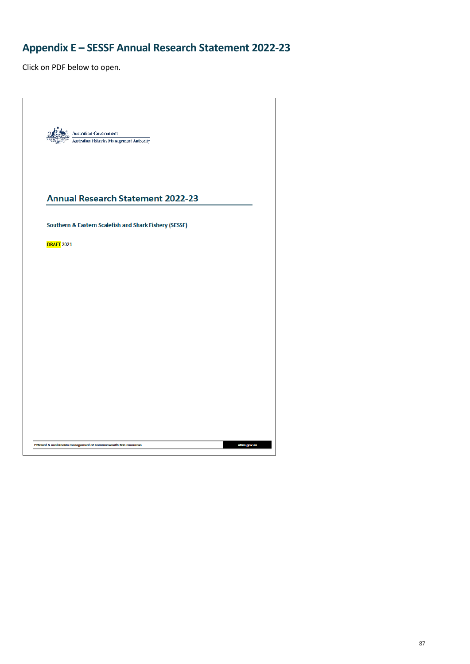# **Appendix E – SESSF Annual Research Statement 2022-23**

| $\frac{d}{d\phi}$ Australian Government<br>Australian Fisheries Management Authority |  |
|--------------------------------------------------------------------------------------|--|
| <b>Annual Research Statement 2022-23</b>                                             |  |
| Southern & Eastern Scalefish and Shark Fishery (SESSF)                               |  |
| <b>DRAFT 2021</b>                                                                    |  |
|                                                                                      |  |
|                                                                                      |  |
|                                                                                      |  |
|                                                                                      |  |
|                                                                                      |  |
|                                                                                      |  |
|                                                                                      |  |